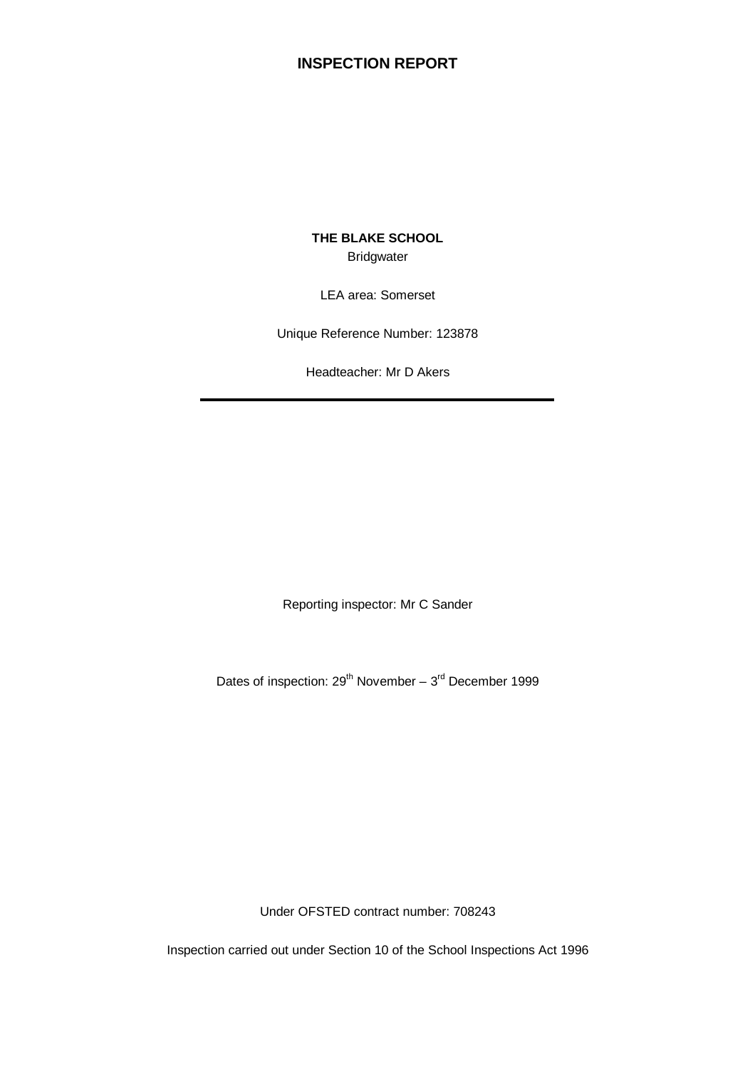# **INSPECTION REPORT**

**THE BLAKE SCHOOL Bridgwater** 

LEA area: Somerset

Unique Reference Number: 123878

Headteacher: Mr D Akers

Reporting inspector: Mr C Sander

Dates of inspection:  $29^{th}$  November –  $3^{rd}$  December 1999

Under OFSTED contract number: 708243

Inspection carried out under Section 10 of the School Inspections Act 1996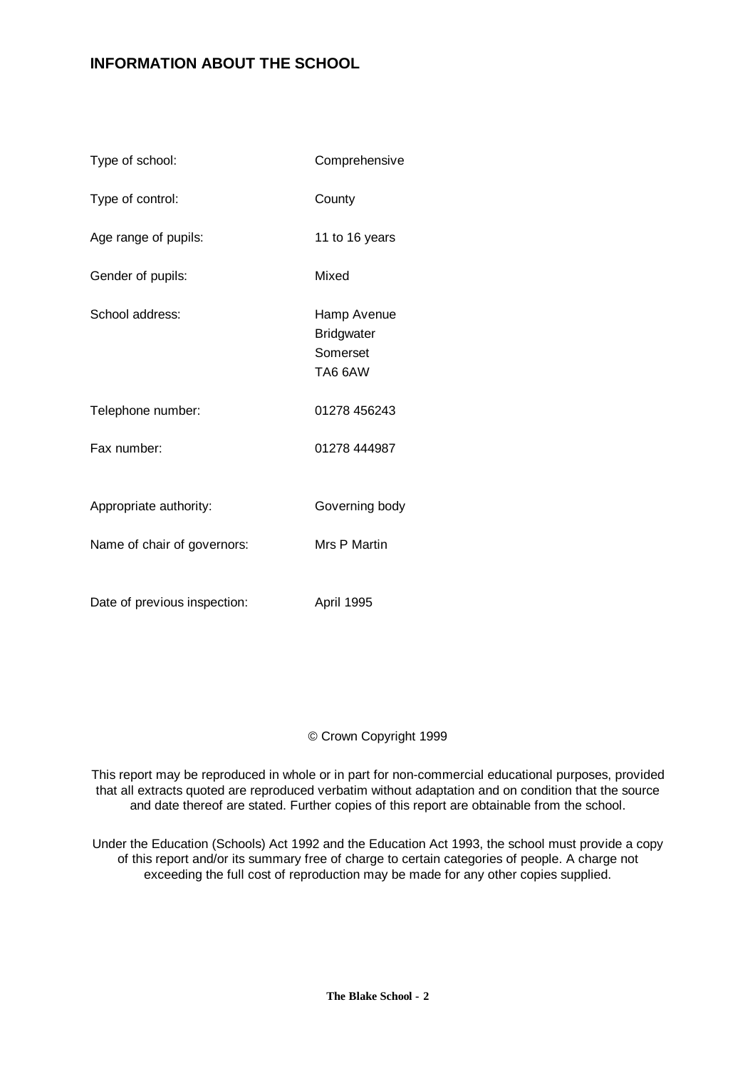# **INFORMATION ABOUT THE SCHOOL**

| Type of school:              | Comprehensive                                           |
|------------------------------|---------------------------------------------------------|
| Type of control:             | County                                                  |
| Age range of pupils:         | 11 to 16 years                                          |
| Gender of pupils:            | Mixed                                                   |
| School address:              | Hamp Avenue<br><b>Bridgwater</b><br>Somerset<br>TA6 6AW |
| Telephone number:            | 01278 456243                                            |
| Fax number:                  | 01278 444987                                            |
| Appropriate authority:       | Governing body                                          |
| Name of chair of governors:  | Mrs P Martin                                            |
| Date of previous inspection: | April 1995                                              |

# © Crown Copyright 1999

This report may be reproduced in whole or in part for non-commercial educational purposes, provided that all extracts quoted are reproduced verbatim without adaptation and on condition that the source and date thereof are stated. Further copies of this report are obtainable from the school.

Under the Education (Schools) Act 1992 and the Education Act 1993, the school must provide a copy of this report and/or its summary free of charge to certain categories of people. A charge not exceeding the full cost of reproduction may be made for any other copies supplied.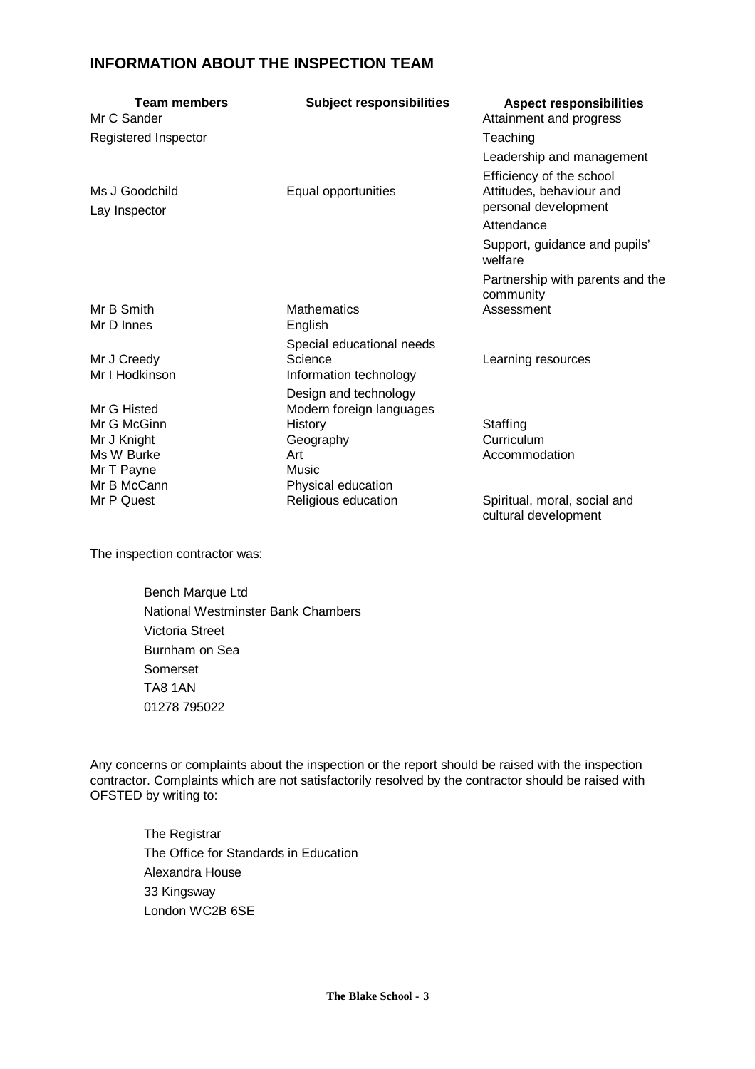# **INFORMATION ABOUT THE INSPECTION TEAM**

| <b>Team members</b><br>Mr C Sander | <b>Subject responsibilities</b>   | <b>Aspect responsibilities</b><br>Attainment and progress                    |
|------------------------------------|-----------------------------------|------------------------------------------------------------------------------|
| Registered Inspector               |                                   | Teaching                                                                     |
|                                    |                                   | Leadership and management                                                    |
| Ms J Goodchild<br>Lay Inspector    | Equal opportunities               | Efficiency of the school<br>Attitudes, behaviour and<br>personal development |
|                                    |                                   | Attendance                                                                   |
|                                    |                                   | Support, guidance and pupils'<br>welfare                                     |
|                                    |                                   | Partnership with parents and the<br>community                                |
| Mr B Smith<br>Mr D Innes           | <b>Mathematics</b><br>English     | Assessment                                                                   |
|                                    | Special educational needs         |                                                                              |
| Mr J Creedy<br>Mr I Hodkinson      | Science<br>Information technology | Learning resources                                                           |
|                                    | Design and technology             |                                                                              |
| Mr G Histed                        | Modern foreign languages          |                                                                              |
| Mr G McGinn                        | History                           | Staffing                                                                     |
| Mr J Knight                        | Geography                         | Curriculum                                                                   |
| Ms W Burke                         | Art                               | Accommodation                                                                |
| Mr T Payne                         | Music                             |                                                                              |
| Mr B McCann                        | Physical education                |                                                                              |
| Mr P Quest                         | Religious education               | Spiritual, moral, social and<br>cultural development                         |

The inspection contractor was:

Bench Marque Ltd National Westminster Bank Chambers Victoria Street Burnham on Sea Somerset TA8 1AN 01278 795022

Any concerns or complaints about the inspection or the report should be raised with the inspection contractor. Complaints which are not satisfactorily resolved by the contractor should be raised with OFSTED by writing to:

The Registrar The Office for Standards in Education Alexandra House 33 Kingsway London WC2B 6SE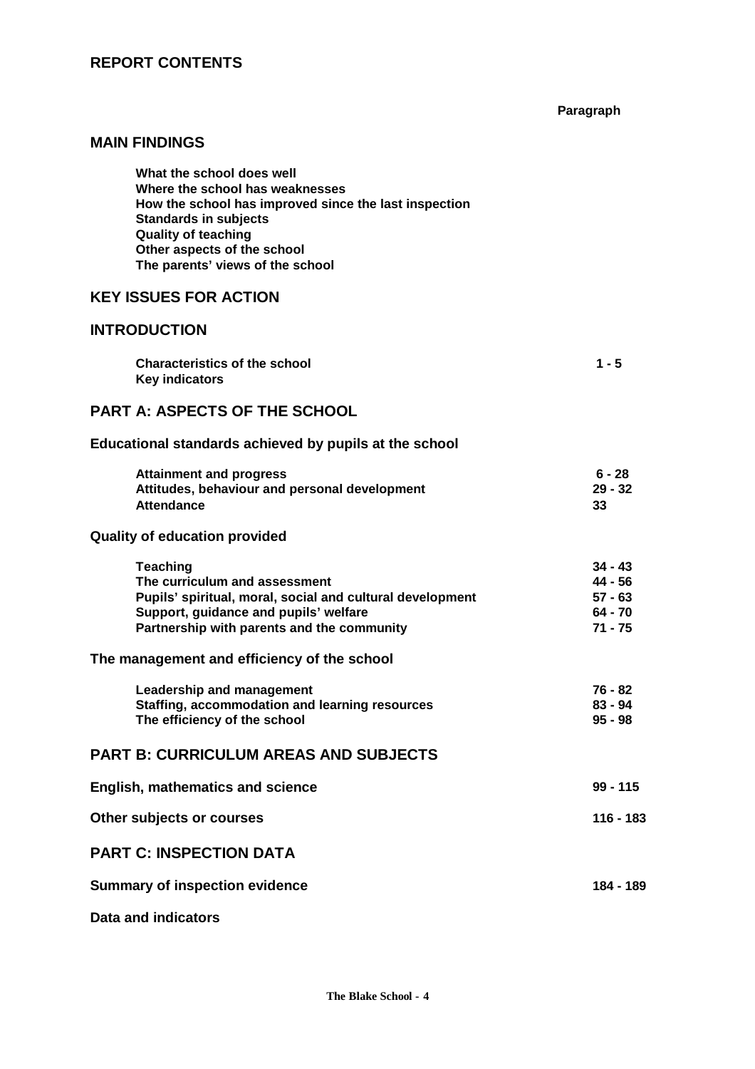**Paragraph**

# **MAIN FINDINGS**

# **KEY ISSUES FOR ACTION**

# **INTRODUCTION**

| <b>Characteristics of the school</b> | $1 - 5$ |
|--------------------------------------|---------|
| <b>Key indicators</b>                |         |

# **PART A: ASPECTS OF THE SCHOOL**

**Educational standards achieved by pupils at the school**

| <b>Attainment and progress</b>                | 6 - 28    |
|-----------------------------------------------|-----------|
| Attitudes, behaviour and personal development | $29 - 32$ |
| <b>Attendance</b>                             | 33        |

### **Quality of education provided**

| <b>Teaching</b>                                           | $34 - 43$ |
|-----------------------------------------------------------|-----------|
| The curriculum and assessment                             | 44 - 56   |
| Pupils' spiritual, moral, social and cultural development | $57 - 63$ |
| Support, guidance and pupils' welfare                     | 64 - 70   |
| Partnership with parents and the community                | 71 - 75   |

#### **The management and efficiency of the school**

| Leadership and management                      | 76 - 82 |
|------------------------------------------------|---------|
| Staffing, accommodation and learning resources | 83 - 94 |
| The efficiency of the school                   | 95 - 98 |

# **PART B: CURRICULUM AREAS AND SUBJECTS**

| English, mathematics and science      | $99 - 115$ |
|---------------------------------------|------------|
| Other subjects or courses             | 116 - 183  |
| <b>PART C: INSPECTION DATA</b>        |            |
| <b>Summary of inspection evidence</b> | 184 - 189  |

# **Data and indicators**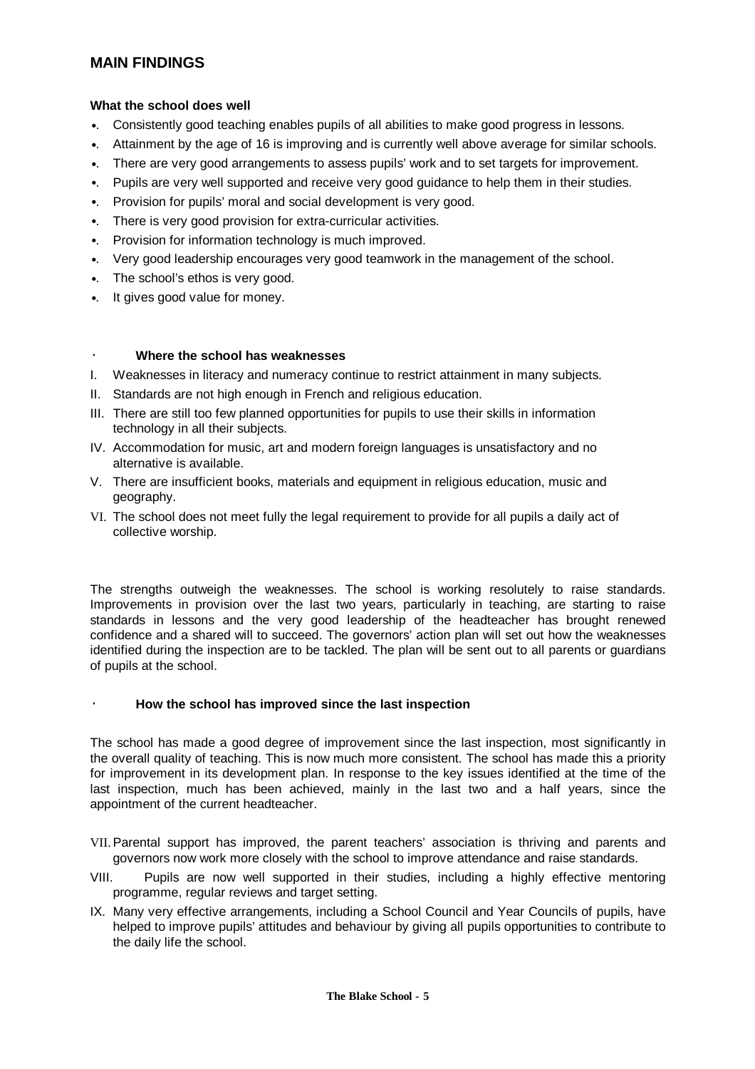# **MAIN FINDINGS**

#### **What the school does well**

- •. Consistently good teaching enables pupils of all abilities to make good progress in lessons.
- •. Attainment by the age of 16 is improving and is currently well above average for similar schools.
- •. There are very good arrangements to assess pupils' work and to set targets for improvement.
- •. Pupils are very well supported and receive very good guidance to help them in their studies.
- Provision for pupils' moral and social development is very good.
- •. There is very good provision for extra-curricular activities.
- •. Provision for information technology is much improved.
- •. Very good leadership encourages very good teamwork in the management of the school.
- •. The school's ethos is very good.
- •. It gives good value for money.

# · **Where the school has weaknesses**

- I. Weaknesses in literacy and numeracy continue to restrict attainment in many subjects.
- II. Standards are not high enough in French and religious education.
- III. There are still too few planned opportunities for pupils to use their skills in information technology in all their subjects.
- IV. Accommodation for music, art and modern foreign languages is unsatisfactory and no alternative is available.
- V. There are insufficient books, materials and equipment in religious education, music and geography.
- VI. The school does not meet fully the legal requirement to provide for all pupils a daily act of collective worship.

The strengths outweigh the weaknesses. The school is working resolutely to raise standards. Improvements in provision over the last two years, particularly in teaching, are starting to raise standards in lessons and the very good leadership of the headteacher has brought renewed confidence and a shared will to succeed. The governors' action plan will set out how the weaknesses identified during the inspection are to be tackled. The plan will be sent out to all parents or guardians of pupils at the school.

#### · **How the school has improved since the last inspection**

The school has made a good degree of improvement since the last inspection, most significantly in the overall quality of teaching. This is now much more consistent. The school has made this a priority for improvement in its development plan. In response to the key issues identified at the time of the last inspection, much has been achieved, mainly in the last two and a half years, since the appointment of the current headteacher.

- VII.Parental support has improved, the parent teachers' association is thriving and parents and governors now work more closely with the school to improve attendance and raise standards.
- VIII. Pupils are now well supported in their studies, including a highly effective mentoring programme, regular reviews and target setting.
- IX. Many very effective arrangements, including a School Council and Year Councils of pupils, have helped to improve pupils' attitudes and behaviour by giving all pupils opportunities to contribute to the daily life the school.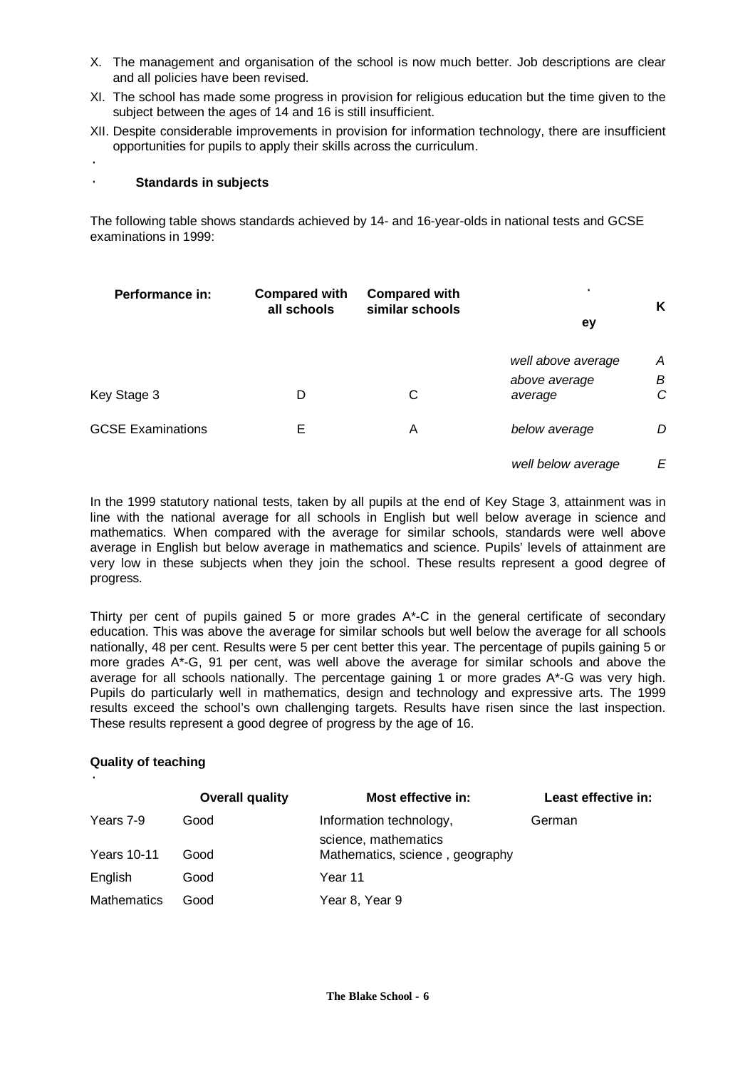- X. The management and organisation of the school is now much better. Job descriptions are clear and all policies have been revised.
- XI. The school has made some progress in provision for religious education but the time given to the subject between the ages of 14 and 16 is still insufficient.
- XII. Despite considerable improvements in provision for information technology, there are insufficient opportunities for pupils to apply their skills across the curriculum.

·

#### · **Standards in subjects**

The following table shows standards achieved by 14- and 16-year-olds in national tests and GCSE examinations in 1999:

| Performance in:          | <b>Compared with</b><br>all schools | <b>Compared with</b><br>similar schools | $\bullet$                | Κ      |
|--------------------------|-------------------------------------|-----------------------------------------|--------------------------|--------|
|                          |                                     |                                         | ey                       |        |
|                          |                                     |                                         | well above average       | Α      |
| Key Stage 3              | D                                   | С                                       | above average<br>average | В<br>C |
| <b>GCSE Examinations</b> | E                                   | Α                                       | below average            | D      |
|                          |                                     |                                         | well below average       | E      |

In the 1999 statutory national tests, taken by all pupils at the end of Key Stage 3, attainment was in line with the national average for all schools in English but well below average in science and mathematics. When compared with the average for similar schools, standards were well above average in English but below average in mathematics and science. Pupils' levels of attainment are very low in these subjects when they join the school. These results represent a good degree of progress.

Thirty per cent of pupils gained 5 or more grades  $A^*$ -C in the general certificate of secondary education. This was above the average for similar schools but well below the average for all schools nationally, 48 per cent. Results were 5 per cent better this year. The percentage of pupils gaining 5 or more grades A\*-G, 91 per cent, was well above the average for similar schools and above the average for all schools nationally. The percentage gaining 1 or more grades A\*-G was very high. Pupils do particularly well in mathematics, design and technology and expressive arts. The 1999 results exceed the school's own challenging targets. Results have risen since the last inspection. These results represent a good degree of progress by the age of 16.

### **Quality of teaching**

·

|                    | <b>Overall quality</b> | <b>Most effective in:</b>                               | Least effective in: |
|--------------------|------------------------|---------------------------------------------------------|---------------------|
| Years 7-9          | Good                   | Information technology,                                 | German              |
| <b>Years 10-11</b> | Good                   | science, mathematics<br>Mathematics, science, geography |                     |
| English            | Good                   | Year 11                                                 |                     |
| <b>Mathematics</b> | Good                   | Year 8, Year 9                                          |                     |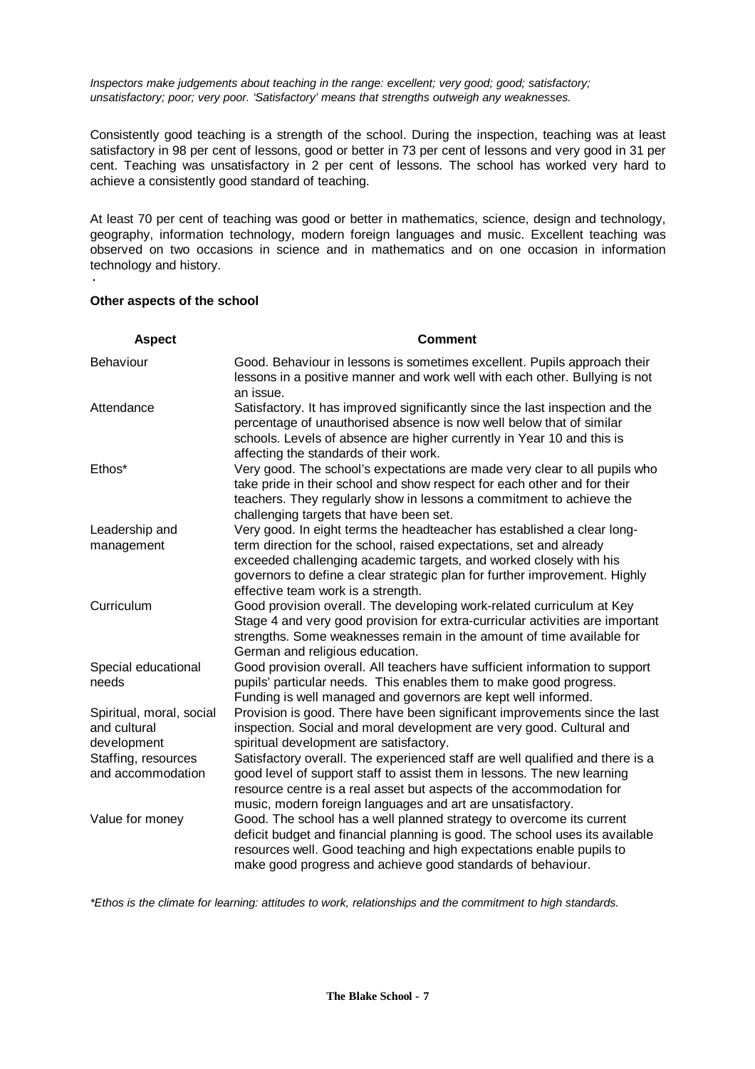*Inspectors make judgements about teaching in the range: excellent; very good; good; satisfactory; unsatisfactory; poor; very poor. 'Satisfactory' means that strengths outweigh any weaknesses.*

Consistently good teaching is a strength of the school. During the inspection, teaching was at least satisfactory in 98 per cent of lessons, good or better in 73 per cent of lessons and very good in 31 per cent. Teaching was unsatisfactory in 2 per cent of lessons. The school has worked very hard to achieve a consistently good standard of teaching.

At least 70 per cent of teaching was good or better in mathematics, science, design and technology, geography, information technology, modern foreign languages and music. Excellent teaching was observed on two occasions in science and in mathematics and on one occasion in information technology and history.

#### **Other aspects of the school**

·

| <b>Aspect</b>                                           | <b>Comment</b>                                                                                                                                                                                                                                                                                  |
|---------------------------------------------------------|-------------------------------------------------------------------------------------------------------------------------------------------------------------------------------------------------------------------------------------------------------------------------------------------------|
| Behaviour                                               | Good. Behaviour in lessons is sometimes excellent. Pupils approach their<br>lessons in a positive manner and work well with each other. Bullying is not<br>an issue.                                                                                                                            |
| Attendance                                              | Satisfactory. It has improved significantly since the last inspection and the<br>percentage of unauthorised absence is now well below that of similar<br>schools. Levels of absence are higher currently in Year 10 and this is<br>affecting the standards of their work.                       |
| Ethos*                                                  | Very good. The school's expectations are made very clear to all pupils who<br>take pride in their school and show respect for each other and for their<br>teachers. They regularly show in lessons a commitment to achieve the<br>challenging targets that have been set.                       |
| Leadership and                                          | Very good. In eight terms the headteacher has established a clear long-                                                                                                                                                                                                                         |
| management                                              | term direction for the school, raised expectations, set and already<br>exceeded challenging academic targets, and worked closely with his<br>governors to define a clear strategic plan for further improvement. Highly<br>effective team work is a strength.                                   |
| Curriculum                                              | Good provision overall. The developing work-related curriculum at Key<br>Stage 4 and very good provision for extra-curricular activities are important<br>strengths. Some weaknesses remain in the amount of time available for<br>German and religious education.                              |
| Special educational<br>needs                            | Good provision overall. All teachers have sufficient information to support<br>pupils' particular needs. This enables them to make good progress.<br>Funding is well managed and governors are kept well informed.                                                                              |
| Spiritual, moral, social<br>and cultural<br>development | Provision is good. There have been significant improvements since the last<br>inspection. Social and moral development are very good. Cultural and<br>spiritual development are satisfactory.                                                                                                   |
| Staffing, resources<br>and accommodation                | Satisfactory overall. The experienced staff are well qualified and there is a<br>good level of support staff to assist them in lessons. The new learning<br>resource centre is a real asset but aspects of the accommodation for<br>music, modern foreign languages and art are unsatisfactory. |
| Value for money                                         | Good. The school has a well planned strategy to overcome its current<br>deficit budget and financial planning is good. The school uses its available<br>resources well. Good teaching and high expectations enable pupils to<br>make good progress and achieve good standards of behaviour.     |

*\*Ethos is the climate for learning: attitudes to work, relationships and the commitment to high standards.*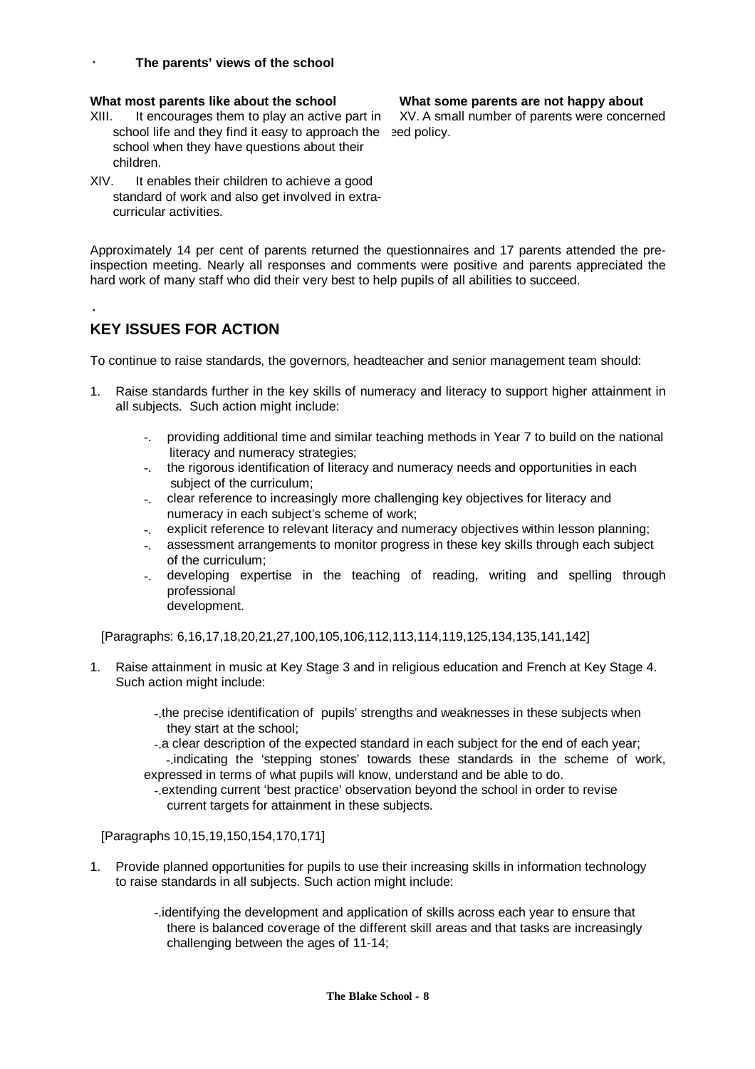#### · **The parents' views of the school**

#### **What most parents like about the school What some parents are not happy about**

- XIII. It encourages them to play an active part in school life and they find it easy to approach the sed policy. school when they have questions about their children.
- XIV. It enables their children to achieve a good standard of work and also get involved in extracurricular activities.

Approximately 14 per cent of parents returned the questionnaires and 17 parents attended the preinspection meeting. Nearly all responses and comments were positive and parents appreciated the hard work of many staff who did their very best to help pupils of all abilities to succeed.

# **KEY ISSUES FOR ACTION**

·

To continue to raise standards, the governors, headteacher and senior management team should:

- 1. Raise standards further in the key skills of numeracy and literacy to support higher attainment in all subjects. Such action might include:
	- -. providing additional time and similar teaching methods in Year 7 to build on the national literacy and numeracy strategies;
	- -. the rigorous identification of literacy and numeracy needs and opportunities in each subject of the curriculum;
	- -. clear reference to increasingly more challenging key objectives for literacy and numeracy in each subject's scheme of work;
	- -. explicit reference to relevant literacy and numeracy objectives within lesson planning;
	- -. assessment arrangements to monitor progress in these key skills through each subject of the curriculum;
	- -. developing expertise in the teaching of reading, writing and spelling through professional development.

[Paragraphs: 6,16,17,18,20,21,27,100,105,106,112,113,114,119,125,134,135,141,142]

1. Raise attainment in music at Key Stage 3 and in religious education and French at Key Stage 4. Such action might include:

> -.the precise identification of pupils' strengths and weaknesses in these subjects when they start at the school;

 -.a clear description of the expected standard in each subject for the end of each year; -.indicating the 'stepping stones' towards these standards in the scheme of work,

expressed in terms of what pupils will know, understand and be able to do.

 -.extending current 'best practice' observation beyond the school in order to revise current targets for attainment in these subjects.

[Paragraphs 10,15,19,150,154,170,171]

- 1. Provide planned opportunities for pupils to use their increasing skills in information technology to raise standards in all subjects. Such action might include:
	- -.identifying the development and application of skills across each year to ensure that there is balanced coverage of the different skill areas and that tasks are increasingly challenging between the ages of 11-14;

XV. A small number of parents were concerned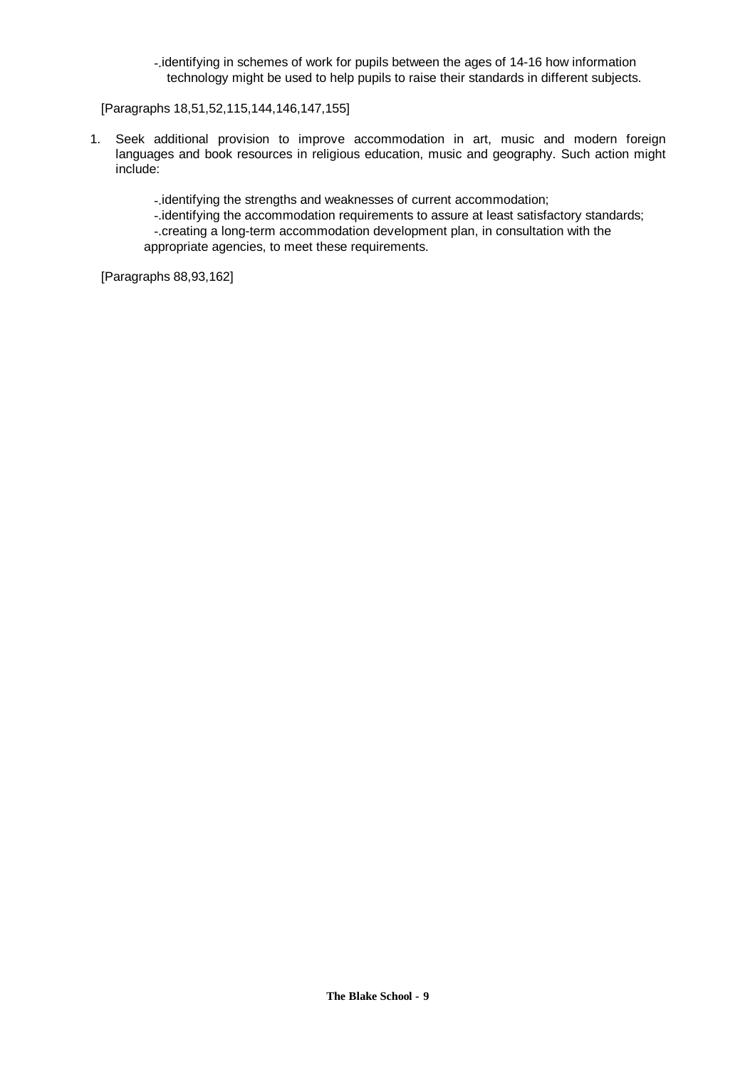-.identifying in schemes of work for pupils between the ages of 14-16 how information technology might be used to help pupils to raise their standards in different subjects.

[Paragraphs 18,51,52,115,144,146,147,155]

1. Seek additional provision to improve accommodation in art, music and modern foreign languages and book resources in religious education, music and geography. Such action might include:

-.identifying the strengths and weaknesses of current accommodation;

-.identifying the accommodation requirements to assure at least satisfactory standards;

 -.creating a long-term accommodation development plan, in consultation with the appropriate agencies, to meet these requirements.

[Paragraphs 88,93,162]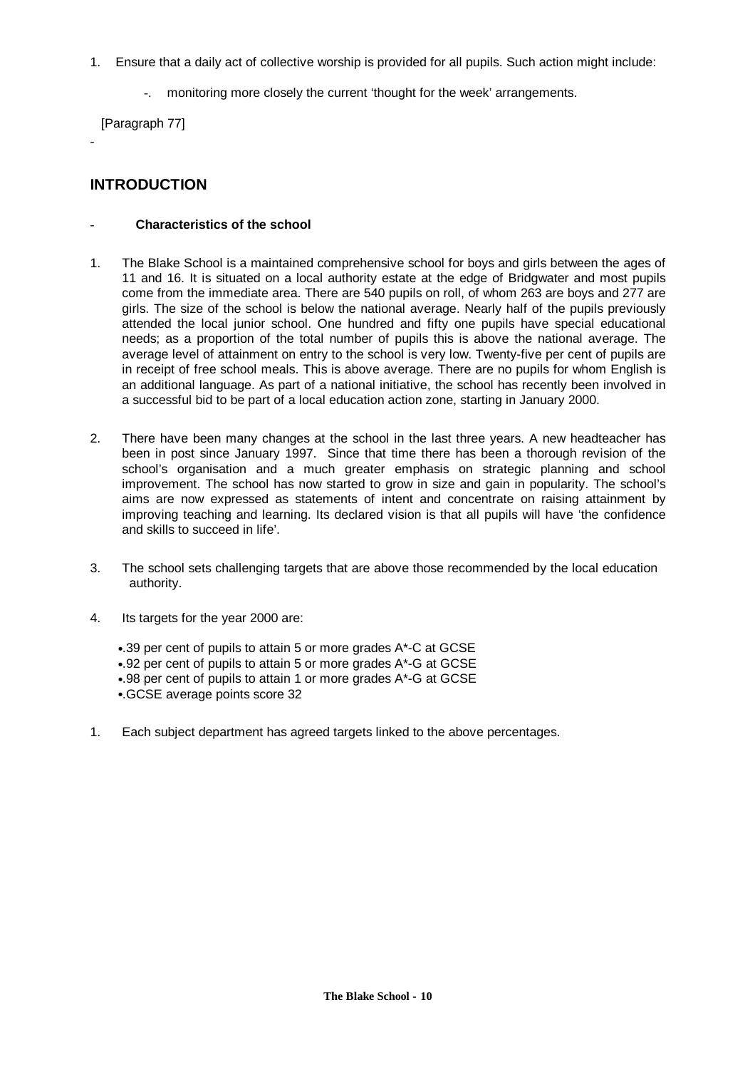- 1. Ensure that a daily act of collective worship is provided for all pupils. Such action might include:
	- -. monitoring more closely the current 'thought for the week' arrangements.

[Paragraph 77]

-

# **INTRODUCTION**

#### - **Characteristics of the school**

- 1. The Blake School is a maintained comprehensive school for boys and girls between the ages of 11 and 16. It is situated on a local authority estate at the edge of Bridgwater and most pupils come from the immediate area. There are 540 pupils on roll, of whom 263 are boys and 277 are girls. The size of the school is below the national average. Nearly half of the pupils previously attended the local junior school. One hundred and fifty one pupils have special educational needs; as a proportion of the total number of pupils this is above the national average. The average level of attainment on entry to the school is very low. Twenty-five per cent of pupils are in receipt of free school meals. This is above average. There are no pupils for whom English is an additional language. As part of a national initiative, the school has recently been involved in a successful bid to be part of a local education action zone, starting in January 2000.
- 2. There have been many changes at the school in the last three years. A new headteacher has been in post since January 1997. Since that time there has been a thorough revision of the school's organisation and a much greater emphasis on strategic planning and school improvement. The school has now started to grow in size and gain in popularity. The school's aims are now expressed as statements of intent and concentrate on raising attainment by improving teaching and learning. Its declared vision is that all pupils will have 'the confidence and skills to succeed in life'.
- 3. The school sets challenging targets that are above those recommended by the local education authority.
- 4. Its targets for the year 2000 are:
	- •.39 per cent of pupils to attain 5 or more grades A\*-C at GCSE
	- •.92 per cent of pupils to attain 5 or more grades A\*-G at GCSE
	- •.98 per cent of pupils to attain 1 or more grades A\*-G at GCSE
	- •.GCSE average points score 32
- 1. Each subject department has agreed targets linked to the above percentages.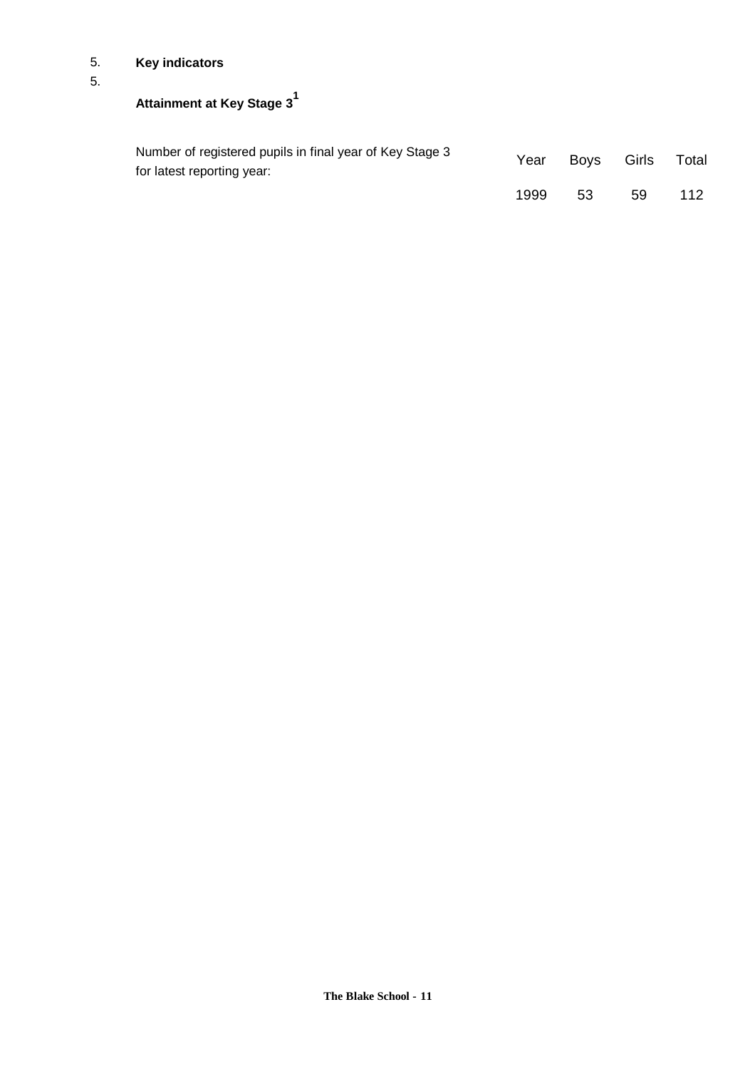# 5. **Key indicators**

# 5.

**Attainment at Key Stage 3<sup>1</sup>**

| Number of registered pupils in final year of Key Stage 3<br>for latest reporting year: | Year | Bovs | Girls | Total |
|----------------------------------------------------------------------------------------|------|------|-------|-------|
|                                                                                        | 1999 | -53  | 59    | 112   |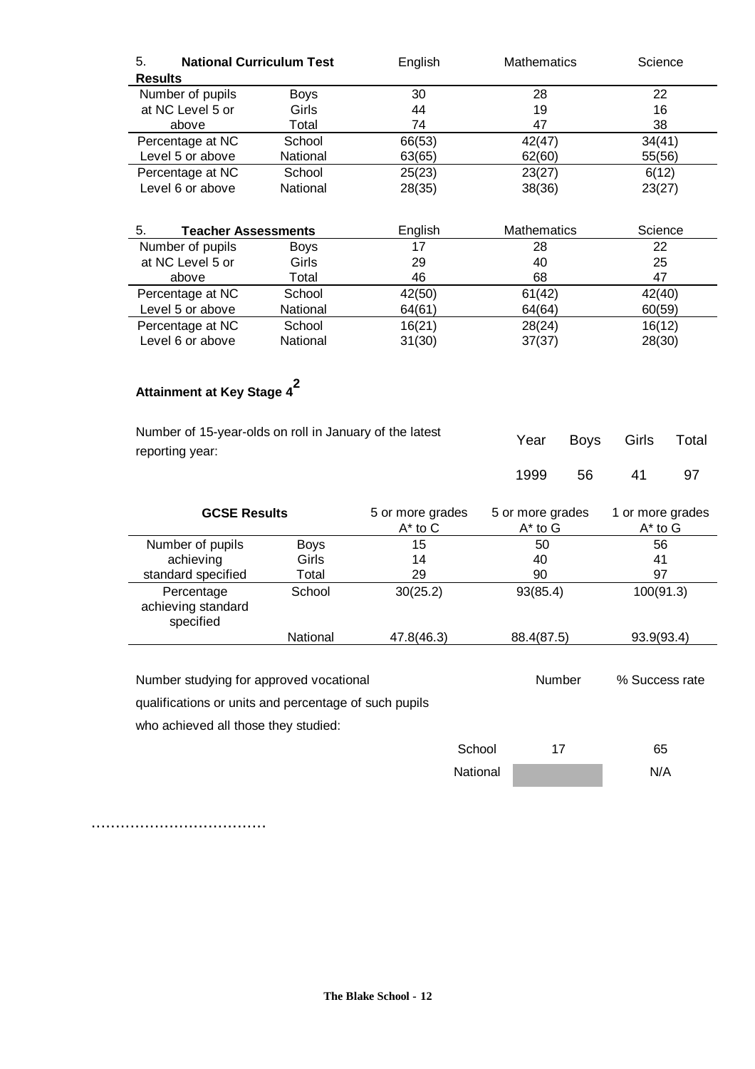| <b>National Curriculum Test</b><br>5. |             | English | <b>Mathematics</b> | Science |  |
|---------------------------------------|-------------|---------|--------------------|---------|--|
| <b>Results</b>                        |             |         |                    |         |  |
| Number of pupils                      | <b>Boys</b> | 30      | 28                 | 22      |  |
| at NC Level 5 or                      | Girls       | 44      | 19                 | 16      |  |
| above                                 | Total       | 74      | 47                 | 38      |  |
| Percentage at NC                      | School      | 66(53)  | 42(47)             | 34(41)  |  |
| Level 5 or above                      | National    | 63(65)  | 62(60)             | 55(56)  |  |
| Percentage at NC                      | School      | 25(23)  | 23(27)             | 6(12)   |  |
| Level 6 or above                      | National    | 28(35)  | 38(36)             | 23(27)  |  |
|                                       |             |         |                    |         |  |
|                                       |             |         |                    |         |  |
| 5.<br><b>Teacher Assessments</b>      |             | English | <b>Mathematics</b> | Science |  |
| Number of pupils                      | Boys        | 17      | 28                 | 22      |  |
| at NC Level 5 or                      | Girls       | 29      | 40                 | 25      |  |
| above                                 | Total       | 46      | 68                 | 47      |  |
| Percentage at NC                      | School      | 42(50)  | 61(42)             | 42(40)  |  |
| Level 5 or above                      | National    | 64(61)  | 64(64)             | 60(59)  |  |
| Percentage at NC                      | School      | 16(21)  | 28(24)             | 16(12)  |  |
| Level 6 or above                      | National    | 31(30)  | 37(37)             | 28(30)  |  |

# **Attainment at Key Stage 42**

| Number of 15-year-olds on roll in January of the latest<br>reporting year:                       |             |                                  | Year     | <b>Boys</b>                      | Girls         | Total                            |    |
|--------------------------------------------------------------------------------------------------|-------------|----------------------------------|----------|----------------------------------|---------------|----------------------------------|----|
|                                                                                                  |             |                                  |          | 1999                             | 56            | 41                               | 97 |
| <b>GCSE Results</b>                                                                              |             | 5 or more grades<br>$A^*$ to $C$ |          | 5 or more grades<br>$A^*$ to $G$ |               | 1 or more grades<br>$A^*$ to $G$ |    |
| Number of pupils                                                                                 | <b>Boys</b> | 15                               |          | 50                               |               | 56                               |    |
| achieving                                                                                        | Girls       | 14                               |          | 40                               |               | 41                               |    |
| standard specified                                                                               | Total       | 29                               |          | 90                               |               | 97                               |    |
| Percentage<br>achieving standard<br>specified                                                    | School      | 30(25.2)                         |          | 93(85.4)                         |               | 100(91.3)                        |    |
|                                                                                                  | National    | 47.8(46.3)                       |          | 88.4(87.5)                       |               | 93.9(93.4)                       |    |
| Number studying for approved vocational<br>qualifications or units and percentage of such pupils |             |                                  |          |                                  | <b>Number</b> | % Success rate                   |    |
| who achieved all those they studied:                                                             |             |                                  |          |                                  |               |                                  |    |
|                                                                                                  |             |                                  | School   |                                  | 17            | 65                               |    |
|                                                                                                  |             |                                  | National |                                  |               | N/A                              |    |

....................................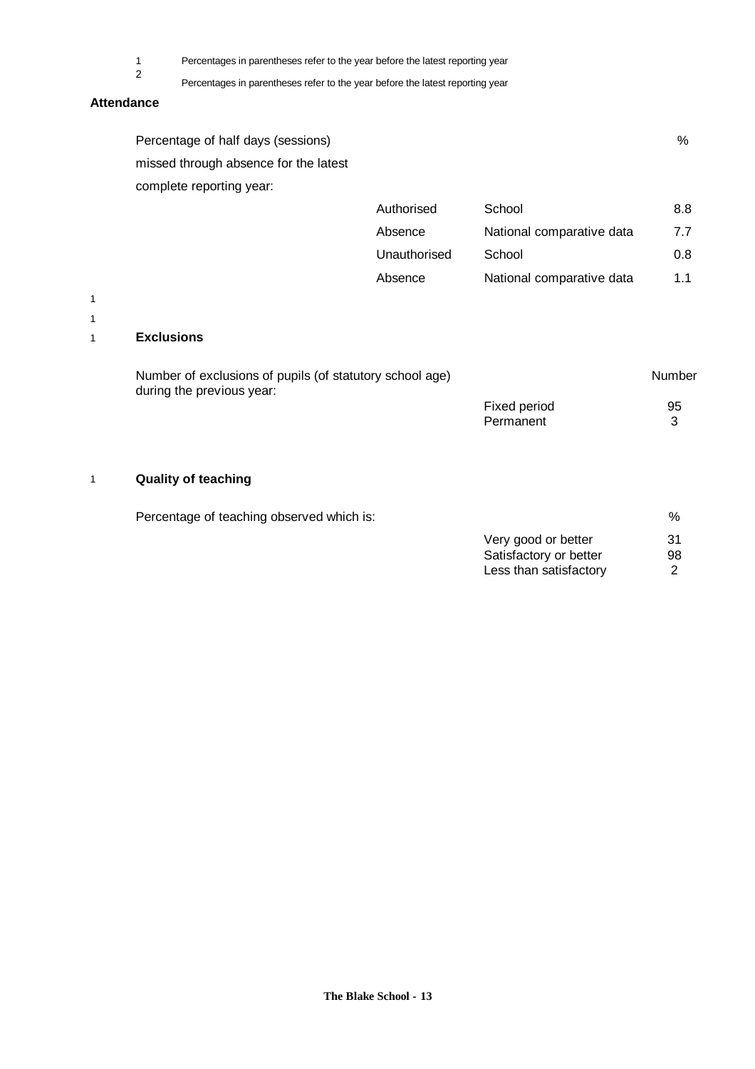2

1 Percentages in parentheses refer to the year before the latest reporting year

Percentages in parentheses refer to the year before the latest reporting year

#### **Attendance**

| Percentage of half days (sessions)    |            |        | %   |
|---------------------------------------|------------|--------|-----|
| missed through absence for the latest |            |        |     |
| complete reporting year:              |            |        |     |
|                                       | Authorised | School | 8.8 |
|                                       |            |        |     |

| Absence      | National comparative data | 7.7 |
|--------------|---------------------------|-----|
| Unauthorised | School                    | 0.8 |
| Absence      | National comparative data | 11  |

1 1

# 1 **Exclusions**

| Number of exclusions of pupils (of statutory school age)<br>during the previous year: |              | Number |
|---------------------------------------------------------------------------------------|--------------|--------|
|                                                                                       | Fixed period | 95     |
|                                                                                       | Permanent    |        |

# 1 **Quality of teaching**

Percentage of teaching observed which is:  $\%$ 

| Very good or better    | -31 |
|------------------------|-----|
| Satisfactory or better | 98  |
| Less than satisfactory | 2   |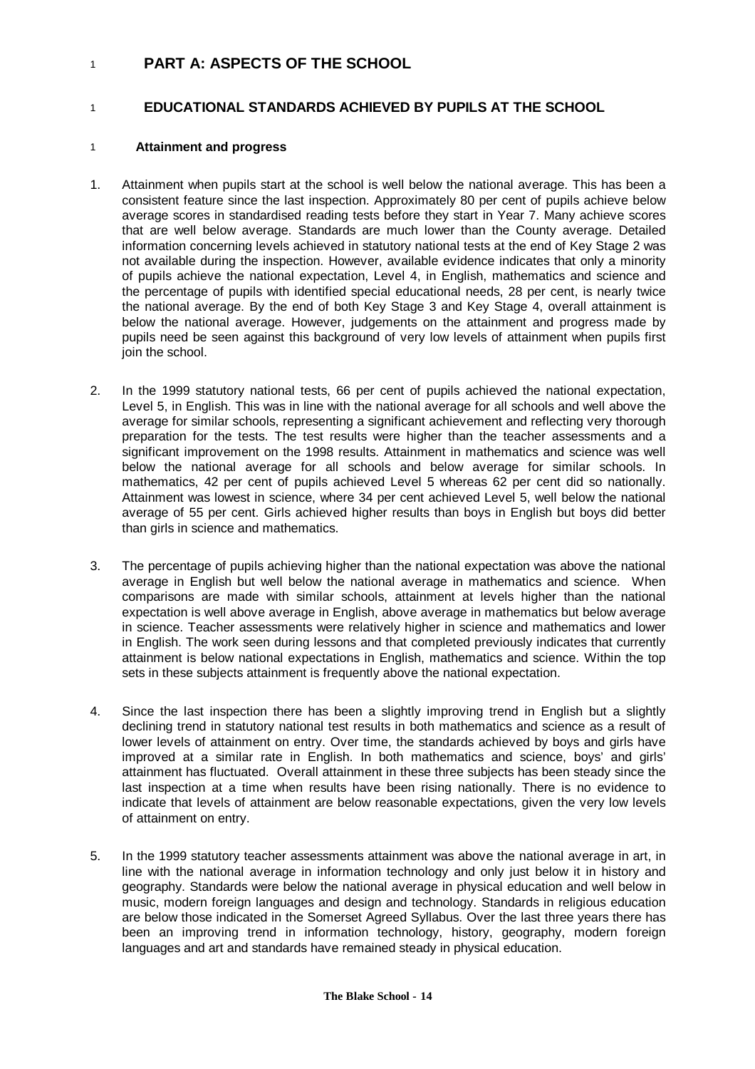# <sup>1</sup> **PART A: ASPECTS OF THE SCHOOL**

# 1 **EDUCATIONAL STANDARDS ACHIEVED BY PUPILS AT THE SCHOOL**

#### 1 **Attainment and progress**

- 1. Attainment when pupils start at the school is well below the national average. This has been a consistent feature since the last inspection. Approximately 80 per cent of pupils achieve below average scores in standardised reading tests before they start in Year 7. Many achieve scores that are well below average. Standards are much lower than the County average. Detailed information concerning levels achieved in statutory national tests at the end of Key Stage 2 was not available during the inspection. However, available evidence indicates that only a minority of pupils achieve the national expectation, Level 4, in English, mathematics and science and the percentage of pupils with identified special educational needs, 28 per cent, is nearly twice the national average. By the end of both Key Stage 3 and Key Stage 4, overall attainment is below the national average. However, judgements on the attainment and progress made by pupils need be seen against this background of very low levels of attainment when pupils first join the school.
- 2. In the 1999 statutory national tests, 66 per cent of pupils achieved the national expectation, Level 5, in English. This was in line with the national average for all schools and well above the average for similar schools, representing a significant achievement and reflecting very thorough preparation for the tests. The test results were higher than the teacher assessments and a significant improvement on the 1998 results. Attainment in mathematics and science was well below the national average for all schools and below average for similar schools. In mathematics, 42 per cent of pupils achieved Level 5 whereas 62 per cent did so nationally. Attainment was lowest in science, where 34 per cent achieved Level 5, well below the national average of 55 per cent. Girls achieved higher results than boys in English but boys did better than girls in science and mathematics.
- 3. The percentage of pupils achieving higher than the national expectation was above the national average in English but well below the national average in mathematics and science. When comparisons are made with similar schools, attainment at levels higher than the national expectation is well above average in English, above average in mathematics but below average in science. Teacher assessments were relatively higher in science and mathematics and lower in English. The work seen during lessons and that completed previously indicates that currently attainment is below national expectations in English, mathematics and science. Within the top sets in these subjects attainment is frequently above the national expectation.
- 4. Since the last inspection there has been a slightly improving trend in English but a slightly declining trend in statutory national test results in both mathematics and science as a result of lower levels of attainment on entry. Over time, the standards achieved by boys and girls have improved at a similar rate in English. In both mathematics and science, boys' and girls' attainment has fluctuated. Overall attainment in these three subjects has been steady since the last inspection at a time when results have been rising nationally. There is no evidence to indicate that levels of attainment are below reasonable expectations, given the very low levels of attainment on entry.
- 5. In the 1999 statutory teacher assessments attainment was above the national average in art, in line with the national average in information technology and only just below it in history and geography. Standards were below the national average in physical education and well below in music, modern foreign languages and design and technology. Standards in religious education are below those indicated in the Somerset Agreed Syllabus. Over the last three years there has been an improving trend in information technology, history, geography, modern foreign languages and art and standards have remained steady in physical education.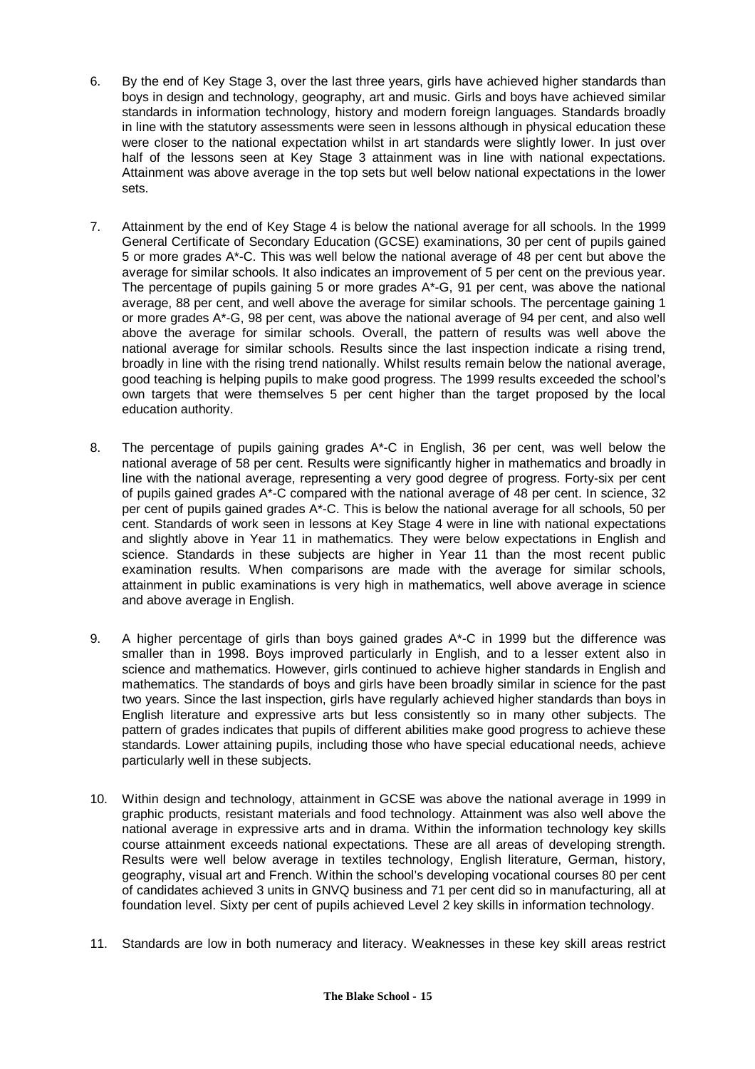- 6. By the end of Key Stage 3, over the last three years, girls have achieved higher standards than boys in design and technology, geography, art and music. Girls and boys have achieved similar standards in information technology, history and modern foreign languages. Standards broadly in line with the statutory assessments were seen in lessons although in physical education these were closer to the national expectation whilst in art standards were slightly lower. In just over half of the lessons seen at Key Stage 3 attainment was in line with national expectations. Attainment was above average in the top sets but well below national expectations in the lower sets.
- 7. Attainment by the end of Key Stage 4 is below the national average for all schools. In the 1999 General Certificate of Secondary Education (GCSE) examinations, 30 per cent of pupils gained 5 or more grades A\*-C. This was well below the national average of 48 per cent but above the average for similar schools. It also indicates an improvement of 5 per cent on the previous year. The percentage of pupils gaining 5 or more grades  $A^*$ -G, 91 per cent, was above the national average, 88 per cent, and well above the average for similar schools. The percentage gaining 1 or more grades A\*-G, 98 per cent, was above the national average of 94 per cent, and also well above the average for similar schools. Overall, the pattern of results was well above the national average for similar schools. Results since the last inspection indicate a rising trend, broadly in line with the rising trend nationally. Whilst results remain below the national average, good teaching is helping pupils to make good progress. The 1999 results exceeded the school's own targets that were themselves 5 per cent higher than the target proposed by the local education authority.
- 8. The percentage of pupils gaining grades A\*-C in English, 36 per cent, was well below the national average of 58 per cent. Results were significantly higher in mathematics and broadly in line with the national average, representing a very good degree of progress. Forty-six per cent of pupils gained grades A\*-C compared with the national average of 48 per cent. In science, 32 per cent of pupils gained grades A\*-C. This is below the national average for all schools, 50 per cent. Standards of work seen in lessons at Key Stage 4 were in line with national expectations and slightly above in Year 11 in mathematics. They were below expectations in English and science. Standards in these subjects are higher in Year 11 than the most recent public examination results. When comparisons are made with the average for similar schools, attainment in public examinations is very high in mathematics, well above average in science and above average in English.
- 9. A higher percentage of girls than boys gained grades A\*-C in 1999 but the difference was smaller than in 1998. Boys improved particularly in English, and to a lesser extent also in science and mathematics. However, girls continued to achieve higher standards in English and mathematics. The standards of boys and girls have been broadly similar in science for the past two years. Since the last inspection, girls have regularly achieved higher standards than boys in English literature and expressive arts but less consistently so in many other subjects. The pattern of grades indicates that pupils of different abilities make good progress to achieve these standards. Lower attaining pupils, including those who have special educational needs, achieve particularly well in these subjects.
- 10. Within design and technology, attainment in GCSE was above the national average in 1999 in graphic products, resistant materials and food technology. Attainment was also well above the national average in expressive arts and in drama. Within the information technology key skills course attainment exceeds national expectations. These are all areas of developing strength. Results were well below average in textiles technology, English literature, German, history, geography, visual art and French. Within the school's developing vocational courses 80 per cent of candidates achieved 3 units in GNVQ business and 71 per cent did so in manufacturing, all at foundation level. Sixty per cent of pupils achieved Level 2 key skills in information technology.
- 11. Standards are low in both numeracy and literacy. Weaknesses in these key skill areas restrict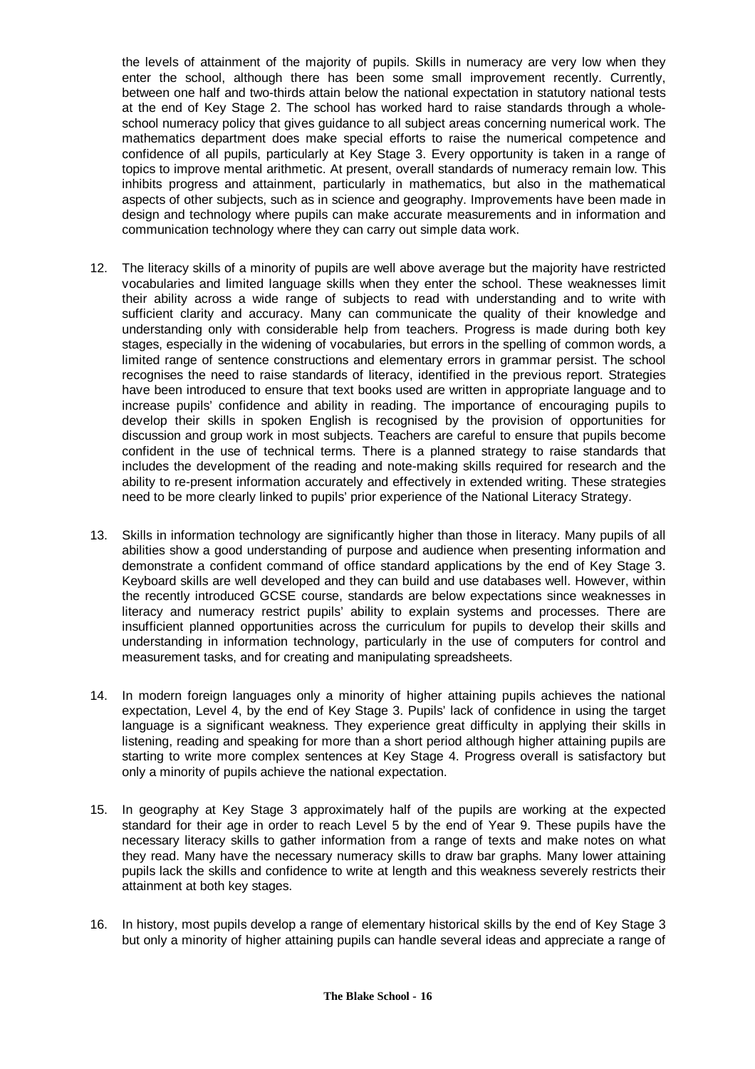the levels of attainment of the majority of pupils. Skills in numeracy are very low when they enter the school, although there has been some small improvement recently. Currently, between one half and two-thirds attain below the national expectation in statutory national tests at the end of Key Stage 2. The school has worked hard to raise standards through a wholeschool numeracy policy that gives guidance to all subject areas concerning numerical work. The mathematics department does make special efforts to raise the numerical competence and confidence of all pupils, particularly at Key Stage 3. Every opportunity is taken in a range of topics to improve mental arithmetic. At present, overall standards of numeracy remain low. This inhibits progress and attainment, particularly in mathematics, but also in the mathematical aspects of other subjects, such as in science and geography. Improvements have been made in design and technology where pupils can make accurate measurements and in information and communication technology where they can carry out simple data work.

- 12. The literacy skills of a minority of pupils are well above average but the majority have restricted vocabularies and limited language skills when they enter the school. These weaknesses limit their ability across a wide range of subjects to read with understanding and to write with sufficient clarity and accuracy. Many can communicate the quality of their knowledge and understanding only with considerable help from teachers. Progress is made during both key stages, especially in the widening of vocabularies, but errors in the spelling of common words, a limited range of sentence constructions and elementary errors in grammar persist. The school recognises the need to raise standards of literacy, identified in the previous report. Strategies have been introduced to ensure that text books used are written in appropriate language and to increase pupils' confidence and ability in reading. The importance of encouraging pupils to develop their skills in spoken English is recognised by the provision of opportunities for discussion and group work in most subjects. Teachers are careful to ensure that pupils become confident in the use of technical terms. There is a planned strategy to raise standards that includes the development of the reading and note-making skills required for research and the ability to re-present information accurately and effectively in extended writing. These strategies need to be more clearly linked to pupils' prior experience of the National Literacy Strategy.
- 13. Skills in information technology are significantly higher than those in literacy. Many pupils of all abilities show a good understanding of purpose and audience when presenting information and demonstrate a confident command of office standard applications by the end of Key Stage 3. Keyboard skills are well developed and they can build and use databases well. However, within the recently introduced GCSE course, standards are below expectations since weaknesses in literacy and numeracy restrict pupils' ability to explain systems and processes. There are insufficient planned opportunities across the curriculum for pupils to develop their skills and understanding in information technology, particularly in the use of computers for control and measurement tasks, and for creating and manipulating spreadsheets.
- 14. In modern foreign languages only a minority of higher attaining pupils achieves the national expectation, Level 4, by the end of Key Stage 3. Pupils' lack of confidence in using the target language is a significant weakness. They experience great difficulty in applying their skills in listening, reading and speaking for more than a short period although higher attaining pupils are starting to write more complex sentences at Key Stage 4. Progress overall is satisfactory but only a minority of pupils achieve the national expectation.
- 15. In geography at Key Stage 3 approximately half of the pupils are working at the expected standard for their age in order to reach Level 5 by the end of Year 9. These pupils have the necessary literacy skills to gather information from a range of texts and make notes on what they read. Many have the necessary numeracy skills to draw bar graphs. Many lower attaining pupils lack the skills and confidence to write at length and this weakness severely restricts their attainment at both key stages.
- 16. In history, most pupils develop a range of elementary historical skills by the end of Key Stage 3 but only a minority of higher attaining pupils can handle several ideas and appreciate a range of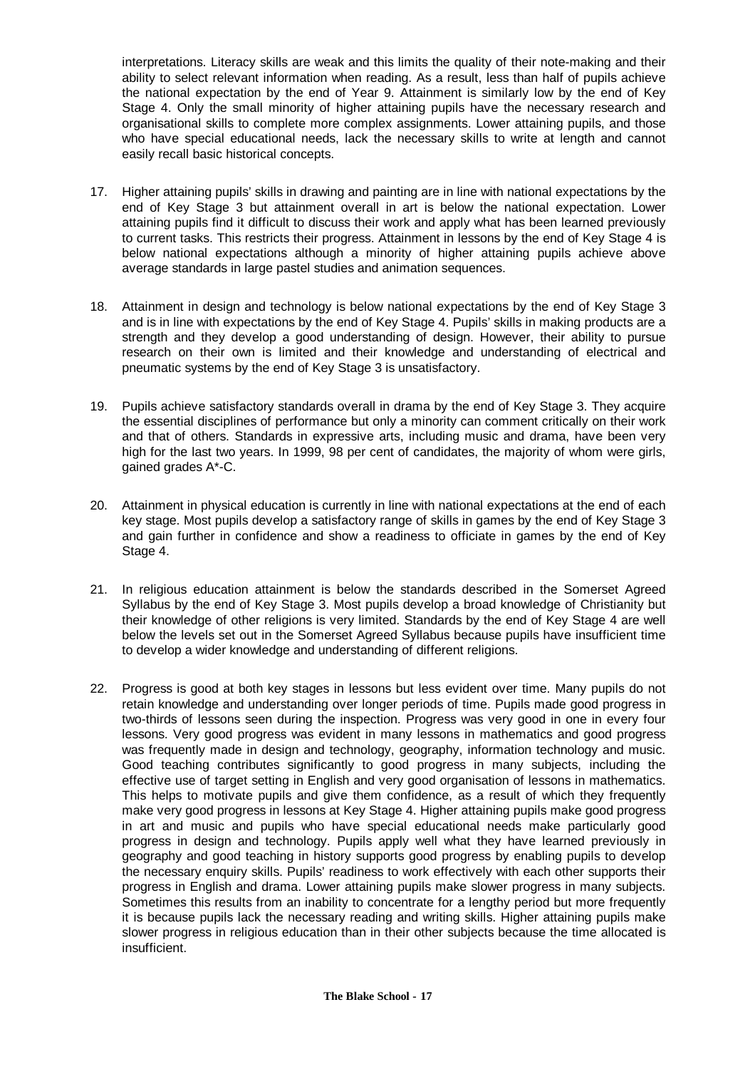interpretations. Literacy skills are weak and this limits the quality of their note-making and their ability to select relevant information when reading. As a result, less than half of pupils achieve the national expectation by the end of Year 9. Attainment is similarly low by the end of Key Stage 4. Only the small minority of higher attaining pupils have the necessary research and organisational skills to complete more complex assignments. Lower attaining pupils, and those who have special educational needs, lack the necessary skills to write at length and cannot easily recall basic historical concepts.

- 17. Higher attaining pupils' skills in drawing and painting are in line with national expectations by the end of Key Stage 3 but attainment overall in art is below the national expectation. Lower attaining pupils find it difficult to discuss their work and apply what has been learned previously to current tasks. This restricts their progress. Attainment in lessons by the end of Key Stage 4 is below national expectations although a minority of higher attaining pupils achieve above average standards in large pastel studies and animation sequences.
- 18. Attainment in design and technology is below national expectations by the end of Key Stage 3 and is in line with expectations by the end of Key Stage 4. Pupils' skills in making products are a strength and they develop a good understanding of design. However, their ability to pursue research on their own is limited and their knowledge and understanding of electrical and pneumatic systems by the end of Key Stage 3 is unsatisfactory.
- 19. Pupils achieve satisfactory standards overall in drama by the end of Key Stage 3. They acquire the essential disciplines of performance but only a minority can comment critically on their work and that of others. Standards in expressive arts, including music and drama, have been very high for the last two years. In 1999, 98 per cent of candidates, the majority of whom were girls, gained grades A\*-C.
- 20. Attainment in physical education is currently in line with national expectations at the end of each key stage. Most pupils develop a satisfactory range of skills in games by the end of Key Stage 3 and gain further in confidence and show a readiness to officiate in games by the end of Key Stage 4.
- 21. In religious education attainment is below the standards described in the Somerset Agreed Syllabus by the end of Key Stage 3. Most pupils develop a broad knowledge of Christianity but their knowledge of other religions is very limited. Standards by the end of Key Stage 4 are well below the levels set out in the Somerset Agreed Syllabus because pupils have insufficient time to develop a wider knowledge and understanding of different religions.
- 22. Progress is good at both key stages in lessons but less evident over time. Many pupils do not retain knowledge and understanding over longer periods of time. Pupils made good progress in two-thirds of lessons seen during the inspection. Progress was very good in one in every four lessons. Very good progress was evident in many lessons in mathematics and good progress was frequently made in design and technology, geography, information technology and music. Good teaching contributes significantly to good progress in many subjects, including the effective use of target setting in English and very good organisation of lessons in mathematics. This helps to motivate pupils and give them confidence, as a result of which they frequently make very good progress in lessons at Key Stage 4. Higher attaining pupils make good progress in art and music and pupils who have special educational needs make particularly good progress in design and technology. Pupils apply well what they have learned previously in geography and good teaching in history supports good progress by enabling pupils to develop the necessary enquiry skills. Pupils' readiness to work effectively with each other supports their progress in English and drama. Lower attaining pupils make slower progress in many subjects. Sometimes this results from an inability to concentrate for a lengthy period but more frequently it is because pupils lack the necessary reading and writing skills. Higher attaining pupils make slower progress in religious education than in their other subjects because the time allocated is insufficient.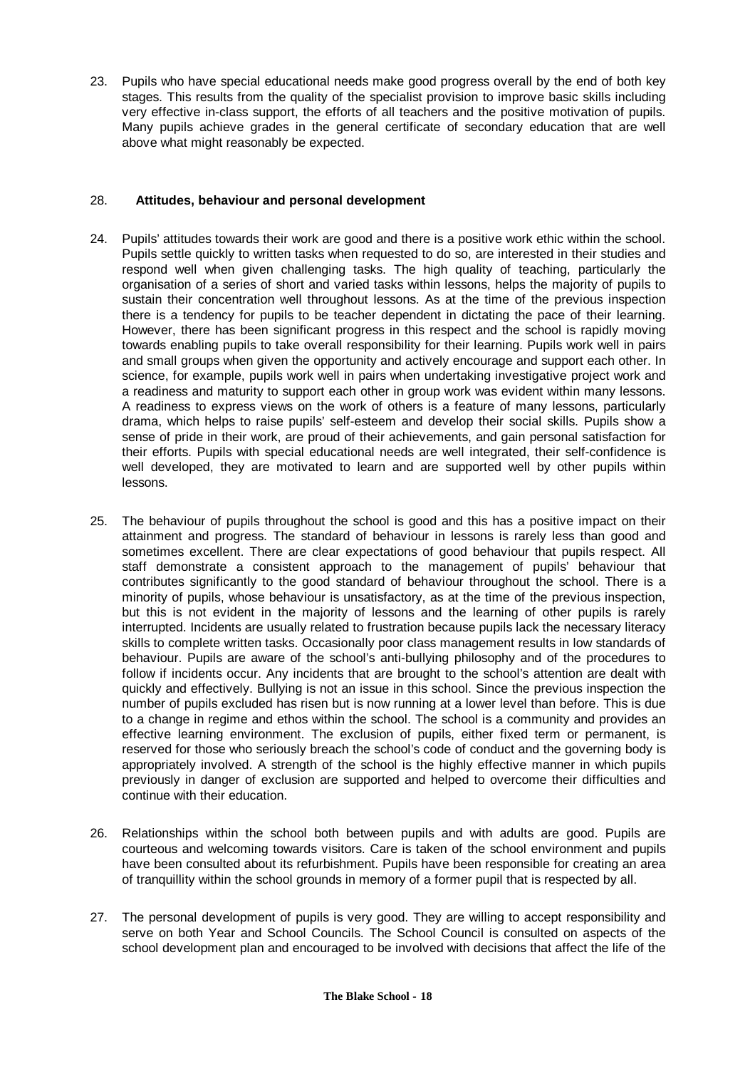23. Pupils who have special educational needs make good progress overall by the end of both key stages. This results from the quality of the specialist provision to improve basic skills including very effective in-class support, the efforts of all teachers and the positive motivation of pupils. Many pupils achieve grades in the general certificate of secondary education that are well above what might reasonably be expected.

#### 28. **Attitudes, behaviour and personal development**

- 24. Pupils' attitudes towards their work are good and there is a positive work ethic within the school. Pupils settle quickly to written tasks when requested to do so, are interested in their studies and respond well when given challenging tasks. The high quality of teaching, particularly the organisation of a series of short and varied tasks within lessons, helps the majority of pupils to sustain their concentration well throughout lessons. As at the time of the previous inspection there is a tendency for pupils to be teacher dependent in dictating the pace of their learning. However, there has been significant progress in this respect and the school is rapidly moving towards enabling pupils to take overall responsibility for their learning. Pupils work well in pairs and small groups when given the opportunity and actively encourage and support each other. In science, for example, pupils work well in pairs when undertaking investigative project work and a readiness and maturity to support each other in group work was evident within many lessons. A readiness to express views on the work of others is a feature of many lessons, particularly drama, which helps to raise pupils' self-esteem and develop their social skills. Pupils show a sense of pride in their work, are proud of their achievements, and gain personal satisfaction for their efforts. Pupils with special educational needs are well integrated, their self-confidence is well developed, they are motivated to learn and are supported well by other pupils within lessons.
- 25. The behaviour of pupils throughout the school is good and this has a positive impact on their attainment and progress. The standard of behaviour in lessons is rarely less than good and sometimes excellent. There are clear expectations of good behaviour that pupils respect. All staff demonstrate a consistent approach to the management of pupils' behaviour that contributes significantly to the good standard of behaviour throughout the school. There is a minority of pupils, whose behaviour is unsatisfactory, as at the time of the previous inspection, but this is not evident in the majority of lessons and the learning of other pupils is rarely interrupted. Incidents are usually related to frustration because pupils lack the necessary literacy skills to complete written tasks. Occasionally poor class management results in low standards of behaviour. Pupils are aware of the school's anti-bullying philosophy and of the procedures to follow if incidents occur. Any incidents that are brought to the school's attention are dealt with quickly and effectively. Bullying is not an issue in this school. Since the previous inspection the number of pupils excluded has risen but is now running at a lower level than before. This is due to a change in regime and ethos within the school. The school is a community and provides an effective learning environment. The exclusion of pupils, either fixed term or permanent, is reserved for those who seriously breach the school's code of conduct and the governing body is appropriately involved. A strength of the school is the highly effective manner in which pupils previously in danger of exclusion are supported and helped to overcome their difficulties and continue with their education.
- 26. Relationships within the school both between pupils and with adults are good. Pupils are courteous and welcoming towards visitors. Care is taken of the school environment and pupils have been consulted about its refurbishment. Pupils have been responsible for creating an area of tranquillity within the school grounds in memory of a former pupil that is respected by all.
- 27. The personal development of pupils is very good. They are willing to accept responsibility and serve on both Year and School Councils. The School Council is consulted on aspects of the school development plan and encouraged to be involved with decisions that affect the life of the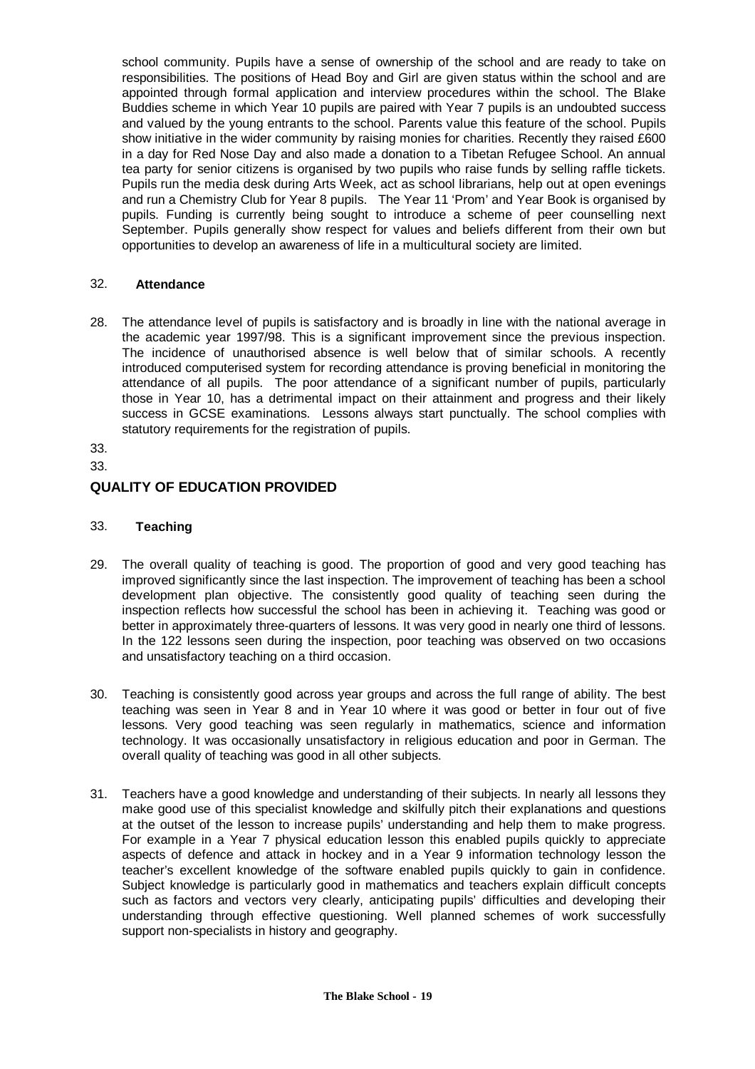school community. Pupils have a sense of ownership of the school and are ready to take on responsibilities. The positions of Head Boy and Girl are given status within the school and are appointed through formal application and interview procedures within the school. The Blake Buddies scheme in which Year 10 pupils are paired with Year 7 pupils is an undoubted success and valued by the young entrants to the school. Parents value this feature of the school. Pupils show initiative in the wider community by raising monies for charities. Recently they raised £600 in a day for Red Nose Day and also made a donation to a Tibetan Refugee School. An annual tea party for senior citizens is organised by two pupils who raise funds by selling raffle tickets. Pupils run the media desk during Arts Week, act as school librarians, help out at open evenings and run a Chemistry Club for Year 8 pupils. The Year 11 'Prom' and Year Book is organised by pupils. Funding is currently being sought to introduce a scheme of peer counselling next September. Pupils generally show respect for values and beliefs different from their own but opportunities to develop an awareness of life in a multicultural society are limited.

#### 32. **Attendance**

28. The attendance level of pupils is satisfactory and is broadly in line with the national average in the academic year 1997/98. This is a significant improvement since the previous inspection. The incidence of unauthorised absence is well below that of similar schools. A recently introduced computerised system for recording attendance is proving beneficial in monitoring the attendance of all pupils. The poor attendance of a significant number of pupils, particularly those in Year 10, has a detrimental impact on their attainment and progress and their likely success in GCSE examinations. Lessons always start punctually. The school complies with statutory requirements for the registration of pupils.

33.

33.

# **QUALITY OF EDUCATION PROVIDED**

#### 33. **Teaching**

- 29. The overall quality of teaching is good. The proportion of good and very good teaching has improved significantly since the last inspection. The improvement of teaching has been a school development plan objective. The consistently good quality of teaching seen during the inspection reflects how successful the school has been in achieving it. Teaching was good or better in approximately three-quarters of lessons. It was very good in nearly one third of lessons. In the 122 lessons seen during the inspection, poor teaching was observed on two occasions and unsatisfactory teaching on a third occasion.
- 30. Teaching is consistently good across year groups and across the full range of ability. The best teaching was seen in Year 8 and in Year 10 where it was good or better in four out of five lessons. Very good teaching was seen regularly in mathematics, science and information technology. It was occasionally unsatisfactory in religious education and poor in German. The overall quality of teaching was good in all other subjects.
- 31. Teachers have a good knowledge and understanding of their subjects. In nearly all lessons they make good use of this specialist knowledge and skilfully pitch their explanations and questions at the outset of the lesson to increase pupils' understanding and help them to make progress. For example in a Year 7 physical education lesson this enabled pupils quickly to appreciate aspects of defence and attack in hockey and in a Year 9 information technology lesson the teacher's excellent knowledge of the software enabled pupils quickly to gain in confidence. Subject knowledge is particularly good in mathematics and teachers explain difficult concepts such as factors and vectors very clearly, anticipating pupils' difficulties and developing their understanding through effective questioning. Well planned schemes of work successfully support non-specialists in history and geography.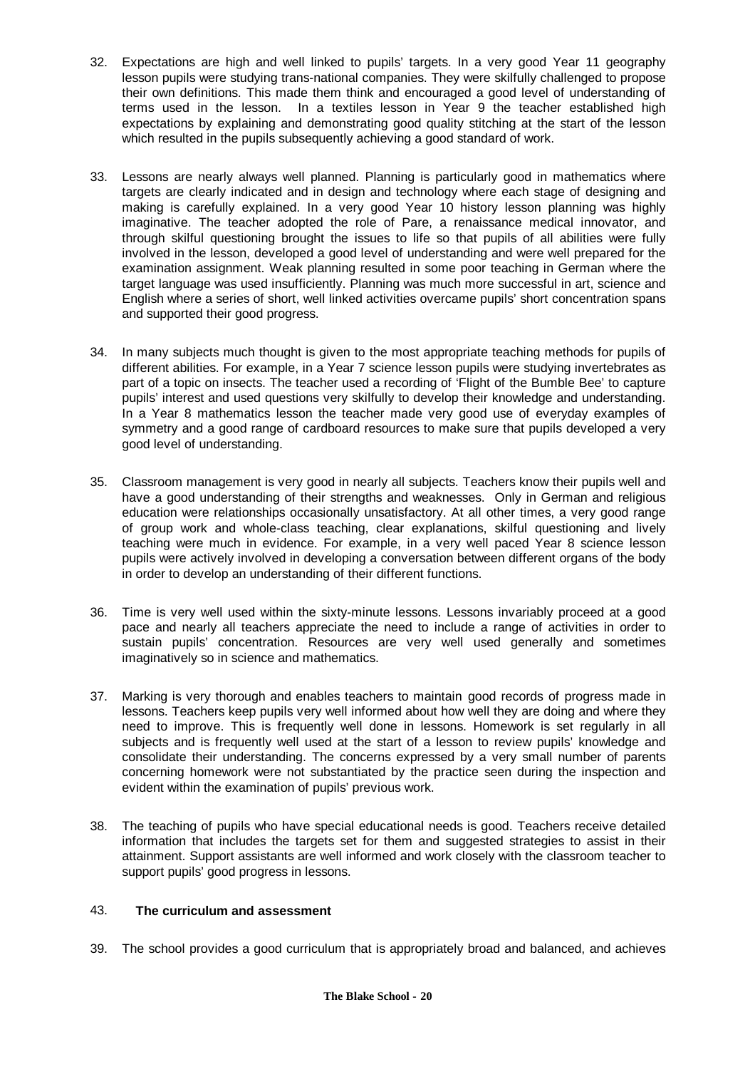- 32. Expectations are high and well linked to pupils' targets. In a very good Year 11 geography lesson pupils were studying trans-national companies. They were skilfully challenged to propose their own definitions. This made them think and encouraged a good level of understanding of terms used in the lesson. In a textiles lesson in Year 9 the teacher established high expectations by explaining and demonstrating good quality stitching at the start of the lesson which resulted in the pupils subsequently achieving a good standard of work.
- 33. Lessons are nearly always well planned. Planning is particularly good in mathematics where targets are clearly indicated and in design and technology where each stage of designing and making is carefully explained. In a very good Year 10 history lesson planning was highly imaginative. The teacher adopted the role of Pare, a renaissance medical innovator, and through skilful questioning brought the issues to life so that pupils of all abilities were fully involved in the lesson, developed a good level of understanding and were well prepared for the examination assignment. Weak planning resulted in some poor teaching in German where the target language was used insufficiently. Planning was much more successful in art, science and English where a series of short, well linked activities overcame pupils' short concentration spans and supported their good progress.
- 34. In many subjects much thought is given to the most appropriate teaching methods for pupils of different abilities. For example, in a Year 7 science lesson pupils were studying invertebrates as part of a topic on insects. The teacher used a recording of 'Flight of the Bumble Bee' to capture pupils' interest and used questions very skilfully to develop their knowledge and understanding. In a Year 8 mathematics lesson the teacher made very good use of everyday examples of symmetry and a good range of cardboard resources to make sure that pupils developed a very good level of understanding.
- 35. Classroom management is very good in nearly all subjects. Teachers know their pupils well and have a good understanding of their strengths and weaknesses. Only in German and religious education were relationships occasionally unsatisfactory. At all other times, a very good range of group work and whole-class teaching, clear explanations, skilful questioning and lively teaching were much in evidence. For example, in a very well paced Year 8 science lesson pupils were actively involved in developing a conversation between different organs of the body in order to develop an understanding of their different functions.
- 36. Time is very well used within the sixty-minute lessons. Lessons invariably proceed at a good pace and nearly all teachers appreciate the need to include a range of activities in order to sustain pupils' concentration. Resources are very well used generally and sometimes imaginatively so in science and mathematics.
- 37. Marking is very thorough and enables teachers to maintain good records of progress made in lessons. Teachers keep pupils very well informed about how well they are doing and where they need to improve. This is frequently well done in lessons. Homework is set regularly in all subjects and is frequently well used at the start of a lesson to review pupils' knowledge and consolidate their understanding. The concerns expressed by a very small number of parents concerning homework were not substantiated by the practice seen during the inspection and evident within the examination of pupils' previous work.
- 38. The teaching of pupils who have special educational needs is good. Teachers receive detailed information that includes the targets set for them and suggested strategies to assist in their attainment. Support assistants are well informed and work closely with the classroom teacher to support pupils' good progress in lessons.

# 43. **The curriculum and assessment**

39. The school provides a good curriculum that is appropriately broad and balanced, and achieves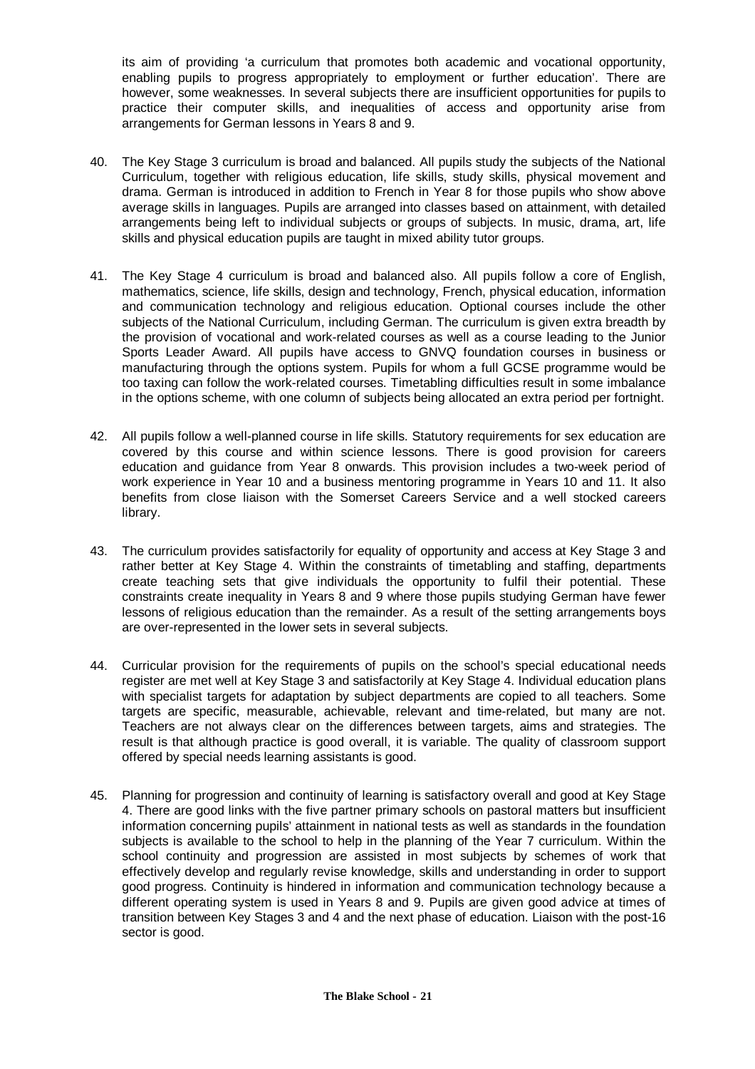its aim of providing 'a curriculum that promotes both academic and vocational opportunity, enabling pupils to progress appropriately to employment or further education'. There are however, some weaknesses. In several subjects there are insufficient opportunities for pupils to practice their computer skills, and inequalities of access and opportunity arise from arrangements for German lessons in Years 8 and 9.

- 40. The Key Stage 3 curriculum is broad and balanced. All pupils study the subjects of the National Curriculum, together with religious education, life skills, study skills, physical movement and drama. German is introduced in addition to French in Year 8 for those pupils who show above average skills in languages. Pupils are arranged into classes based on attainment, with detailed arrangements being left to individual subjects or groups of subjects. In music, drama, art, life skills and physical education pupils are taught in mixed ability tutor groups.
- 41. The Key Stage 4 curriculum is broad and balanced also. All pupils follow a core of English, mathematics, science, life skills, design and technology, French, physical education, information and communication technology and religious education. Optional courses include the other subjects of the National Curriculum, including German. The curriculum is given extra breadth by the provision of vocational and work-related courses as well as a course leading to the Junior Sports Leader Award. All pupils have access to GNVQ foundation courses in business or manufacturing through the options system. Pupils for whom a full GCSE programme would be too taxing can follow the work-related courses. Timetabling difficulties result in some imbalance in the options scheme, with one column of subjects being allocated an extra period per fortnight.
- 42. All pupils follow a well-planned course in life skills. Statutory requirements for sex education are covered by this course and within science lessons. There is good provision for careers education and guidance from Year 8 onwards. This provision includes a two-week period of work experience in Year 10 and a business mentoring programme in Years 10 and 11. It also benefits from close liaison with the Somerset Careers Service and a well stocked careers library.
- 43. The curriculum provides satisfactorily for equality of opportunity and access at Key Stage 3 and rather better at Key Stage 4. Within the constraints of timetabling and staffing, departments create teaching sets that give individuals the opportunity to fulfil their potential. These constraints create inequality in Years 8 and 9 where those pupils studying German have fewer lessons of religious education than the remainder. As a result of the setting arrangements boys are over-represented in the lower sets in several subjects.
- 44. Curricular provision for the requirements of pupils on the school's special educational needs register are met well at Key Stage 3 and satisfactorily at Key Stage 4. Individual education plans with specialist targets for adaptation by subject departments are copied to all teachers. Some targets are specific, measurable, achievable, relevant and time-related, but many are not. Teachers are not always clear on the differences between targets, aims and strategies. The result is that although practice is good overall, it is variable. The quality of classroom support offered by special needs learning assistants is good.
- 45. Planning for progression and continuity of learning is satisfactory overall and good at Key Stage 4. There are good links with the five partner primary schools on pastoral matters but insufficient information concerning pupils' attainment in national tests as well as standards in the foundation subjects is available to the school to help in the planning of the Year 7 curriculum. Within the school continuity and progression are assisted in most subjects by schemes of work that effectively develop and regularly revise knowledge, skills and understanding in order to support good progress. Continuity is hindered in information and communication technology because a different operating system is used in Years 8 and 9. Pupils are given good advice at times of transition between Key Stages 3 and 4 and the next phase of education. Liaison with the post-16 sector is good.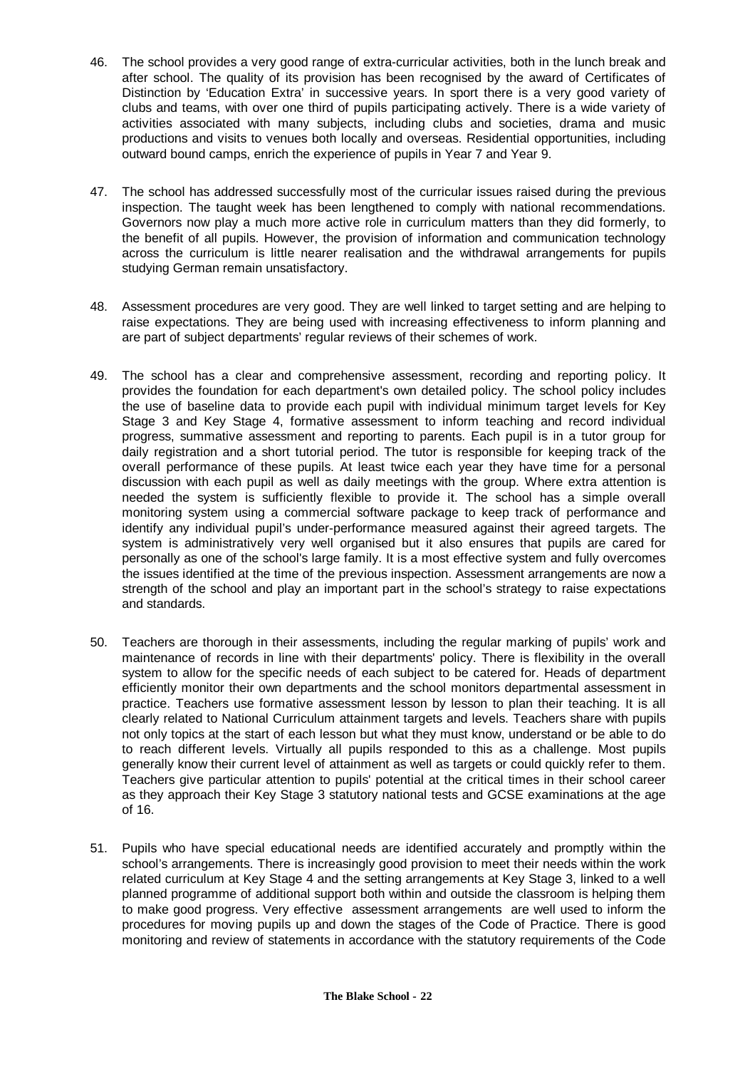- 46. The school provides a very good range of extra-curricular activities, both in the lunch break and after school. The quality of its provision has been recognised by the award of Certificates of Distinction by 'Education Extra' in successive years. In sport there is a very good variety of clubs and teams, with over one third of pupils participating actively. There is a wide variety of activities associated with many subjects, including clubs and societies, drama and music productions and visits to venues both locally and overseas. Residential opportunities, including outward bound camps, enrich the experience of pupils in Year 7 and Year 9.
- 47. The school has addressed successfully most of the curricular issues raised during the previous inspection. The taught week has been lengthened to comply with national recommendations. Governors now play a much more active role in curriculum matters than they did formerly, to the benefit of all pupils. However, the provision of information and communication technology across the curriculum is little nearer realisation and the withdrawal arrangements for pupils studying German remain unsatisfactory.
- 48. Assessment procedures are very good. They are well linked to target setting and are helping to raise expectations. They are being used with increasing effectiveness to inform planning and are part of subject departments' regular reviews of their schemes of work.
- 49. The school has a clear and comprehensive assessment, recording and reporting policy. It provides the foundation for each department's own detailed policy. The school policy includes the use of baseline data to provide each pupil with individual minimum target levels for Key Stage 3 and Key Stage 4, formative assessment to inform teaching and record individual progress, summative assessment and reporting to parents. Each pupil is in a tutor group for daily registration and a short tutorial period. The tutor is responsible for keeping track of the overall performance of these pupils. At least twice each year they have time for a personal discussion with each pupil as well as daily meetings with the group. Where extra attention is needed the system is sufficiently flexible to provide it. The school has a simple overall monitoring system using a commercial software package to keep track of performance and identify any individual pupil's under-performance measured against their agreed targets. The system is administratively very well organised but it also ensures that pupils are cared for personally as one of the school's large family. It is a most effective system and fully overcomes the issues identified at the time of the previous inspection. Assessment arrangements are now a strength of the school and play an important part in the school's strategy to raise expectations and standards.
- 50. Teachers are thorough in their assessments, including the regular marking of pupils' work and maintenance of records in line with their departments' policy. There is flexibility in the overall system to allow for the specific needs of each subject to be catered for. Heads of department efficiently monitor their own departments and the school monitors departmental assessment in practice. Teachers use formative assessment lesson by lesson to plan their teaching. It is all clearly related to National Curriculum attainment targets and levels. Teachers share with pupils not only topics at the start of each lesson but what they must know, understand or be able to do to reach different levels. Virtually all pupils responded to this as a challenge. Most pupils generally know their current level of attainment as well as targets or could quickly refer to them. Teachers give particular attention to pupils' potential at the critical times in their school career as they approach their Key Stage 3 statutory national tests and GCSE examinations at the age of 16.
- 51. Pupils who have special educational needs are identified accurately and promptly within the school's arrangements. There is increasingly good provision to meet their needs within the work related curriculum at Key Stage 4 and the setting arrangements at Key Stage 3, linked to a well planned programme of additional support both within and outside the classroom is helping them to make good progress. Very effective assessment arrangements are well used to inform the procedures for moving pupils up and down the stages of the Code of Practice. There is good monitoring and review of statements in accordance with the statutory requirements of the Code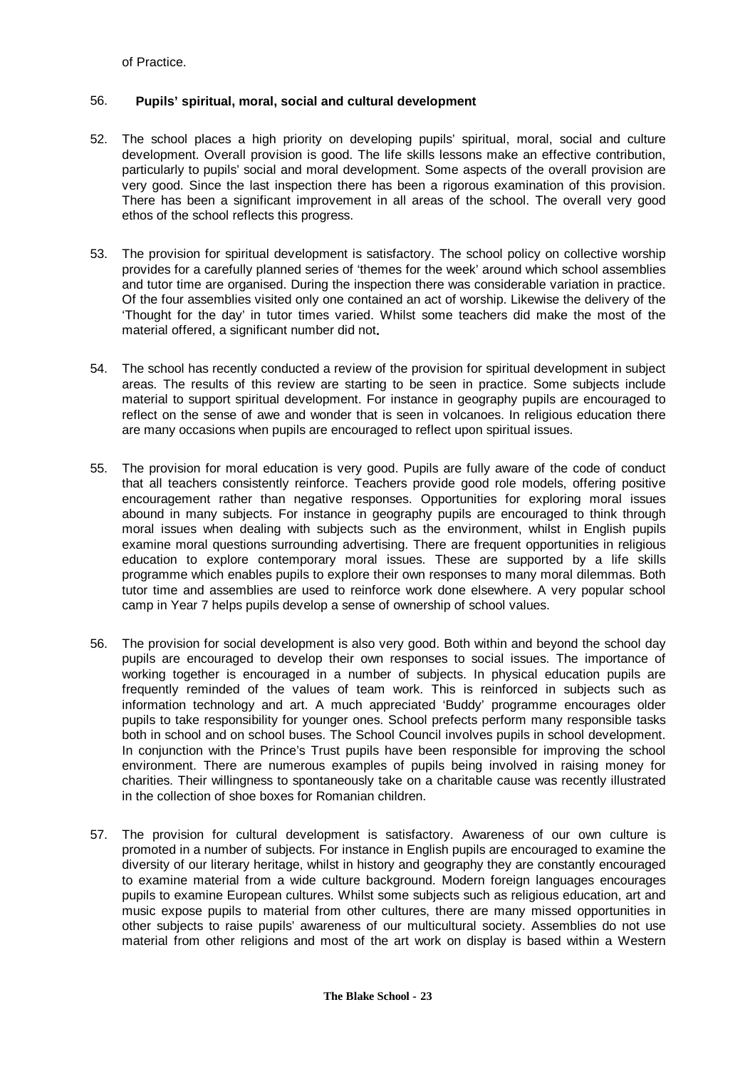of Practice.

#### 56. **Pupils' spiritual, moral, social and cultural development**

- 52. The school places a high priority on developing pupils' spiritual, moral, social and culture development. Overall provision is good. The life skills lessons make an effective contribution, particularly to pupils' social and moral development. Some aspects of the overall provision are very good. Since the last inspection there has been a rigorous examination of this provision. There has been a significant improvement in all areas of the school. The overall very good ethos of the school reflects this progress.
- 53. The provision for spiritual development is satisfactory. The school policy on collective worship provides for a carefully planned series of 'themes for the week' around which school assemblies and tutor time are organised. During the inspection there was considerable variation in practice. Of the four assemblies visited only one contained an act of worship. Likewise the delivery of the 'Thought for the day' in tutor times varied. Whilst some teachers did make the most of the material offered, a significant number did not**.**
- 54. The school has recently conducted a review of the provision for spiritual development in subject areas. The results of this review are starting to be seen in practice. Some subjects include material to support spiritual development. For instance in geography pupils are encouraged to reflect on the sense of awe and wonder that is seen in volcanoes. In religious education there are many occasions when pupils are encouraged to reflect upon spiritual issues.
- 55. The provision for moral education is very good. Pupils are fully aware of the code of conduct that all teachers consistently reinforce. Teachers provide good role models, offering positive encouragement rather than negative responses. Opportunities for exploring moral issues abound in many subjects. For instance in geography pupils are encouraged to think through moral issues when dealing with subjects such as the environment, whilst in English pupils examine moral questions surrounding advertising. There are frequent opportunities in religious education to explore contemporary moral issues. These are supported by a life skills programme which enables pupils to explore their own responses to many moral dilemmas. Both tutor time and assemblies are used to reinforce work done elsewhere. A very popular school camp in Year 7 helps pupils develop a sense of ownership of school values.
- 56. The provision for social development is also very good. Both within and beyond the school day pupils are encouraged to develop their own responses to social issues. The importance of working together is encouraged in a number of subjects. In physical education pupils are frequently reminded of the values of team work. This is reinforced in subjects such as information technology and art. A much appreciated 'Buddy' programme encourages older pupils to take responsibility for younger ones. School prefects perform many responsible tasks both in school and on school buses. The School Council involves pupils in school development. In conjunction with the Prince's Trust pupils have been responsible for improving the school environment. There are numerous examples of pupils being involved in raising money for charities. Their willingness to spontaneously take on a charitable cause was recently illustrated in the collection of shoe boxes for Romanian children.
- 57. The provision for cultural development is satisfactory. Awareness of our own culture is promoted in a number of subjects. For instance in English pupils are encouraged to examine the diversity of our literary heritage, whilst in history and geography they are constantly encouraged to examine material from a wide culture background. Modern foreign languages encourages pupils to examine European cultures. Whilst some subjects such as religious education, art and music expose pupils to material from other cultures, there are many missed opportunities in other subjects to raise pupils' awareness of our multicultural society. Assemblies do not use material from other religions and most of the art work on display is based within a Western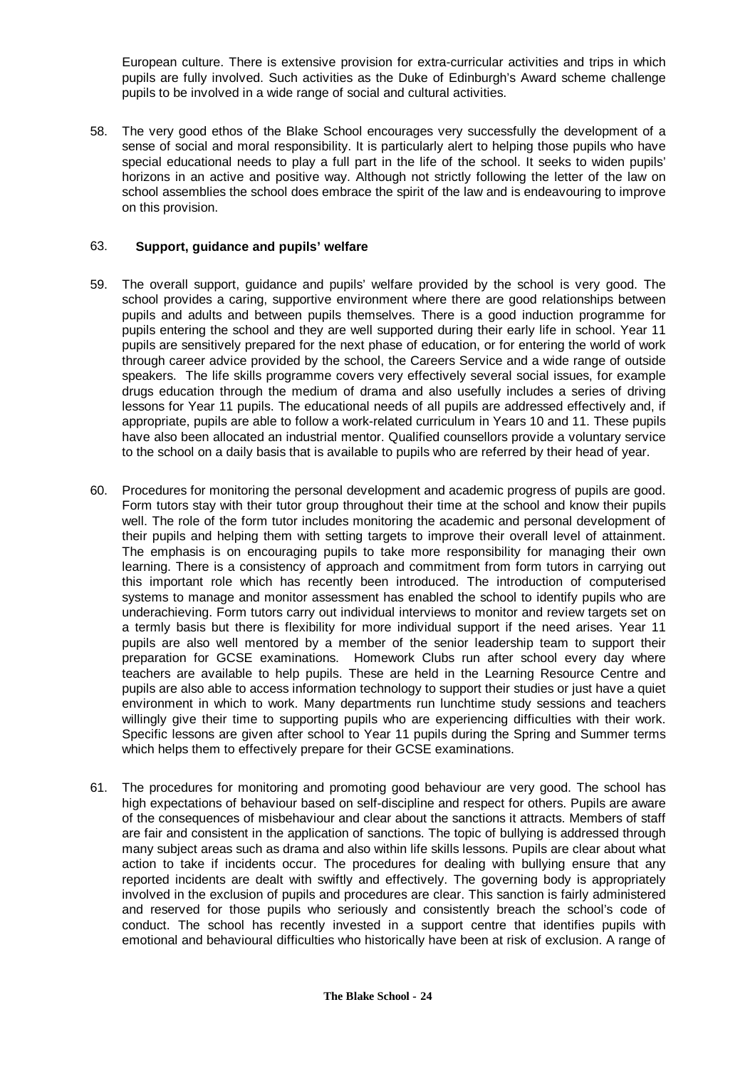European culture. There is extensive provision for extra-curricular activities and trips in which pupils are fully involved. Such activities as the Duke of Edinburgh's Award scheme challenge pupils to be involved in a wide range of social and cultural activities.

58. The very good ethos of the Blake School encourages very successfully the development of a sense of social and moral responsibility. It is particularly alert to helping those pupils who have special educational needs to play a full part in the life of the school. It seeks to widen pupils' horizons in an active and positive way. Although not strictly following the letter of the law on school assemblies the school does embrace the spirit of the law and is endeavouring to improve on this provision.

#### 63. **Support, guidance and pupils' welfare**

- 59. The overall support, guidance and pupils' welfare provided by the school is very good. The school provides a caring, supportive environment where there are good relationships between pupils and adults and between pupils themselves. There is a good induction programme for pupils entering the school and they are well supported during their early life in school. Year 11 pupils are sensitively prepared for the next phase of education, or for entering the world of work through career advice provided by the school, the Careers Service and a wide range of outside speakers. The life skills programme covers very effectively several social issues, for example drugs education through the medium of drama and also usefully includes a series of driving lessons for Year 11 pupils. The educational needs of all pupils are addressed effectively and, if appropriate, pupils are able to follow a work-related curriculum in Years 10 and 11. These pupils have also been allocated an industrial mentor. Qualified counsellors provide a voluntary service to the school on a daily basis that is available to pupils who are referred by their head of year.
- 60. Procedures for monitoring the personal development and academic progress of pupils are good. Form tutors stay with their tutor group throughout their time at the school and know their pupils well. The role of the form tutor includes monitoring the academic and personal development of their pupils and helping them with setting targets to improve their overall level of attainment. The emphasis is on encouraging pupils to take more responsibility for managing their own learning. There is a consistency of approach and commitment from form tutors in carrying out this important role which has recently been introduced. The introduction of computerised systems to manage and monitor assessment has enabled the school to identify pupils who are underachieving. Form tutors carry out individual interviews to monitor and review targets set on a termly basis but there is flexibility for more individual support if the need arises. Year 11 pupils are also well mentored by a member of the senior leadership team to support their preparation for GCSE examinations. Homework Clubs run after school every day where teachers are available to help pupils. These are held in the Learning Resource Centre and pupils are also able to access information technology to support their studies or just have a quiet environment in which to work. Many departments run lunchtime study sessions and teachers willingly give their time to supporting pupils who are experiencing difficulties with their work. Specific lessons are given after school to Year 11 pupils during the Spring and Summer terms which helps them to effectively prepare for their GCSE examinations.
- 61. The procedures for monitoring and promoting good behaviour are very good. The school has high expectations of behaviour based on self-discipline and respect for others. Pupils are aware of the consequences of misbehaviour and clear about the sanctions it attracts. Members of staff are fair and consistent in the application of sanctions. The topic of bullying is addressed through many subject areas such as drama and also within life skills lessons. Pupils are clear about what action to take if incidents occur. The procedures for dealing with bullying ensure that any reported incidents are dealt with swiftly and effectively. The governing body is appropriately involved in the exclusion of pupils and procedures are clear. This sanction is fairly administered and reserved for those pupils who seriously and consistently breach the school's code of conduct. The school has recently invested in a support centre that identifies pupils with emotional and behavioural difficulties who historically have been at risk of exclusion. A range of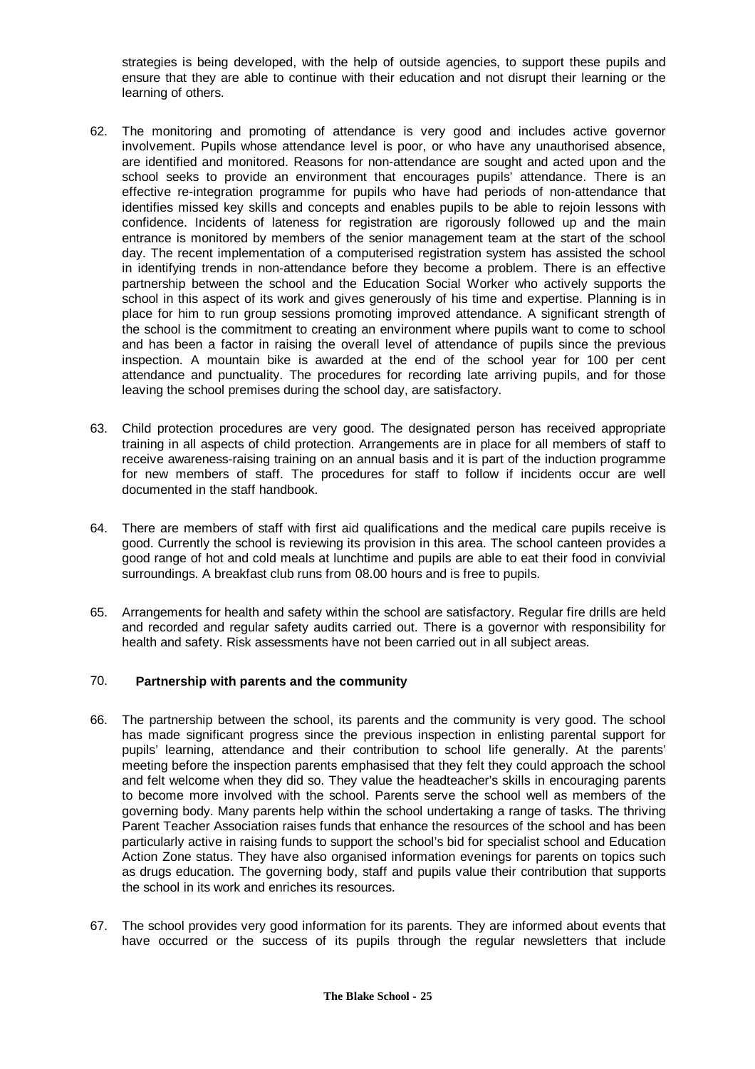strategies is being developed, with the help of outside agencies, to support these pupils and ensure that they are able to continue with their education and not disrupt their learning or the learning of others.

- 62. The monitoring and promoting of attendance is very good and includes active governor involvement. Pupils whose attendance level is poor, or who have any unauthorised absence, are identified and monitored. Reasons for non-attendance are sought and acted upon and the school seeks to provide an environment that encourages pupils' attendance. There is an effective re-integration programme for pupils who have had periods of non-attendance that identifies missed key skills and concepts and enables pupils to be able to rejoin lessons with confidence. Incidents of lateness for registration are rigorously followed up and the main entrance is monitored by members of the senior management team at the start of the school day. The recent implementation of a computerised registration system has assisted the school in identifying trends in non-attendance before they become a problem. There is an effective partnership between the school and the Education Social Worker who actively supports the school in this aspect of its work and gives generously of his time and expertise. Planning is in place for him to run group sessions promoting improved attendance. A significant strength of the school is the commitment to creating an environment where pupils want to come to school and has been a factor in raising the overall level of attendance of pupils since the previous inspection. A mountain bike is awarded at the end of the school year for 100 per cent attendance and punctuality. The procedures for recording late arriving pupils, and for those leaving the school premises during the school day, are satisfactory.
- 63. Child protection procedures are very good. The designated person has received appropriate training in all aspects of child protection. Arrangements are in place for all members of staff to receive awareness-raising training on an annual basis and it is part of the induction programme for new members of staff. The procedures for staff to follow if incidents occur are well documented in the staff handbook.
- 64. There are members of staff with first aid qualifications and the medical care pupils receive is good. Currently the school is reviewing its provision in this area. The school canteen provides a good range of hot and cold meals at lunchtime and pupils are able to eat their food in convivial surroundings. A breakfast club runs from 08.00 hours and is free to pupils.
- 65. Arrangements for health and safety within the school are satisfactory. Regular fire drills are held and recorded and regular safety audits carried out. There is a governor with responsibility for health and safety. Risk assessments have not been carried out in all subject areas.

#### 70. **Partnership with parents and the community**

- 66. The partnership between the school, its parents and the community is very good. The school has made significant progress since the previous inspection in enlisting parental support for pupils' learning, attendance and their contribution to school life generally. At the parents' meeting before the inspection parents emphasised that they felt they could approach the school and felt welcome when they did so. They value the headteacher's skills in encouraging parents to become more involved with the school. Parents serve the school well as members of the governing body. Many parents help within the school undertaking a range of tasks. The thriving Parent Teacher Association raises funds that enhance the resources of the school and has been particularly active in raising funds to support the school's bid for specialist school and Education Action Zone status. They have also organised information evenings for parents on topics such as drugs education. The governing body, staff and pupils value their contribution that supports the school in its work and enriches its resources.
- 67. The school provides very good information for its parents. They are informed about events that have occurred or the success of its pupils through the regular newsletters that include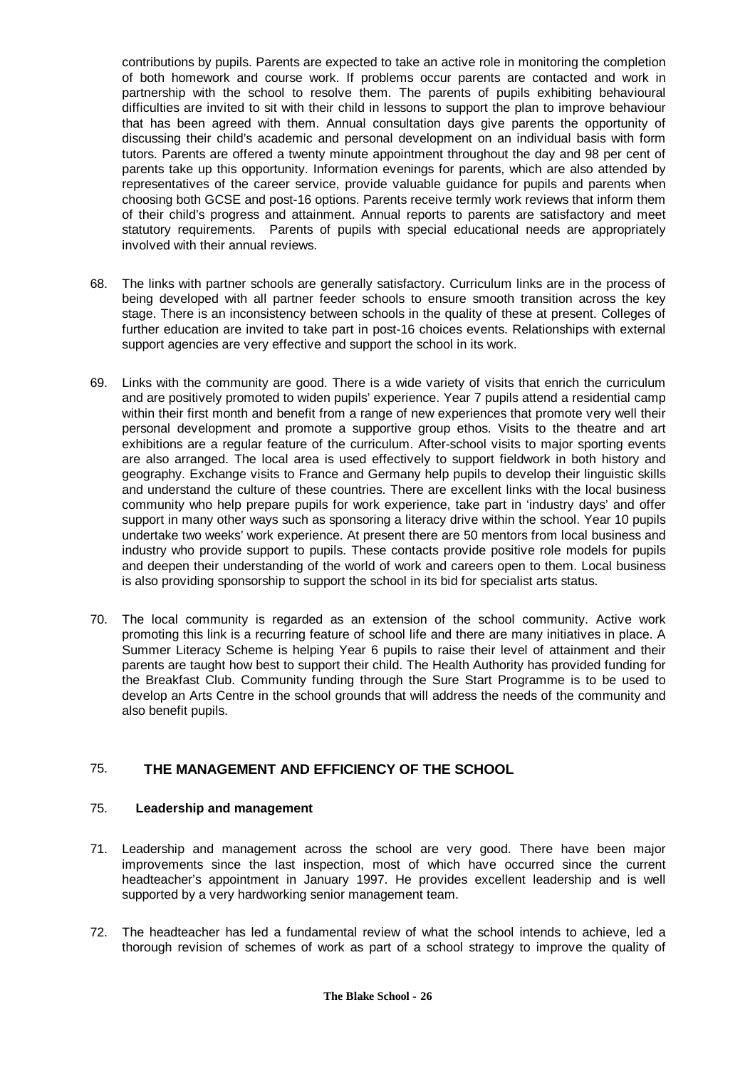contributions by pupils. Parents are expected to take an active role in monitoring the completion of both homework and course work. If problems occur parents are contacted and work in partnership with the school to resolve them. The parents of pupils exhibiting behavioural difficulties are invited to sit with their child in lessons to support the plan to improve behaviour that has been agreed with them. Annual consultation days give parents the opportunity of discussing their child's academic and personal development on an individual basis with form tutors. Parents are offered a twenty minute appointment throughout the day and 98 per cent of parents take up this opportunity. Information evenings for parents, which are also attended by representatives of the career service, provide valuable guidance for pupils and parents when choosing both GCSE and post-16 options. Parents receive termly work reviews that inform them of their child's progress and attainment. Annual reports to parents are satisfactory and meet statutory requirements. Parents of pupils with special educational needs are appropriately involved with their annual reviews.

- 68. The links with partner schools are generally satisfactory. Curriculum links are in the process of being developed with all partner feeder schools to ensure smooth transition across the key stage. There is an inconsistency between schools in the quality of these at present. Colleges of further education are invited to take part in post-16 choices events. Relationships with external support agencies are very effective and support the school in its work.
- 69. Links with the community are good. There is a wide variety of visits that enrich the curriculum and are positively promoted to widen pupils' experience. Year 7 pupils attend a residential camp within their first month and benefit from a range of new experiences that promote very well their personal development and promote a supportive group ethos. Visits to the theatre and art exhibitions are a regular feature of the curriculum. After-school visits to major sporting events are also arranged. The local area is used effectively to support fieldwork in both history and geography. Exchange visits to France and Germany help pupils to develop their linguistic skills and understand the culture of these countries. There are excellent links with the local business community who help prepare pupils for work experience, take part in 'industry days' and offer support in many other ways such as sponsoring a literacy drive within the school. Year 10 pupils undertake two weeks' work experience. At present there are 50 mentors from local business and industry who provide support to pupils. These contacts provide positive role models for pupils and deepen their understanding of the world of work and careers open to them. Local business is also providing sponsorship to support the school in its bid for specialist arts status.
- 70. The local community is regarded as an extension of the school community. Active work promoting this link is a recurring feature of school life and there are many initiatives in place. A Summer Literacy Scheme is helping Year 6 pupils to raise their level of attainment and their parents are taught how best to support their child. The Health Authority has provided funding for the Breakfast Club. Community funding through the Sure Start Programme is to be used to develop an Arts Centre in the school grounds that will address the needs of the community and also benefit pupils.

# 75. **THE MANAGEMENT AND EFFICIENCY OF THE SCHOOL**

#### 75. **Leadership and management**

- 71. Leadership and management across the school are very good. There have been major improvements since the last inspection, most of which have occurred since the current headteacher's appointment in January 1997. He provides excellent leadership and is well supported by a very hardworking senior management team.
- 72. The headteacher has led a fundamental review of what the school intends to achieve, led a thorough revision of schemes of work as part of a school strategy to improve the quality of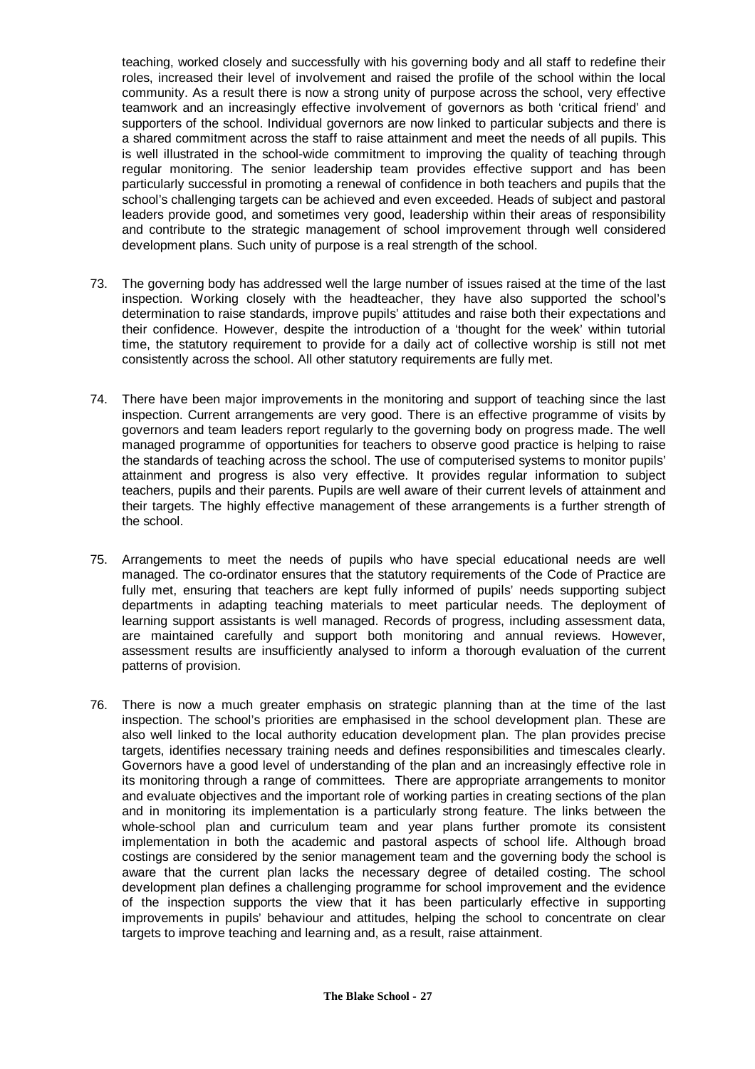teaching, worked closely and successfully with his governing body and all staff to redefine their roles, increased their level of involvement and raised the profile of the school within the local community. As a result there is now a strong unity of purpose across the school, very effective teamwork and an increasingly effective involvement of governors as both 'critical friend' and supporters of the school. Individual governors are now linked to particular subjects and there is a shared commitment across the staff to raise attainment and meet the needs of all pupils. This is well illustrated in the school-wide commitment to improving the quality of teaching through regular monitoring. The senior leadership team provides effective support and has been particularly successful in promoting a renewal of confidence in both teachers and pupils that the school's challenging targets can be achieved and even exceeded. Heads of subject and pastoral leaders provide good, and sometimes very good, leadership within their areas of responsibility and contribute to the strategic management of school improvement through well considered development plans. Such unity of purpose is a real strength of the school.

- 73. The governing body has addressed well the large number of issues raised at the time of the last inspection. Working closely with the headteacher, they have also supported the school's determination to raise standards, improve pupils' attitudes and raise both their expectations and their confidence. However, despite the introduction of a 'thought for the week' within tutorial time, the statutory requirement to provide for a daily act of collective worship is still not met consistently across the school. All other statutory requirements are fully met.
- 74. There have been major improvements in the monitoring and support of teaching since the last inspection. Current arrangements are very good. There is an effective programme of visits by governors and team leaders report regularly to the governing body on progress made. The well managed programme of opportunities for teachers to observe good practice is helping to raise the standards of teaching across the school. The use of computerised systems to monitor pupils' attainment and progress is also very effective. It provides regular information to subject teachers, pupils and their parents. Pupils are well aware of their current levels of attainment and their targets. The highly effective management of these arrangements is a further strength of the school.
- 75. Arrangements to meet the needs of pupils who have special educational needs are well managed. The co-ordinator ensures that the statutory requirements of the Code of Practice are fully met, ensuring that teachers are kept fully informed of pupils' needs supporting subject departments in adapting teaching materials to meet particular needs. The deployment of learning support assistants is well managed. Records of progress, including assessment data, are maintained carefully and support both monitoring and annual reviews. However, assessment results are insufficiently analysed to inform a thorough evaluation of the current patterns of provision.
- 76. There is now a much greater emphasis on strategic planning than at the time of the last inspection. The school's priorities are emphasised in the school development plan. These are also well linked to the local authority education development plan. The plan provides precise targets, identifies necessary training needs and defines responsibilities and timescales clearly. Governors have a good level of understanding of the plan and an increasingly effective role in its monitoring through a range of committees. There are appropriate arrangements to monitor and evaluate objectives and the important role of working parties in creating sections of the plan and in monitoring its implementation is a particularly strong feature. The links between the whole-school plan and curriculum team and year plans further promote its consistent implementation in both the academic and pastoral aspects of school life. Although broad costings are considered by the senior management team and the governing body the school is aware that the current plan lacks the necessary degree of detailed costing. The school development plan defines a challenging programme for school improvement and the evidence of the inspection supports the view that it has been particularly effective in supporting improvements in pupils' behaviour and attitudes, helping the school to concentrate on clear targets to improve teaching and learning and, as a result, raise attainment.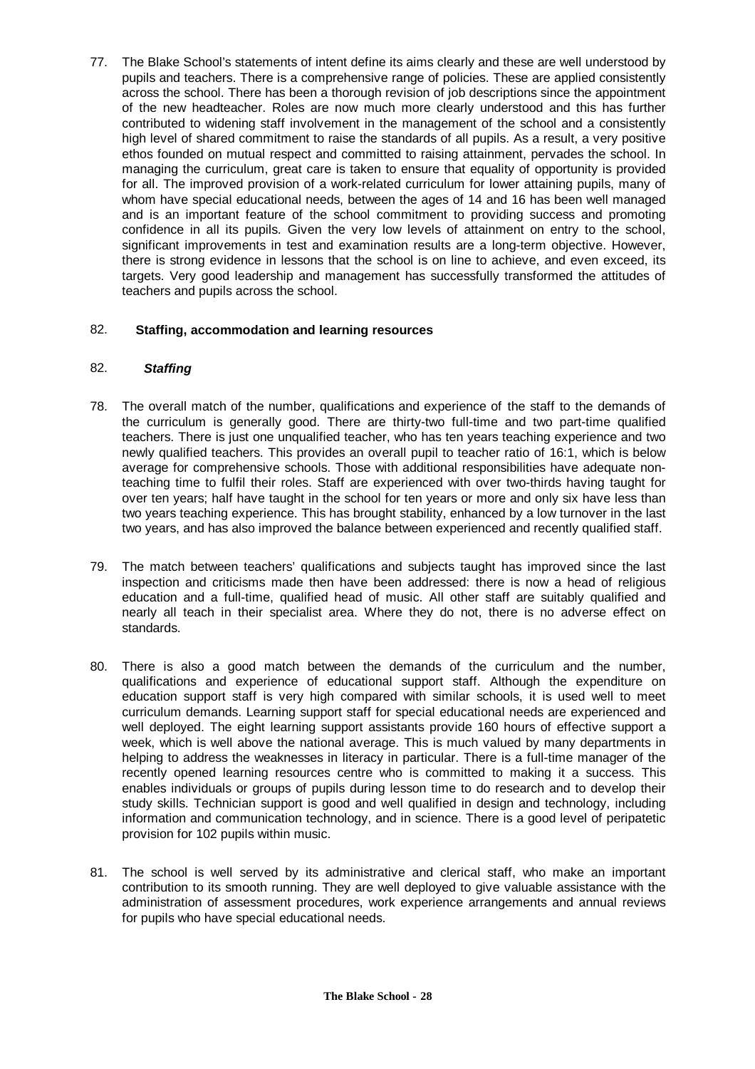77. The Blake School's statements of intent define its aims clearly and these are well understood by pupils and teachers. There is a comprehensive range of policies. These are applied consistently across the school. There has been a thorough revision of job descriptions since the appointment of the new headteacher. Roles are now much more clearly understood and this has further contributed to widening staff involvement in the management of the school and a consistently high level of shared commitment to raise the standards of all pupils. As a result, a very positive ethos founded on mutual respect and committed to raising attainment, pervades the school. In managing the curriculum, great care is taken to ensure that equality of opportunity is provided for all. The improved provision of a work-related curriculum for lower attaining pupils, many of whom have special educational needs, between the ages of 14 and 16 has been well managed and is an important feature of the school commitment to providing success and promoting confidence in all its pupils. Given the very low levels of attainment on entry to the school, significant improvements in test and examination results are a long-term objective. However, there is strong evidence in lessons that the school is on line to achieve, and even exceed, its targets. Very good leadership and management has successfully transformed the attitudes of teachers and pupils across the school.

# 82. **Staffing, accommodation and learning resources**

#### 82. *Staffing*

- 78. The overall match of the number, qualifications and experience of the staff to the demands of the curriculum is generally good. There are thirty-two full-time and two part-time qualified teachers. There is just one unqualified teacher, who has ten years teaching experience and two newly qualified teachers. This provides an overall pupil to teacher ratio of 16:1, which is below average for comprehensive schools. Those with additional responsibilities have adequate nonteaching time to fulfil their roles. Staff are experienced with over two-thirds having taught for over ten years; half have taught in the school for ten years or more and only six have less than two years teaching experience. This has brought stability, enhanced by a low turnover in the last two years, and has also improved the balance between experienced and recently qualified staff.
- 79. The match between teachers' qualifications and subjects taught has improved since the last inspection and criticisms made then have been addressed: there is now a head of religious education and a full-time, qualified head of music. All other staff are suitably qualified and nearly all teach in their specialist area. Where they do not, there is no adverse effect on standards.
- 80. There is also a good match between the demands of the curriculum and the number, qualifications and experience of educational support staff. Although the expenditure on education support staff is very high compared with similar schools, it is used well to meet curriculum demands. Learning support staff for special educational needs are experienced and well deployed. The eight learning support assistants provide 160 hours of effective support a week, which is well above the national average. This is much valued by many departments in helping to address the weaknesses in literacy in particular. There is a full-time manager of the recently opened learning resources centre who is committed to making it a success. This enables individuals or groups of pupils during lesson time to do research and to develop their study skills. Technician support is good and well qualified in design and technology, including information and communication technology, and in science. There is a good level of peripatetic provision for 102 pupils within music.
- 81. The school is well served by its administrative and clerical staff, who make an important contribution to its smooth running. They are well deployed to give valuable assistance with the administration of assessment procedures, work experience arrangements and annual reviews for pupils who have special educational needs.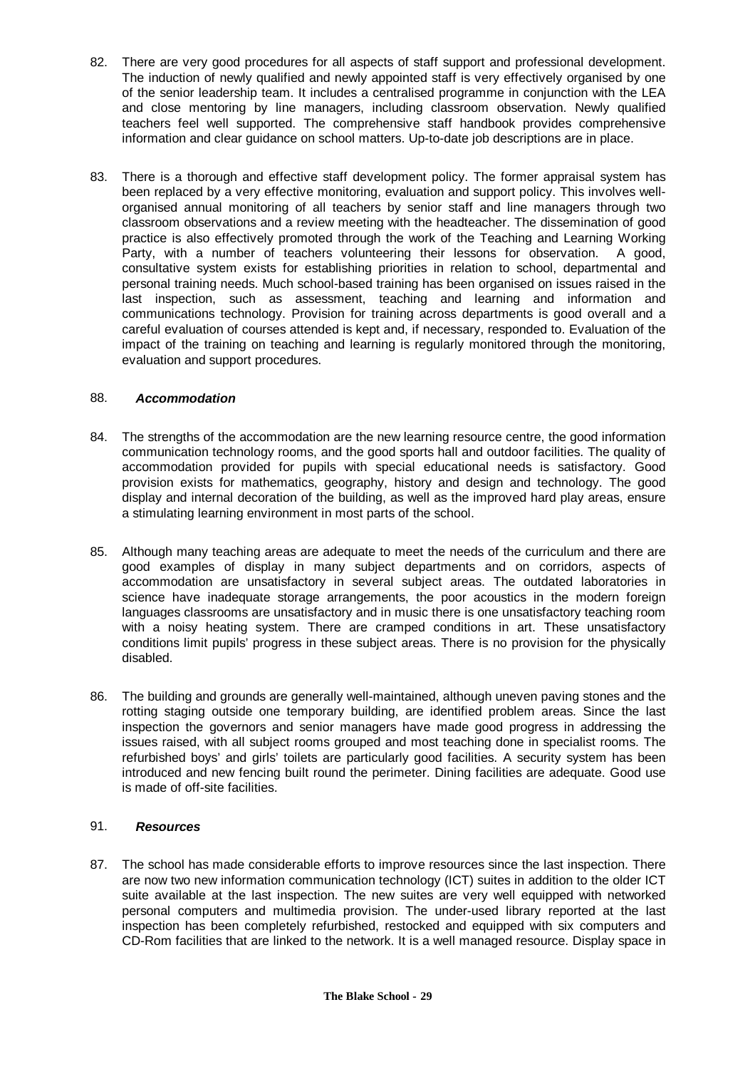- 82. There are very good procedures for all aspects of staff support and professional development. The induction of newly qualified and newly appointed staff is very effectively organised by one of the senior leadership team. It includes a centralised programme in conjunction with the LEA and close mentoring by line managers, including classroom observation. Newly qualified teachers feel well supported. The comprehensive staff handbook provides comprehensive information and clear guidance on school matters. Up-to-date job descriptions are in place.
- 83. There is a thorough and effective staff development policy. The former appraisal system has been replaced by a very effective monitoring, evaluation and support policy. This involves wellorganised annual monitoring of all teachers by senior staff and line managers through two classroom observations and a review meeting with the headteacher. The dissemination of good practice is also effectively promoted through the work of the Teaching and Learning Working Party, with a number of teachers volunteering their lessons for observation. A good, consultative system exists for establishing priorities in relation to school, departmental and personal training needs. Much school-based training has been organised on issues raised in the last inspection, such as assessment, teaching and learning and information and communications technology. Provision for training across departments is good overall and a careful evaluation of courses attended is kept and, if necessary, responded to. Evaluation of the impact of the training on teaching and learning is regularly monitored through the monitoring, evaluation and support procedures.

#### 88. *Accommodation*

- 84. The strengths of the accommodation are the new learning resource centre, the good information communication technology rooms, and the good sports hall and outdoor facilities. The quality of accommodation provided for pupils with special educational needs is satisfactory. Good provision exists for mathematics, geography, history and design and technology. The good display and internal decoration of the building, as well as the improved hard play areas, ensure a stimulating learning environment in most parts of the school.
- 85. Although many teaching areas are adequate to meet the needs of the curriculum and there are good examples of display in many subject departments and on corridors, aspects of accommodation are unsatisfactory in several subject areas. The outdated laboratories in science have inadequate storage arrangements, the poor acoustics in the modern foreign languages classrooms are unsatisfactory and in music there is one unsatisfactory teaching room with a noisy heating system. There are cramped conditions in art. These unsatisfactory conditions limit pupils' progress in these subject areas. There is no provision for the physically disabled.
- 86. The building and grounds are generally well-maintained, although uneven paving stones and the rotting staging outside one temporary building, are identified problem areas. Since the last inspection the governors and senior managers have made good progress in addressing the issues raised, with all subject rooms grouped and most teaching done in specialist rooms. The refurbished boys' and girls' toilets are particularly good facilities. A security system has been introduced and new fencing built round the perimeter. Dining facilities are adequate. Good use is made of off-site facilities.

# 91. *Resources*

87. The school has made considerable efforts to improve resources since the last inspection. There are now two new information communication technology (ICT) suites in addition to the older ICT suite available at the last inspection. The new suites are very well equipped with networked personal computers and multimedia provision. The under-used library reported at the last inspection has been completely refurbished, restocked and equipped with six computers and CD-Rom facilities that are linked to the network. It is a well managed resource. Display space in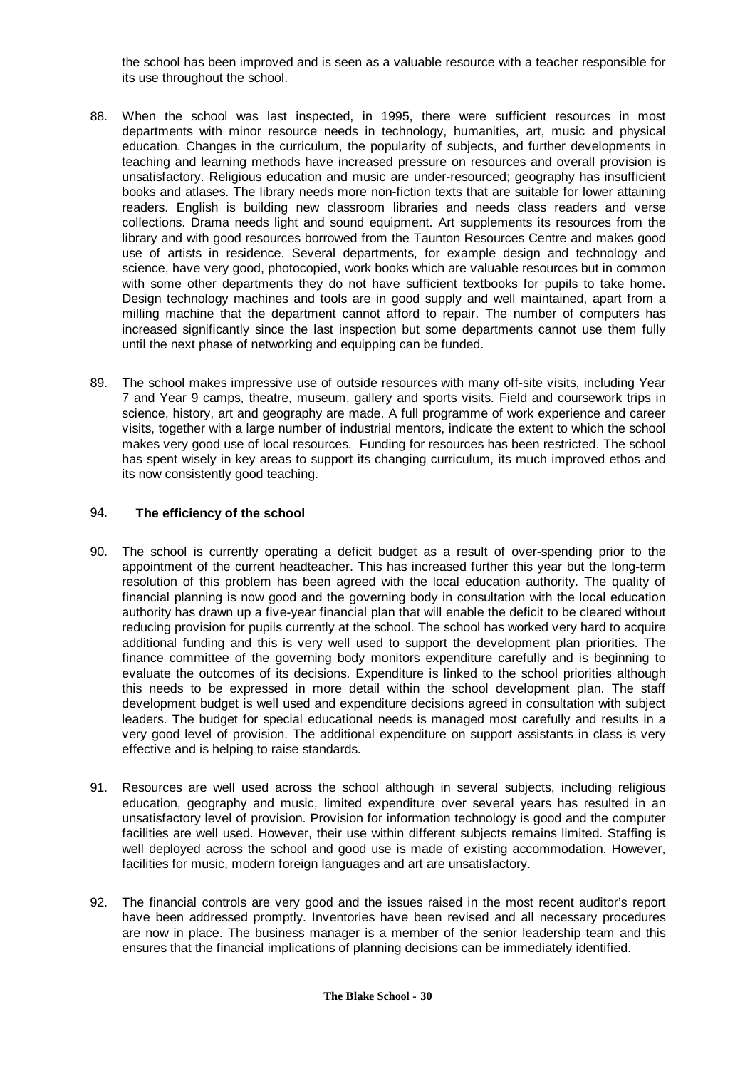the school has been improved and is seen as a valuable resource with a teacher responsible for its use throughout the school.

- 88. When the school was last inspected, in 1995, there were sufficient resources in most departments with minor resource needs in technology, humanities, art, music and physical education. Changes in the curriculum, the popularity of subjects, and further developments in teaching and learning methods have increased pressure on resources and overall provision is unsatisfactory. Religious education and music are under-resourced; geography has insufficient books and atlases. The library needs more non-fiction texts that are suitable for lower attaining readers. English is building new classroom libraries and needs class readers and verse collections. Drama needs light and sound equipment. Art supplements its resources from the library and with good resources borrowed from the Taunton Resources Centre and makes good use of artists in residence. Several departments, for example design and technology and science, have very good, photocopied, work books which are valuable resources but in common with some other departments they do not have sufficient textbooks for pupils to take home. Design technology machines and tools are in good supply and well maintained, apart from a milling machine that the department cannot afford to repair. The number of computers has increased significantly since the last inspection but some departments cannot use them fully until the next phase of networking and equipping can be funded.
- 89. The school makes impressive use of outside resources with many off-site visits, including Year 7 and Year 9 camps, theatre, museum, gallery and sports visits. Field and coursework trips in science, history, art and geography are made. A full programme of work experience and career visits, together with a large number of industrial mentors, indicate the extent to which the school makes very good use of local resources. Funding for resources has been restricted. The school has spent wisely in key areas to support its changing curriculum, its much improved ethos and its now consistently good teaching.

#### 94. **The efficiency of the school**

- 90. The school is currently operating a deficit budget as a result of over-spending prior to the appointment of the current headteacher. This has increased further this year but the long-term resolution of this problem has been agreed with the local education authority. The quality of financial planning is now good and the governing body in consultation with the local education authority has drawn up a five-year financial plan that will enable the deficit to be cleared without reducing provision for pupils currently at the school. The school has worked very hard to acquire additional funding and this is very well used to support the development plan priorities. The finance committee of the governing body monitors expenditure carefully and is beginning to evaluate the outcomes of its decisions. Expenditure is linked to the school priorities although this needs to be expressed in more detail within the school development plan. The staff development budget is well used and expenditure decisions agreed in consultation with subject leaders. The budget for special educational needs is managed most carefully and results in a very good level of provision. The additional expenditure on support assistants in class is very effective and is helping to raise standards.
- 91. Resources are well used across the school although in several subjects, including religious education, geography and music, limited expenditure over several years has resulted in an unsatisfactory level of provision. Provision for information technology is good and the computer facilities are well used. However, their use within different subjects remains limited. Staffing is well deployed across the school and good use is made of existing accommodation. However, facilities for music, modern foreign languages and art are unsatisfactory.
- 92. The financial controls are very good and the issues raised in the most recent auditor's report have been addressed promptly. Inventories have been revised and all necessary procedures are now in place. The business manager is a member of the senior leadership team and this ensures that the financial implications of planning decisions can be immediately identified.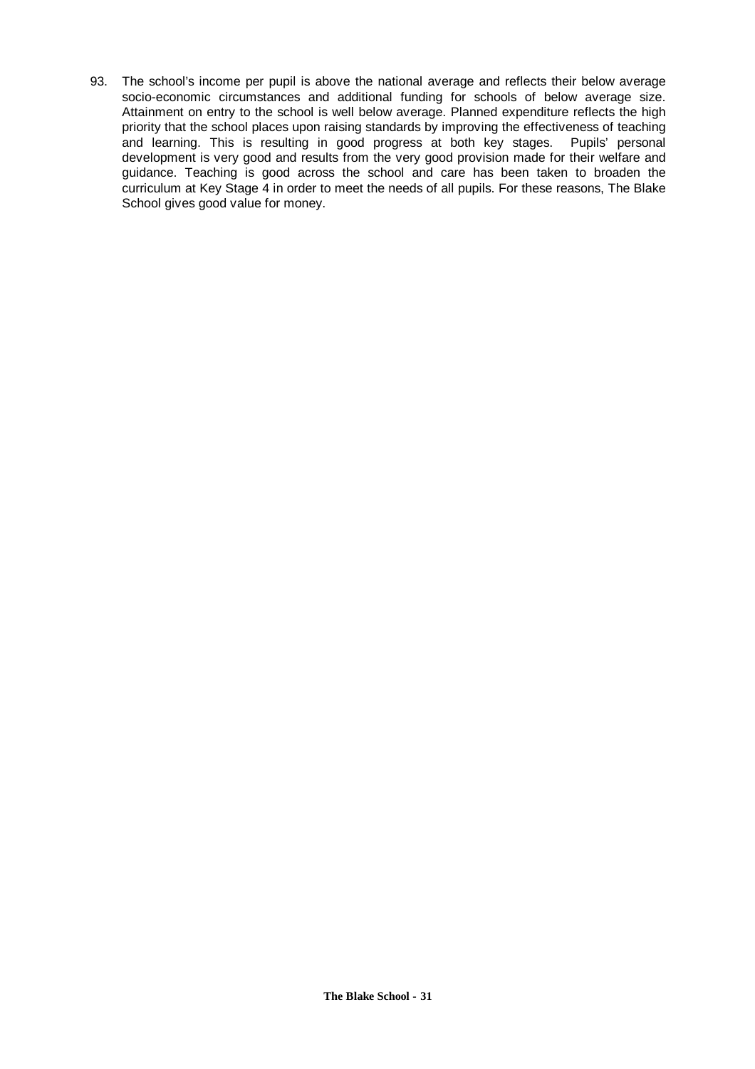93. The school's income per pupil is above the national average and reflects their below average socio-economic circumstances and additional funding for schools of below average size. Attainment on entry to the school is well below average. Planned expenditure reflects the high priority that the school places upon raising standards by improving the effectiveness of teaching and learning. This is resulting in good progress at both key stages. Pupils' personal development is very good and results from the very good provision made for their welfare and guidance. Teaching is good across the school and care has been taken to broaden the curriculum at Key Stage 4 in order to meet the needs of all pupils. For these reasons, The Blake School gives good value for money.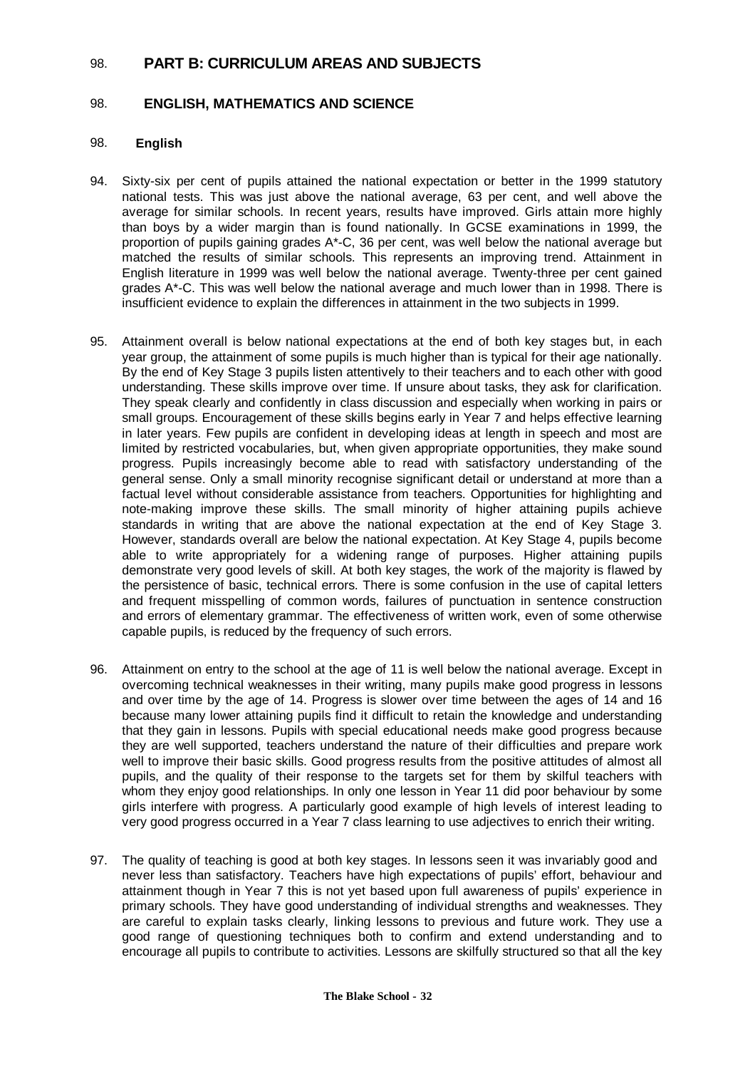# 98. **PART B: CURRICULUM AREAS AND SUBJECTS**

# 98. **ENGLISH, MATHEMATICS AND SCIENCE**

#### 98. **English**

- 94. Sixty-six per cent of pupils attained the national expectation or better in the 1999 statutory national tests. This was just above the national average, 63 per cent, and well above the average for similar schools. In recent years, results have improved. Girls attain more highly than boys by a wider margin than is found nationally. In GCSE examinations in 1999, the proportion of pupils gaining grades A\*-C, 36 per cent, was well below the national average but matched the results of similar schools. This represents an improving trend. Attainment in English literature in 1999 was well below the national average. Twenty-three per cent gained grades A\*-C. This was well below the national average and much lower than in 1998. There is insufficient evidence to explain the differences in attainment in the two subjects in 1999.
- 95. Attainment overall is below national expectations at the end of both key stages but, in each year group, the attainment of some pupils is much higher than is typical for their age nationally. By the end of Key Stage 3 pupils listen attentively to their teachers and to each other with good understanding. These skills improve over time. If unsure about tasks, they ask for clarification. They speak clearly and confidently in class discussion and especially when working in pairs or small groups. Encouragement of these skills begins early in Year 7 and helps effective learning in later years. Few pupils are confident in developing ideas at length in speech and most are limited by restricted vocabularies, but, when given appropriate opportunities, they make sound progress. Pupils increasingly become able to read with satisfactory understanding of the general sense. Only a small minority recognise significant detail or understand at more than a factual level without considerable assistance from teachers. Opportunities for highlighting and note-making improve these skills. The small minority of higher attaining pupils achieve standards in writing that are above the national expectation at the end of Key Stage 3. However, standards overall are below the national expectation. At Key Stage 4, pupils become able to write appropriately for a widening range of purposes. Higher attaining pupils demonstrate very good levels of skill. At both key stages, the work of the majority is flawed by the persistence of basic, technical errors. There is some confusion in the use of capital letters and frequent misspelling of common words, failures of punctuation in sentence construction and errors of elementary grammar. The effectiveness of written work, even of some otherwise capable pupils, is reduced by the frequency of such errors.
- 96. Attainment on entry to the school at the age of 11 is well below the national average. Except in overcoming technical weaknesses in their writing, many pupils make good progress in lessons and over time by the age of 14. Progress is slower over time between the ages of 14 and 16 because many lower attaining pupils find it difficult to retain the knowledge and understanding that they gain in lessons. Pupils with special educational needs make good progress because they are well supported, teachers understand the nature of their difficulties and prepare work well to improve their basic skills. Good progress results from the positive attitudes of almost all pupils, and the quality of their response to the targets set for them by skilful teachers with whom they enjoy good relationships. In only one lesson in Year 11 did poor behaviour by some girls interfere with progress. A particularly good example of high levels of interest leading to very good progress occurred in a Year 7 class learning to use adjectives to enrich their writing.
- 97. The quality of teaching is good at both key stages. In lessons seen it was invariably good and never less than satisfactory. Teachers have high expectations of pupils' effort, behaviour and attainment though in Year 7 this is not yet based upon full awareness of pupils' experience in primary schools. They have good understanding of individual strengths and weaknesses. They are careful to explain tasks clearly, linking lessons to previous and future work. They use a good range of questioning techniques both to confirm and extend understanding and to encourage all pupils to contribute to activities. Lessons are skilfully structured so that all the key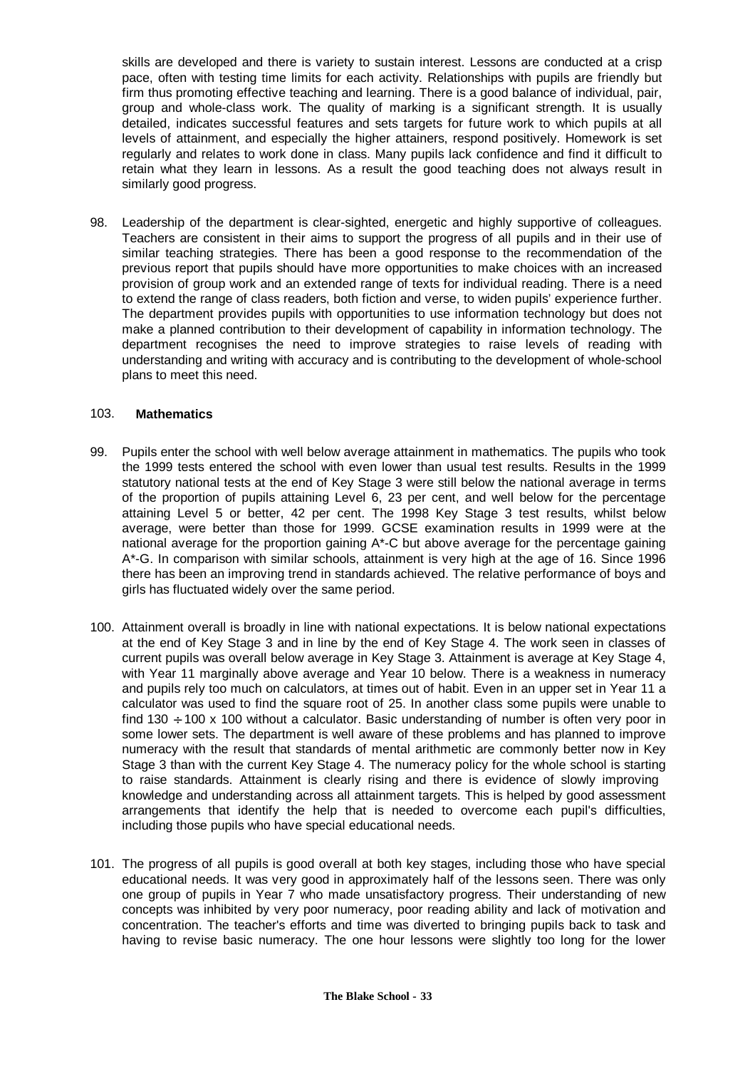skills are developed and there is variety to sustain interest. Lessons are conducted at a crisp pace, often with testing time limits for each activity. Relationships with pupils are friendly but firm thus promoting effective teaching and learning. There is a good balance of individual, pair, group and whole-class work. The quality of marking is a significant strength. It is usually detailed, indicates successful features and sets targets for future work to which pupils at all levels of attainment, and especially the higher attainers, respond positively. Homework is set regularly and relates to work done in class. Many pupils lack confidence and find it difficult to retain what they learn in lessons. As a result the good teaching does not always result in similarly good progress.

98. Leadership of the department is clear-sighted, energetic and highly supportive of colleagues. Teachers are consistent in their aims to support the progress of all pupils and in their use of similar teaching strategies. There has been a good response to the recommendation of the previous report that pupils should have more opportunities to make choices with an increased provision of group work and an extended range of texts for individual reading. There is a need to extend the range of class readers, both fiction and verse, to widen pupils' experience further. The department provides pupils with opportunities to use information technology but does not make a planned contribution to their development of capability in information technology. The department recognises the need to improve strategies to raise levels of reading with understanding and writing with accuracy and is contributing to the development of whole-school plans to meet this need.

#### 103. **Mathematics**

- 99. Pupils enter the school with well below average attainment in mathematics. The pupils who took the 1999 tests entered the school with even lower than usual test results. Results in the 1999 statutory national tests at the end of Key Stage 3 were still below the national average in terms of the proportion of pupils attaining Level 6, 23 per cent, and well below for the percentage attaining Level 5 or better, 42 per cent. The 1998 Key Stage 3 test results, whilst below average, were better than those for 1999. GCSE examination results in 1999 were at the national average for the proportion gaining A\*-C but above average for the percentage gaining A\*-G. In comparison with similar schools, attainment is very high at the age of 16. Since 1996 there has been an improving trend in standards achieved. The relative performance of boys and girls has fluctuated widely over the same period.
- 100. Attainment overall is broadly in line with national expectations. It is below national expectations at the end of Key Stage 3 and in line by the end of Key Stage 4. The work seen in classes of current pupils was overall below average in Key Stage 3. Attainment is average at Key Stage 4, with Year 11 marginally above average and Year 10 below. There is a weakness in numeracy and pupils rely too much on calculators, at times out of habit. Even in an upper set in Year 11 a calculator was used to find the square root of 25. In another class some pupils were unable to find 130  $\div$  100 x 100 without a calculator. Basic understanding of number is often very poor in some lower sets. The department is well aware of these problems and has planned to improve numeracy with the result that standards of mental arithmetic are commonly better now in Key Stage 3 than with the current Key Stage 4. The numeracy policy for the whole school is starting to raise standards. Attainment is clearly rising and there is evidence of slowly improving knowledge and understanding across all attainment targets. This is helped by good assessment arrangements that identify the help that is needed to overcome each pupil's difficulties, including those pupils who have special educational needs.
- 101. The progress of all pupils is good overall at both key stages, including those who have special educational needs. It was very good in approximately half of the lessons seen. There was only one group of pupils in Year 7 who made unsatisfactory progress. Their understanding of new concepts was inhibited by very poor numeracy, poor reading ability and lack of motivation and concentration. The teacher's efforts and time was diverted to bringing pupils back to task and having to revise basic numeracy. The one hour lessons were slightly too long for the lower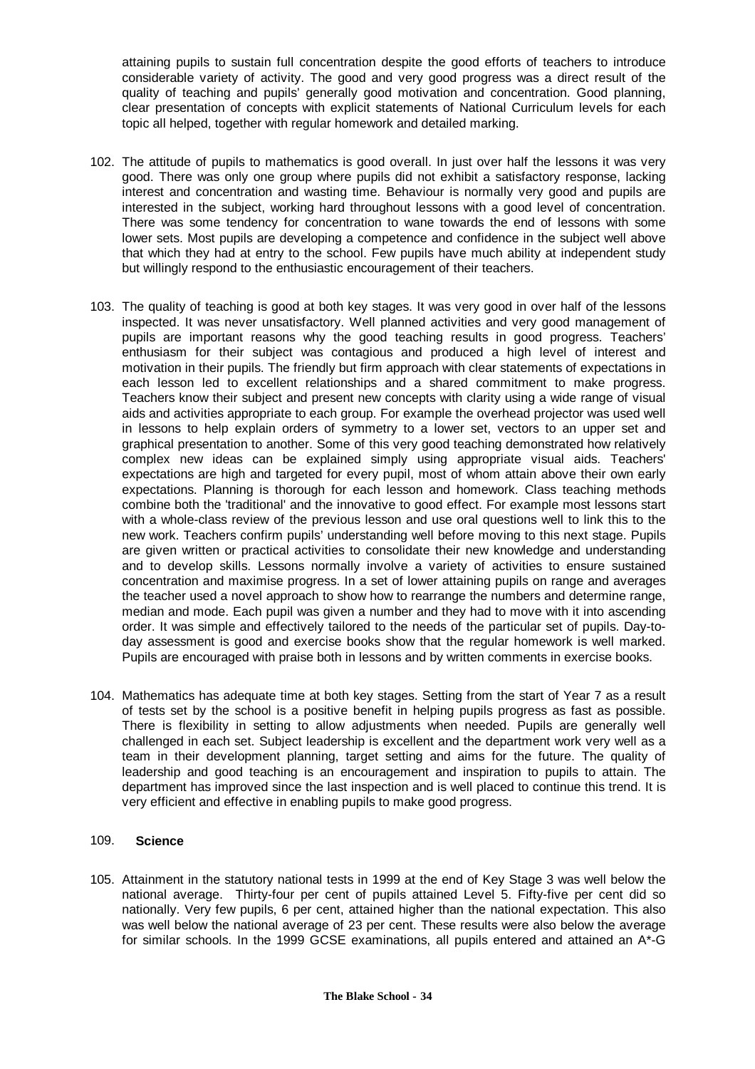attaining pupils to sustain full concentration despite the good efforts of teachers to introduce considerable variety of activity. The good and very good progress was a direct result of the quality of teaching and pupils' generally good motivation and concentration. Good planning, clear presentation of concepts with explicit statements of National Curriculum levels for each topic all helped, together with regular homework and detailed marking.

- 102. The attitude of pupils to mathematics is good overall. In just over half the lessons it was very good. There was only one group where pupils did not exhibit a satisfactory response, lacking interest and concentration and wasting time. Behaviour is normally very good and pupils are interested in the subject, working hard throughout lessons with a good level of concentration. There was some tendency for concentration to wane towards the end of lessons with some lower sets. Most pupils are developing a competence and confidence in the subject well above that which they had at entry to the school. Few pupils have much ability at independent study but willingly respond to the enthusiastic encouragement of their teachers.
- 103. The quality of teaching is good at both key stages. It was very good in over half of the lessons inspected. It was never unsatisfactory. Well planned activities and very good management of pupils are important reasons why the good teaching results in good progress. Teachers' enthusiasm for their subject was contagious and produced a high level of interest and motivation in their pupils. The friendly but firm approach with clear statements of expectations in each lesson led to excellent relationships and a shared commitment to make progress. Teachers know their subject and present new concepts with clarity using a wide range of visual aids and activities appropriate to each group. For example the overhead projector was used well in lessons to help explain orders of symmetry to a lower set, vectors to an upper set and graphical presentation to another. Some of this very good teaching demonstrated how relatively complex new ideas can be explained simply using appropriate visual aids. Teachers' expectations are high and targeted for every pupil, most of whom attain above their own early expectations. Planning is thorough for each lesson and homework. Class teaching methods combine both the 'traditional' and the innovative to good effect. For example most lessons start with a whole-class review of the previous lesson and use oral questions well to link this to the new work. Teachers confirm pupils' understanding well before moving to this next stage. Pupils are given written or practical activities to consolidate their new knowledge and understanding and to develop skills. Lessons normally involve a variety of activities to ensure sustained concentration and maximise progress. In a set of lower attaining pupils on range and averages the teacher used a novel approach to show how to rearrange the numbers and determine range, median and mode. Each pupil was given a number and they had to move with it into ascending order. It was simple and effectively tailored to the needs of the particular set of pupils. Day-today assessment is good and exercise books show that the regular homework is well marked. Pupils are encouraged with praise both in lessons and by written comments in exercise books.
- 104. Mathematics has adequate time at both key stages. Setting from the start of Year 7 as a result of tests set by the school is a positive benefit in helping pupils progress as fast as possible. There is flexibility in setting to allow adjustments when needed. Pupils are generally well challenged in each set. Subject leadership is excellent and the department work very well as a team in their development planning, target setting and aims for the future. The quality of leadership and good teaching is an encouragement and inspiration to pupils to attain. The department has improved since the last inspection and is well placed to continue this trend. It is very efficient and effective in enabling pupils to make good progress.

#### 109. **Science**

105. Attainment in the statutory national tests in 1999 at the end of Key Stage 3 was well below the national average. Thirty-four per cent of pupils attained Level 5. Fifty-five per cent did so nationally. Very few pupils, 6 per cent, attained higher than the national expectation. This also was well below the national average of 23 per cent. These results were also below the average for similar schools. In the 1999 GCSE examinations, all pupils entered and attained an A\*-G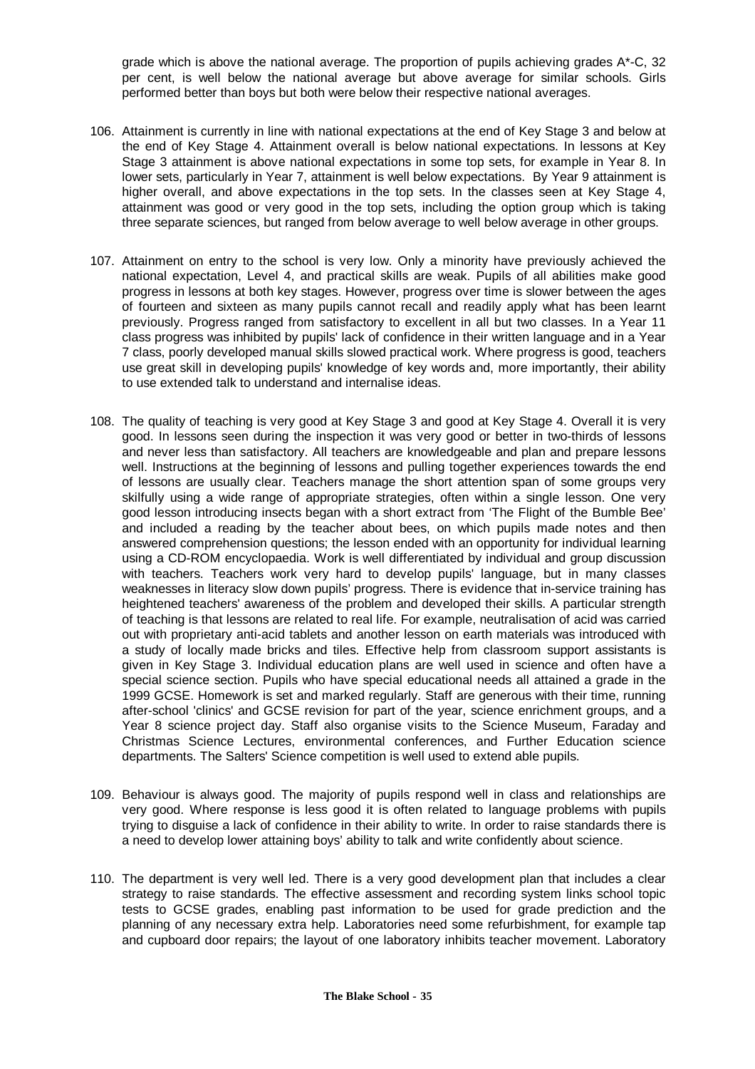grade which is above the national average. The proportion of pupils achieving grades A\*-C, 32 per cent, is well below the national average but above average for similar schools. Girls performed better than boys but both were below their respective national averages.

- 106. Attainment is currently in line with national expectations at the end of Key Stage 3 and below at the end of Key Stage 4. Attainment overall is below national expectations. In lessons at Key Stage 3 attainment is above national expectations in some top sets, for example in Year 8. In lower sets, particularly in Year 7, attainment is well below expectations. By Year 9 attainment is higher overall, and above expectations in the top sets. In the classes seen at Key Stage 4, attainment was good or very good in the top sets, including the option group which is taking three separate sciences, but ranged from below average to well below average in other groups.
- 107. Attainment on entry to the school is very low. Only a minority have previously achieved the national expectation, Level 4, and practical skills are weak. Pupils of all abilities make good progress in lessons at both key stages. However, progress over time is slower between the ages of fourteen and sixteen as many pupils cannot recall and readily apply what has been learnt previously. Progress ranged from satisfactory to excellent in all but two classes. In a Year 11 class progress was inhibited by pupils' lack of confidence in their written language and in a Year 7 class, poorly developed manual skills slowed practical work. Where progress is good, teachers use great skill in developing pupils' knowledge of key words and, more importantly, their ability to use extended talk to understand and internalise ideas.
- 108. The quality of teaching is very good at Key Stage 3 and good at Key Stage 4. Overall it is very good. In lessons seen during the inspection it was very good or better in two-thirds of lessons and never less than satisfactory. All teachers are knowledgeable and plan and prepare lessons well. Instructions at the beginning of lessons and pulling together experiences towards the end of lessons are usually clear. Teachers manage the short attention span of some groups very skilfully using a wide range of appropriate strategies, often within a single lesson. One very good lesson introducing insects began with a short extract from 'The Flight of the Bumble Bee' and included a reading by the teacher about bees, on which pupils made notes and then answered comprehension questions; the lesson ended with an opportunity for individual learning using a CD-ROM encyclopaedia. Work is well differentiated by individual and group discussion with teachers. Teachers work very hard to develop pupils' language, but in many classes weaknesses in literacy slow down pupils' progress. There is evidence that in-service training has heightened teachers' awareness of the problem and developed their skills. A particular strength of teaching is that lessons are related to real life. For example, neutralisation of acid was carried out with proprietary anti-acid tablets and another lesson on earth materials was introduced with a study of locally made bricks and tiles. Effective help from classroom support assistants is given in Key Stage 3. Individual education plans are well used in science and often have a special science section. Pupils who have special educational needs all attained a grade in the 1999 GCSE. Homework is set and marked regularly. Staff are generous with their time, running after-school 'clinics' and GCSE revision for part of the year, science enrichment groups, and a Year 8 science project day. Staff also organise visits to the Science Museum, Faraday and Christmas Science Lectures, environmental conferences, and Further Education science departments. The Salters' Science competition is well used to extend able pupils.
- 109. Behaviour is always good. The majority of pupils respond well in class and relationships are very good. Where response is less good it is often related to language problems with pupils trying to disguise a lack of confidence in their ability to write. In order to raise standards there is a need to develop lower attaining boys' ability to talk and write confidently about science.
- 110. The department is very well led. There is a very good development plan that includes a clear strategy to raise standards. The effective assessment and recording system links school topic tests to GCSE grades, enabling past information to be used for grade prediction and the planning of any necessary extra help. Laboratories need some refurbishment, for example tap and cupboard door repairs; the layout of one laboratory inhibits teacher movement. Laboratory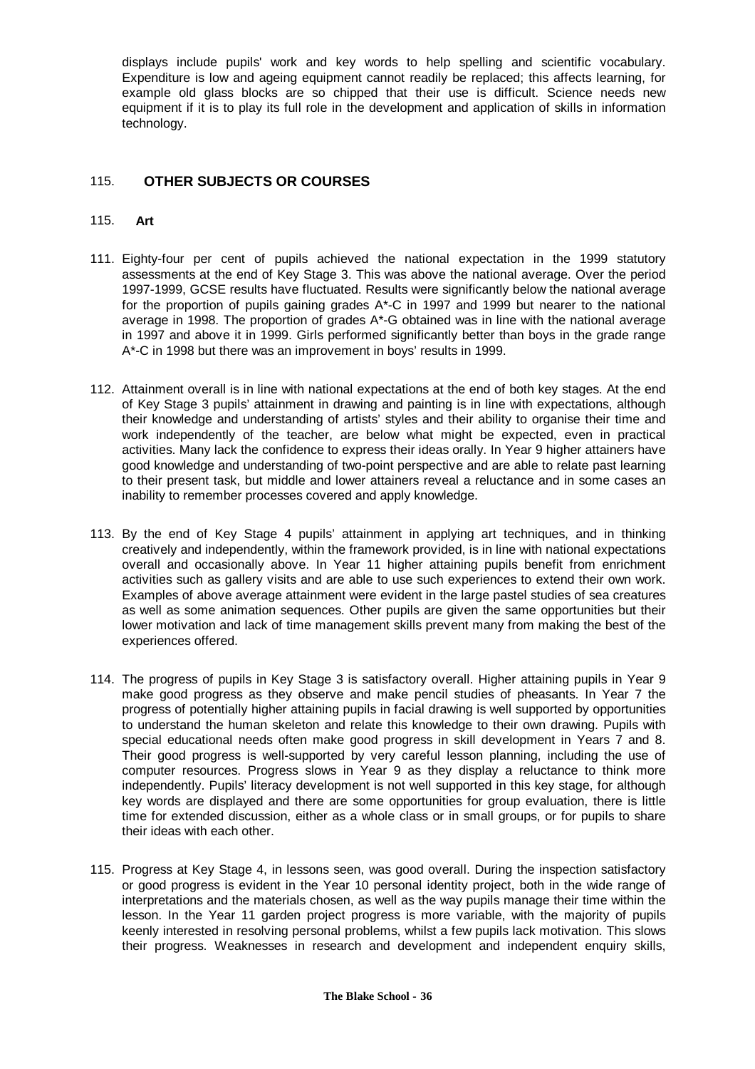displays include pupils' work and key words to help spelling and scientific vocabulary. Expenditure is low and ageing equipment cannot readily be replaced; this affects learning, for example old glass blocks are so chipped that their use is difficult. Science needs new equipment if it is to play its full role in the development and application of skills in information technology.

# 115. **OTHER SUBJECTS OR COURSES**

#### 115. **Art**

- 111. Eighty-four per cent of pupils achieved the national expectation in the 1999 statutory assessments at the end of Key Stage 3. This was above the national average. Over the period 1997-1999, GCSE results have fluctuated. Results were significantly below the national average for the proportion of pupils gaining grades A\*-C in 1997 and 1999 but nearer to the national average in 1998. The proportion of grades A\*-G obtained was in line with the national average in 1997 and above it in 1999. Girls performed significantly better than boys in the grade range A\*-C in 1998 but there was an improvement in boys' results in 1999.
- 112. Attainment overall is in line with national expectations at the end of both key stages. At the end of Key Stage 3 pupils' attainment in drawing and painting is in line with expectations, although their knowledge and understanding of artists' styles and their ability to organise their time and work independently of the teacher, are below what might be expected, even in practical activities. Many lack the confidence to express their ideas orally. In Year 9 higher attainers have good knowledge and understanding of two-point perspective and are able to relate past learning to their present task, but middle and lower attainers reveal a reluctance and in some cases an inability to remember processes covered and apply knowledge.
- 113. By the end of Key Stage 4 pupils' attainment in applying art techniques, and in thinking creatively and independently, within the framework provided, is in line with national expectations overall and occasionally above. In Year 11 higher attaining pupils benefit from enrichment activities such as gallery visits and are able to use such experiences to extend their own work. Examples of above average attainment were evident in the large pastel studies of sea creatures as well as some animation sequences. Other pupils are given the same opportunities but their lower motivation and lack of time management skills prevent many from making the best of the experiences offered.
- 114. The progress of pupils in Key Stage 3 is satisfactory overall. Higher attaining pupils in Year 9 make good progress as they observe and make pencil studies of pheasants. In Year 7 the progress of potentially higher attaining pupils in facial drawing is well supported by opportunities to understand the human skeleton and relate this knowledge to their own drawing. Pupils with special educational needs often make good progress in skill development in Years 7 and 8. Their good progress is well-supported by very careful lesson planning, including the use of computer resources. Progress slows in Year 9 as they display a reluctance to think more independently. Pupils' literacy development is not well supported in this key stage, for although key words are displayed and there are some opportunities for group evaluation, there is little time for extended discussion, either as a whole class or in small groups, or for pupils to share their ideas with each other.
- 115. Progress at Key Stage 4, in lessons seen, was good overall. During the inspection satisfactory or good progress is evident in the Year 10 personal identity project, both in the wide range of interpretations and the materials chosen, as well as the way pupils manage their time within the lesson. In the Year 11 garden project progress is more variable, with the majority of pupils keenly interested in resolving personal problems, whilst a few pupils lack motivation. This slows their progress. Weaknesses in research and development and independent enquiry skills,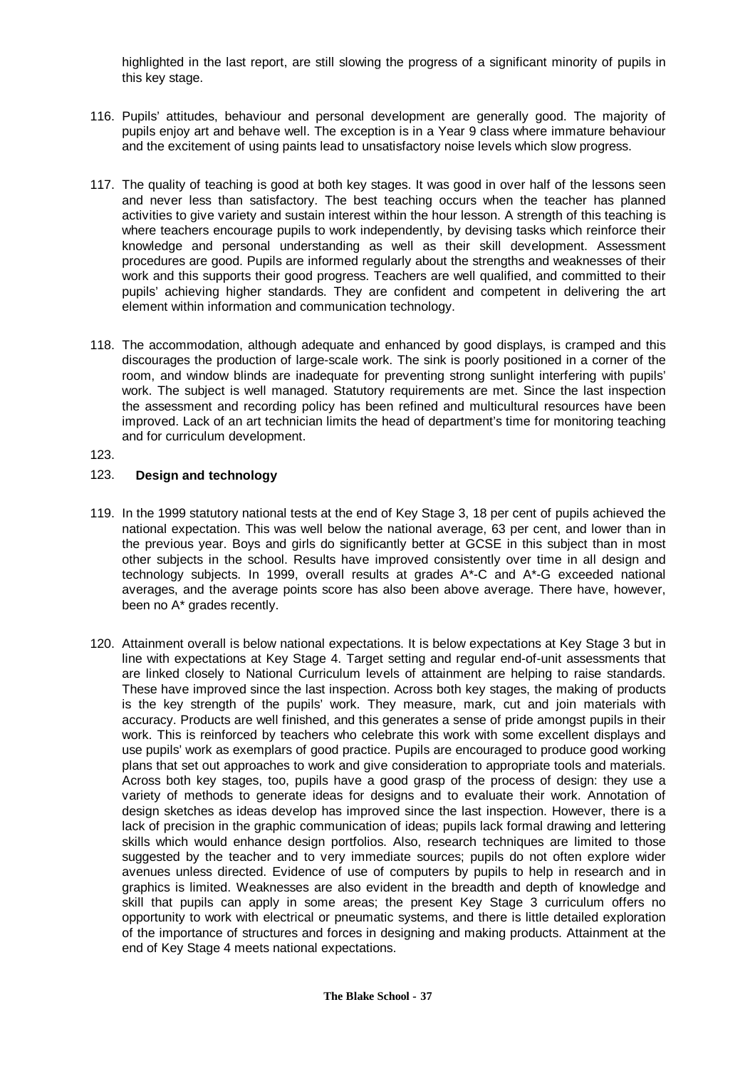highlighted in the last report, are still slowing the progress of a significant minority of pupils in this key stage.

- 116. Pupils' attitudes, behaviour and personal development are generally good. The majority of pupils enjoy art and behave well. The exception is in a Year 9 class where immature behaviour and the excitement of using paints lead to unsatisfactory noise levels which slow progress.
- 117. The quality of teaching is good at both key stages. It was good in over half of the lessons seen and never less than satisfactory. The best teaching occurs when the teacher has planned activities to give variety and sustain interest within the hour lesson. A strength of this teaching is where teachers encourage pupils to work independently, by devising tasks which reinforce their knowledge and personal understanding as well as their skill development. Assessment procedures are good. Pupils are informed regularly about the strengths and weaknesses of their work and this supports their good progress. Teachers are well qualified, and committed to their pupils' achieving higher standards. They are confident and competent in delivering the art element within information and communication technology.
- 118. The accommodation, although adequate and enhanced by good displays, is cramped and this discourages the production of large-scale work. The sink is poorly positioned in a corner of the room, and window blinds are inadequate for preventing strong sunlight interfering with pupils' work. The subject is well managed. Statutory requirements are met. Since the last inspection the assessment and recording policy has been refined and multicultural resources have been improved. Lack of an art technician limits the head of department's time for monitoring teaching and for curriculum development.

123.

#### 123. **Design and technology**

- 119. In the 1999 statutory national tests at the end of Key Stage 3, 18 per cent of pupils achieved the national expectation. This was well below the national average, 63 per cent, and lower than in the previous year. Boys and girls do significantly better at GCSE in this subject than in most other subjects in the school. Results have improved consistently over time in all design and technology subjects. In 1999, overall results at grades A\*-C and A\*-G exceeded national averages, and the average points score has also been above average. There have, however, been no A\* grades recently.
- 120. Attainment overall is below national expectations. It is below expectations at Key Stage 3 but in line with expectations at Key Stage 4. Target setting and regular end-of-unit assessments that are linked closely to National Curriculum levels of attainment are helping to raise standards. These have improved since the last inspection. Across both key stages, the making of products is the key strength of the pupils' work. They measure, mark, cut and join materials with accuracy. Products are well finished, and this generates a sense of pride amongst pupils in their work. This is reinforced by teachers who celebrate this work with some excellent displays and use pupils' work as exemplars of good practice. Pupils are encouraged to produce good working plans that set out approaches to work and give consideration to appropriate tools and materials. Across both key stages, too, pupils have a good grasp of the process of design: they use a variety of methods to generate ideas for designs and to evaluate their work. Annotation of design sketches as ideas develop has improved since the last inspection. However, there is a lack of precision in the graphic communication of ideas; pupils lack formal drawing and lettering skills which would enhance design portfolios. Also, research techniques are limited to those suggested by the teacher and to very immediate sources; pupils do not often explore wider avenues unless directed. Evidence of use of computers by pupils to help in research and in graphics is limited. Weaknesses are also evident in the breadth and depth of knowledge and skill that pupils can apply in some areas; the present Key Stage 3 curriculum offers no opportunity to work with electrical or pneumatic systems, and there is little detailed exploration of the importance of structures and forces in designing and making products. Attainment at the end of Key Stage 4 meets national expectations.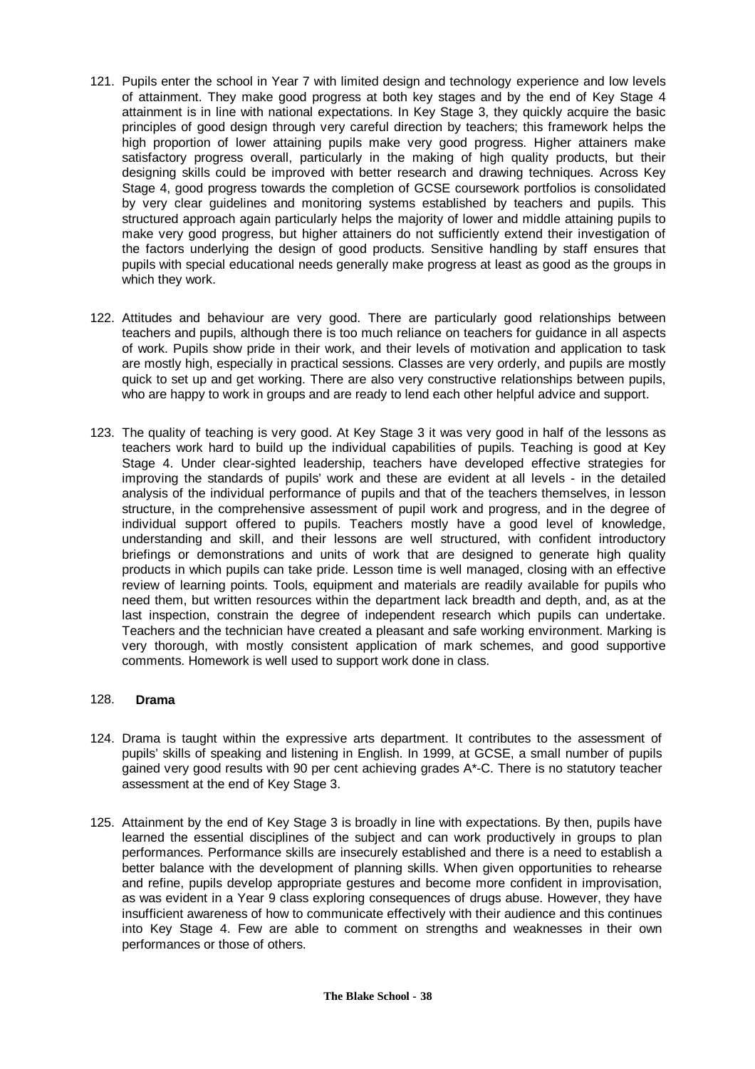- 121. Pupils enter the school in Year 7 with limited design and technology experience and low levels of attainment. They make good progress at both key stages and by the end of Key Stage 4 attainment is in line with national expectations. In Key Stage 3, they quickly acquire the basic principles of good design through very careful direction by teachers; this framework helps the high proportion of lower attaining pupils make very good progress. Higher attainers make satisfactory progress overall, particularly in the making of high quality products, but their designing skills could be improved with better research and drawing techniques. Across Key Stage 4, good progress towards the completion of GCSE coursework portfolios is consolidated by very clear guidelines and monitoring systems established by teachers and pupils. This structured approach again particularly helps the majority of lower and middle attaining pupils to make very good progress, but higher attainers do not sufficiently extend their investigation of the factors underlying the design of good products. Sensitive handling by staff ensures that pupils with special educational needs generally make progress at least as good as the groups in which they work.
- 122. Attitudes and behaviour are very good. There are particularly good relationships between teachers and pupils, although there is too much reliance on teachers for guidance in all aspects of work. Pupils show pride in their work, and their levels of motivation and application to task are mostly high, especially in practical sessions. Classes are very orderly, and pupils are mostly quick to set up and get working. There are also very constructive relationships between pupils, who are happy to work in groups and are ready to lend each other helpful advice and support.
- 123. The quality of teaching is very good. At Key Stage 3 it was very good in half of the lessons as teachers work hard to build up the individual capabilities of pupils. Teaching is good at Key Stage 4. Under clear-sighted leadership, teachers have developed effective strategies for improving the standards of pupils' work and these are evident at all levels - in the detailed analysis of the individual performance of pupils and that of the teachers themselves, in lesson structure, in the comprehensive assessment of pupil work and progress, and in the degree of individual support offered to pupils. Teachers mostly have a good level of knowledge, understanding and skill, and their lessons are well structured, with confident introductory briefings or demonstrations and units of work that are designed to generate high quality products in which pupils can take pride. Lesson time is well managed, closing with an effective review of learning points. Tools, equipment and materials are readily available for pupils who need them, but written resources within the department lack breadth and depth, and, as at the last inspection, constrain the degree of independent research which pupils can undertake. Teachers and the technician have created a pleasant and safe working environment. Marking is very thorough, with mostly consistent application of mark schemes, and good supportive comments. Homework is well used to support work done in class.

#### 128. **Drama**

- 124. Drama is taught within the expressive arts department. It contributes to the assessment of pupils' skills of speaking and listening in English. In 1999, at GCSE, a small number of pupils gained very good results with 90 per cent achieving grades A\*-C. There is no statutory teacher assessment at the end of Key Stage 3.
- 125. Attainment by the end of Key Stage 3 is broadly in line with expectations. By then, pupils have learned the essential disciplines of the subject and can work productively in groups to plan performances. Performance skills are insecurely established and there is a need to establish a better balance with the development of planning skills. When given opportunities to rehearse and refine, pupils develop appropriate gestures and become more confident in improvisation, as was evident in a Year 9 class exploring consequences of drugs abuse. However, they have insufficient awareness of how to communicate effectively with their audience and this continues into Key Stage 4. Few are able to comment on strengths and weaknesses in their own performances or those of others.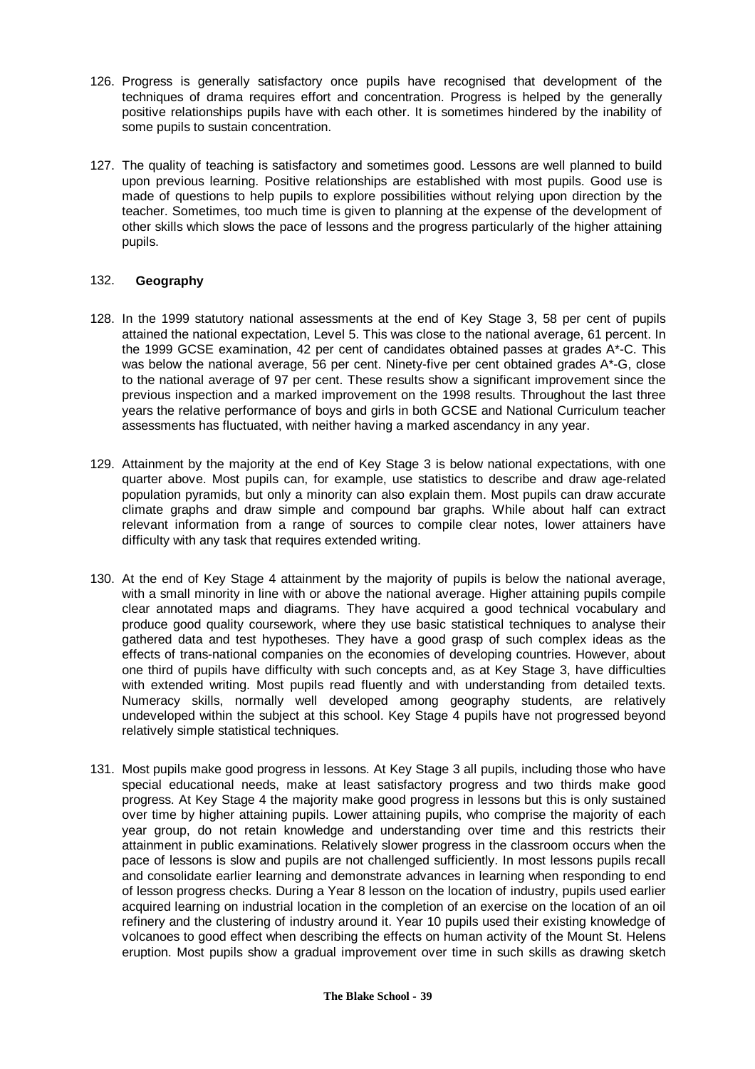- 126. Progress is generally satisfactory once pupils have recognised that development of the techniques of drama requires effort and concentration. Progress is helped by the generally positive relationships pupils have with each other. It is sometimes hindered by the inability of some pupils to sustain concentration.
- 127. The quality of teaching is satisfactory and sometimes good. Lessons are well planned to build upon previous learning. Positive relationships are established with most pupils. Good use is made of questions to help pupils to explore possibilities without relying upon direction by the teacher. Sometimes, too much time is given to planning at the expense of the development of other skills which slows the pace of lessons and the progress particularly of the higher attaining pupils.

#### 132. **Geography**

- 128. In the 1999 statutory national assessments at the end of Key Stage 3, 58 per cent of pupils attained the national expectation, Level 5. This was close to the national average, 61 percent. In the 1999 GCSE examination, 42 per cent of candidates obtained passes at grades A\*-C. This was below the national average, 56 per cent. Ninety-five per cent obtained grades A\*-G, close to the national average of 97 per cent. These results show a significant improvement since the previous inspection and a marked improvement on the 1998 results. Throughout the last three years the relative performance of boys and girls in both GCSE and National Curriculum teacher assessments has fluctuated, with neither having a marked ascendancy in any year.
- 129. Attainment by the majority at the end of Key Stage 3 is below national expectations, with one quarter above. Most pupils can, for example, use statistics to describe and draw age-related population pyramids, but only a minority can also explain them. Most pupils can draw accurate climate graphs and draw simple and compound bar graphs. While about half can extract relevant information from a range of sources to compile clear notes, lower attainers have difficulty with any task that requires extended writing.
- 130. At the end of Key Stage 4 attainment by the majority of pupils is below the national average, with a small minority in line with or above the national average. Higher attaining pupils compile clear annotated maps and diagrams. They have acquired a good technical vocabulary and produce good quality coursework, where they use basic statistical techniques to analyse their gathered data and test hypotheses. They have a good grasp of such complex ideas as the effects of trans-national companies on the economies of developing countries. However, about one third of pupils have difficulty with such concepts and, as at Key Stage 3, have difficulties with extended writing. Most pupils read fluently and with understanding from detailed texts. Numeracy skills, normally well developed among geography students, are relatively undeveloped within the subject at this school. Key Stage 4 pupils have not progressed beyond relatively simple statistical techniques.
- 131. Most pupils make good progress in lessons. At Key Stage 3 all pupils, including those who have special educational needs, make at least satisfactory progress and two thirds make good progress. At Key Stage 4 the majority make good progress in lessons but this is only sustained over time by higher attaining pupils. Lower attaining pupils, who comprise the majority of each year group, do not retain knowledge and understanding over time and this restricts their attainment in public examinations. Relatively slower progress in the classroom occurs when the pace of lessons is slow and pupils are not challenged sufficiently. In most lessons pupils recall and consolidate earlier learning and demonstrate advances in learning when responding to end of lesson progress checks. During a Year 8 lesson on the location of industry, pupils used earlier acquired learning on industrial location in the completion of an exercise on the location of an oil refinery and the clustering of industry around it. Year 10 pupils used their existing knowledge of volcanoes to good effect when describing the effects on human activity of the Mount St. Helens eruption. Most pupils show a gradual improvement over time in such skills as drawing sketch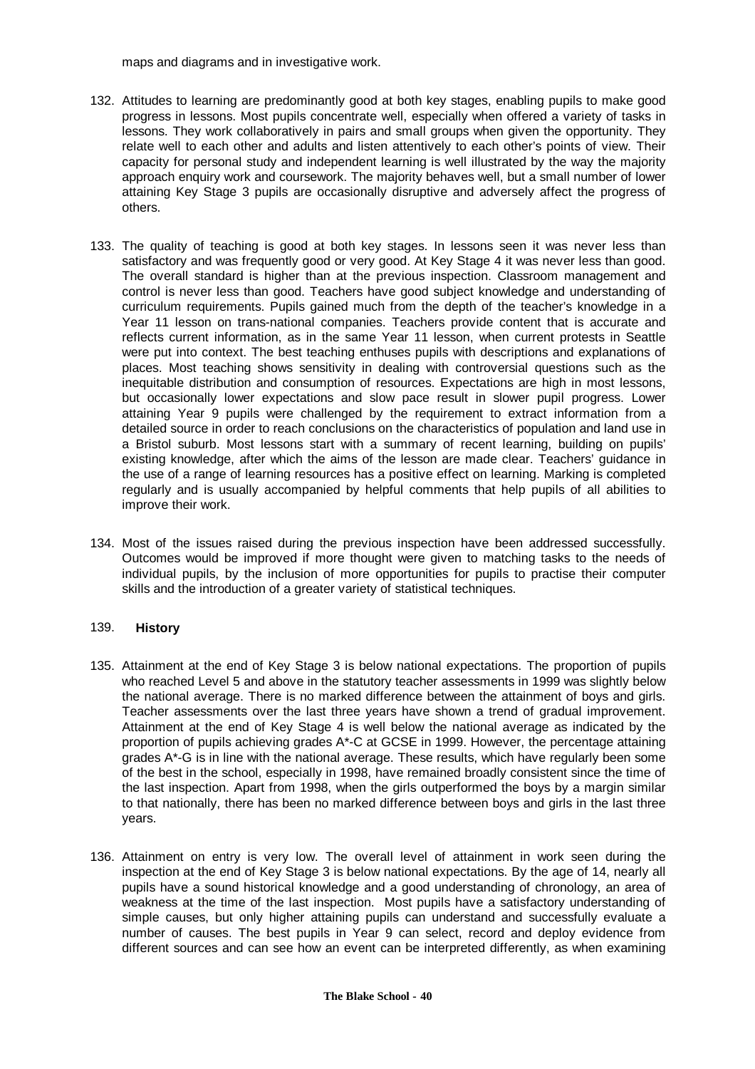maps and diagrams and in investigative work.

- 132. Attitudes to learning are predominantly good at both key stages, enabling pupils to make good progress in lessons. Most pupils concentrate well, especially when offered a variety of tasks in lessons. They work collaboratively in pairs and small groups when given the opportunity. They relate well to each other and adults and listen attentively to each other's points of view. Their capacity for personal study and independent learning is well illustrated by the way the majority approach enquiry work and coursework. The majority behaves well, but a small number of lower attaining Key Stage 3 pupils are occasionally disruptive and adversely affect the progress of others.
- 133. The quality of teaching is good at both key stages. In lessons seen it was never less than satisfactory and was frequently good or very good. At Key Stage 4 it was never less than good. The overall standard is higher than at the previous inspection. Classroom management and control is never less than good. Teachers have good subject knowledge and understanding of curriculum requirements. Pupils gained much from the depth of the teacher's knowledge in a Year 11 lesson on trans-national companies. Teachers provide content that is accurate and reflects current information, as in the same Year 11 lesson, when current protests in Seattle were put into context. The best teaching enthuses pupils with descriptions and explanations of places. Most teaching shows sensitivity in dealing with controversial questions such as the inequitable distribution and consumption of resources. Expectations are high in most lessons, but occasionally lower expectations and slow pace result in slower pupil progress. Lower attaining Year 9 pupils were challenged by the requirement to extract information from a detailed source in order to reach conclusions on the characteristics of population and land use in a Bristol suburb. Most lessons start with a summary of recent learning, building on pupils' existing knowledge, after which the aims of the lesson are made clear. Teachers' guidance in the use of a range of learning resources has a positive effect on learning. Marking is completed regularly and is usually accompanied by helpful comments that help pupils of all abilities to improve their work.
- 134. Most of the issues raised during the previous inspection have been addressed successfully. Outcomes would be improved if more thought were given to matching tasks to the needs of individual pupils, by the inclusion of more opportunities for pupils to practise their computer skills and the introduction of a greater variety of statistical techniques.

#### 139. **History**

- 135. Attainment at the end of Key Stage 3 is below national expectations. The proportion of pupils who reached Level 5 and above in the statutory teacher assessments in 1999 was slightly below the national average. There is no marked difference between the attainment of boys and girls. Teacher assessments over the last three years have shown a trend of gradual improvement. Attainment at the end of Key Stage 4 is well below the national average as indicated by the proportion of pupils achieving grades A\*-C at GCSE in 1999. However, the percentage attaining grades A\*-G is in line with the national average. These results, which have regularly been some of the best in the school, especially in 1998, have remained broadly consistent since the time of the last inspection. Apart from 1998, when the girls outperformed the boys by a margin similar to that nationally, there has been no marked difference between boys and girls in the last three years.
- 136. Attainment on entry is very low. The overall level of attainment in work seen during the inspection at the end of Key Stage 3 is below national expectations. By the age of 14, nearly all pupils have a sound historical knowledge and a good understanding of chronology, an area of weakness at the time of the last inspection. Most pupils have a satisfactory understanding of simple causes, but only higher attaining pupils can understand and successfully evaluate a number of causes. The best pupils in Year 9 can select, record and deploy evidence from different sources and can see how an event can be interpreted differently, as when examining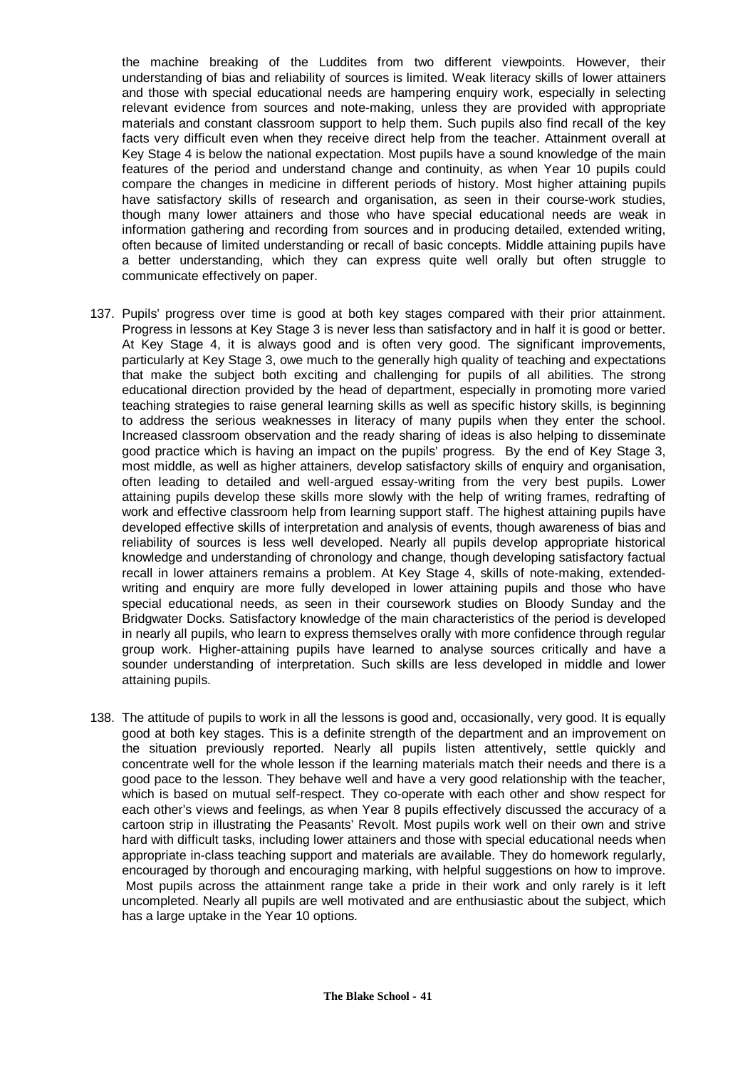the machine breaking of the Luddites from two different viewpoints. However, their understanding of bias and reliability of sources is limited. Weak literacy skills of lower attainers and those with special educational needs are hampering enquiry work, especially in selecting relevant evidence from sources and note-making, unless they are provided with appropriate materials and constant classroom support to help them. Such pupils also find recall of the key facts very difficult even when they receive direct help from the teacher. Attainment overall at Key Stage 4 is below the national expectation. Most pupils have a sound knowledge of the main features of the period and understand change and continuity, as when Year 10 pupils could compare the changes in medicine in different periods of history. Most higher attaining pupils have satisfactory skills of research and organisation, as seen in their course-work studies, though many lower attainers and those who have special educational needs are weak in information gathering and recording from sources and in producing detailed, extended writing, often because of limited understanding or recall of basic concepts. Middle attaining pupils have a better understanding, which they can express quite well orally but often struggle to communicate effectively on paper.

- 137. Pupils' progress over time is good at both key stages compared with their prior attainment. Progress in lessons at Key Stage 3 is never less than satisfactory and in half it is good or better. At Key Stage 4, it is always good and is often very good. The significant improvements, particularly at Key Stage 3, owe much to the generally high quality of teaching and expectations that make the subject both exciting and challenging for pupils of all abilities. The strong educational direction provided by the head of department, especially in promoting more varied teaching strategies to raise general learning skills as well as specific history skills, is beginning to address the serious weaknesses in literacy of many pupils when they enter the school. Increased classroom observation and the ready sharing of ideas is also helping to disseminate good practice which is having an impact on the pupils' progress. By the end of Key Stage 3, most middle, as well as higher attainers, develop satisfactory skills of enquiry and organisation, often leading to detailed and well-argued essay-writing from the very best pupils. Lower attaining pupils develop these skills more slowly with the help of writing frames, redrafting of work and effective classroom help from learning support staff. The highest attaining pupils have developed effective skills of interpretation and analysis of events, though awareness of bias and reliability of sources is less well developed. Nearly all pupils develop appropriate historical knowledge and understanding of chronology and change, though developing satisfactory factual recall in lower attainers remains a problem. At Key Stage 4, skills of note-making, extendedwriting and enquiry are more fully developed in lower attaining pupils and those who have special educational needs, as seen in their coursework studies on Bloody Sunday and the Bridgwater Docks. Satisfactory knowledge of the main characteristics of the period is developed in nearly all pupils, who learn to express themselves orally with more confidence through regular group work. Higher-attaining pupils have learned to analyse sources critically and have a sounder understanding of interpretation. Such skills are less developed in middle and lower attaining pupils.
- 138. The attitude of pupils to work in all the lessons is good and, occasionally, very good. It is equally good at both key stages. This is a definite strength of the department and an improvement on the situation previously reported. Nearly all pupils listen attentively, settle quickly and concentrate well for the whole lesson if the learning materials match their needs and there is a good pace to the lesson. They behave well and have a very good relationship with the teacher, which is based on mutual self-respect. They co-operate with each other and show respect for each other's views and feelings, as when Year 8 pupils effectively discussed the accuracy of a cartoon strip in illustrating the Peasants' Revolt. Most pupils work well on their own and strive hard with difficult tasks, including lower attainers and those with special educational needs when appropriate in-class teaching support and materials are available. They do homework regularly, encouraged by thorough and encouraging marking, with helpful suggestions on how to improve. Most pupils across the attainment range take a pride in their work and only rarely is it left uncompleted. Nearly all pupils are well motivated and are enthusiastic about the subject, which has a large uptake in the Year 10 options.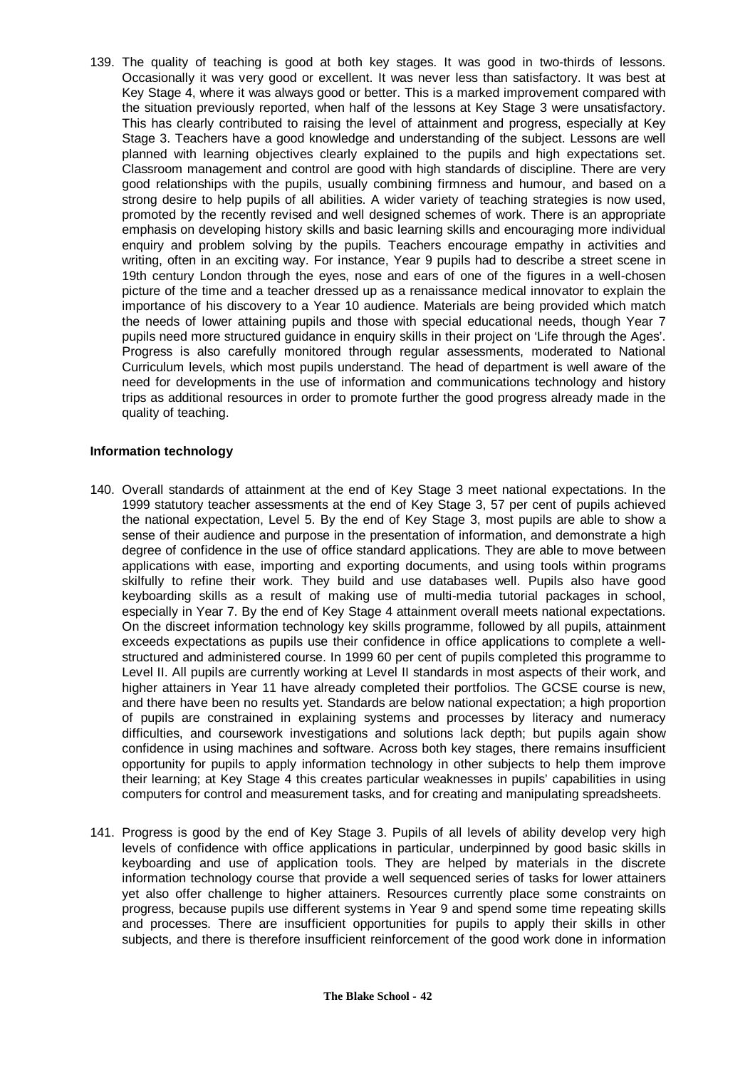139. The quality of teaching is good at both key stages. It was good in two-thirds of lessons. Occasionally it was very good or excellent. It was never less than satisfactory. It was best at Key Stage 4, where it was always good or better. This is a marked improvement compared with the situation previously reported, when half of the lessons at Key Stage 3 were unsatisfactory. This has clearly contributed to raising the level of attainment and progress, especially at Key Stage 3. Teachers have a good knowledge and understanding of the subject. Lessons are well planned with learning objectives clearly explained to the pupils and high expectations set. Classroom management and control are good with high standards of discipline. There are very good relationships with the pupils, usually combining firmness and humour, and based on a strong desire to help pupils of all abilities. A wider variety of teaching strategies is now used, promoted by the recently revised and well designed schemes of work. There is an appropriate emphasis on developing history skills and basic learning skills and encouraging more individual enquiry and problem solving by the pupils. Teachers encourage empathy in activities and writing, often in an exciting way. For instance, Year 9 pupils had to describe a street scene in 19th century London through the eyes, nose and ears of one of the figures in a well-chosen picture of the time and a teacher dressed up as a renaissance medical innovator to explain the importance of his discovery to a Year 10 audience. Materials are being provided which match the needs of lower attaining pupils and those with special educational needs, though Year 7 pupils need more structured guidance in enquiry skills in their project on 'Life through the Ages'. Progress is also carefully monitored through regular assessments, moderated to National Curriculum levels, which most pupils understand. The head of department is well aware of the need for developments in the use of information and communications technology and history trips as additional resources in order to promote further the good progress already made in the quality of teaching.

#### **Information technology**

- 140. Overall standards of attainment at the end of Key Stage 3 meet national expectations. In the 1999 statutory teacher assessments at the end of Key Stage 3, 57 per cent of pupils achieved the national expectation, Level 5. By the end of Key Stage 3, most pupils are able to show a sense of their audience and purpose in the presentation of information, and demonstrate a high degree of confidence in the use of office standard applications. They are able to move between applications with ease, importing and exporting documents, and using tools within programs skilfully to refine their work. They build and use databases well. Pupils also have good keyboarding skills as a result of making use of multi-media tutorial packages in school, especially in Year 7. By the end of Key Stage 4 attainment overall meets national expectations. On the discreet information technology key skills programme, followed by all pupils, attainment exceeds expectations as pupils use their confidence in office applications to complete a wellstructured and administered course. In 1999 60 per cent of pupils completed this programme to Level II. All pupils are currently working at Level II standards in most aspects of their work, and higher attainers in Year 11 have already completed their portfolios. The GCSE course is new, and there have been no results yet. Standards are below national expectation; a high proportion of pupils are constrained in explaining systems and processes by literacy and numeracy difficulties, and coursework investigations and solutions lack depth; but pupils again show confidence in using machines and software. Across both key stages, there remains insufficient opportunity for pupils to apply information technology in other subjects to help them improve their learning; at Key Stage 4 this creates particular weaknesses in pupils' capabilities in using computers for control and measurement tasks, and for creating and manipulating spreadsheets.
- 141. Progress is good by the end of Key Stage 3. Pupils of all levels of ability develop very high levels of confidence with office applications in particular, underpinned by good basic skills in keyboarding and use of application tools. They are helped by materials in the discrete information technology course that provide a well sequenced series of tasks for lower attainers yet also offer challenge to higher attainers. Resources currently place some constraints on progress, because pupils use different systems in Year 9 and spend some time repeating skills and processes. There are insufficient opportunities for pupils to apply their skills in other subjects, and there is therefore insufficient reinforcement of the good work done in information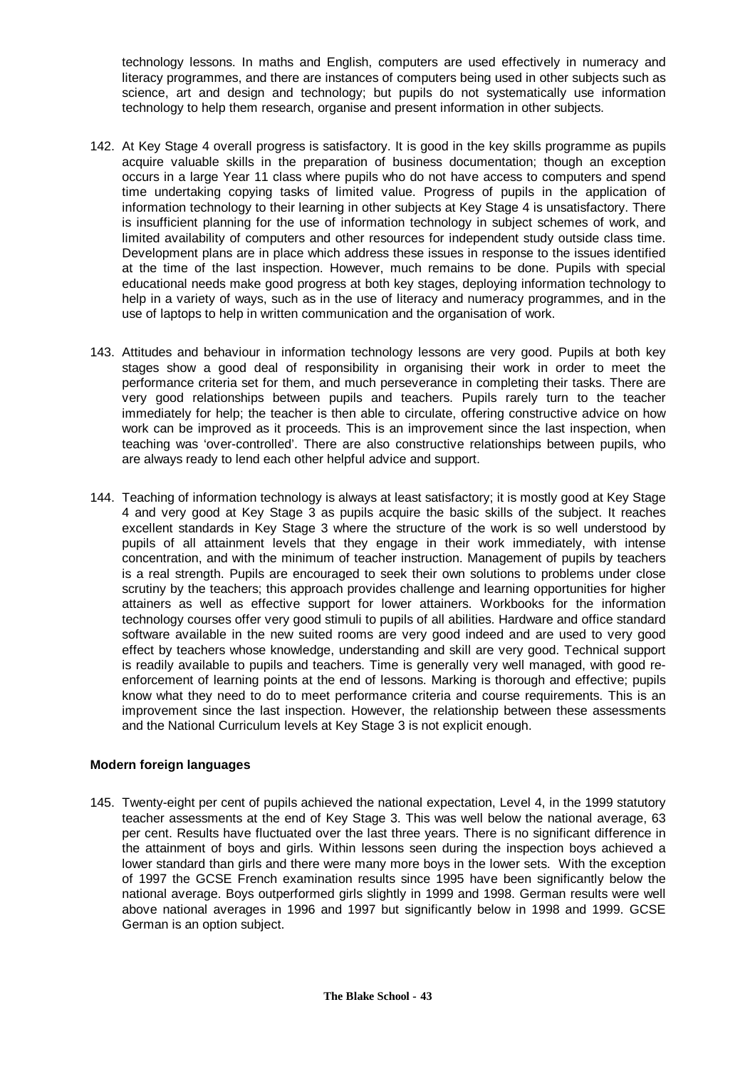technology lessons. In maths and English, computers are used effectively in numeracy and literacy programmes, and there are instances of computers being used in other subjects such as science, art and design and technology; but pupils do not systematically use information technology to help them research, organise and present information in other subjects.

- 142. At Key Stage 4 overall progress is satisfactory. It is good in the key skills programme as pupils acquire valuable skills in the preparation of business documentation; though an exception occurs in a large Year 11 class where pupils who do not have access to computers and spend time undertaking copying tasks of limited value. Progress of pupils in the application of information technology to their learning in other subjects at Key Stage 4 is unsatisfactory. There is insufficient planning for the use of information technology in subject schemes of work, and limited availability of computers and other resources for independent study outside class time. Development plans are in place which address these issues in response to the issues identified at the time of the last inspection. However, much remains to be done. Pupils with special educational needs make good progress at both key stages, deploying information technology to help in a variety of ways, such as in the use of literacy and numeracy programmes, and in the use of laptops to help in written communication and the organisation of work.
- 143. Attitudes and behaviour in information technology lessons are very good. Pupils at both key stages show a good deal of responsibility in organising their work in order to meet the performance criteria set for them, and much perseverance in completing their tasks. There are very good relationships between pupils and teachers. Pupils rarely turn to the teacher immediately for help; the teacher is then able to circulate, offering constructive advice on how work can be improved as it proceeds. This is an improvement since the last inspection, when teaching was 'over-controlled'. There are also constructive relationships between pupils, who are always ready to lend each other helpful advice and support.
- 144. Teaching of information technology is always at least satisfactory; it is mostly good at Key Stage 4 and very good at Key Stage 3 as pupils acquire the basic skills of the subject. It reaches excellent standards in Key Stage 3 where the structure of the work is so well understood by pupils of all attainment levels that they engage in their work immediately, with intense concentration, and with the minimum of teacher instruction. Management of pupils by teachers is a real strength. Pupils are encouraged to seek their own solutions to problems under close scrutiny by the teachers; this approach provides challenge and learning opportunities for higher attainers as well as effective support for lower attainers. Workbooks for the information technology courses offer very good stimuli to pupils of all abilities. Hardware and office standard software available in the new suited rooms are very good indeed and are used to very good effect by teachers whose knowledge, understanding and skill are very good. Technical support is readily available to pupils and teachers. Time is generally very well managed, with good reenforcement of learning points at the end of lessons. Marking is thorough and effective; pupils know what they need to do to meet performance criteria and course requirements. This is an improvement since the last inspection. However, the relationship between these assessments and the National Curriculum levels at Key Stage 3 is not explicit enough.

# **Modern foreign languages**

145. Twenty-eight per cent of pupils achieved the national expectation, Level 4, in the 1999 statutory teacher assessments at the end of Key Stage 3. This was well below the national average, 63 per cent. Results have fluctuated over the last three years. There is no significant difference in the attainment of boys and girls. Within lessons seen during the inspection boys achieved a lower standard than girls and there were many more boys in the lower sets. With the exception of 1997 the GCSE French examination results since 1995 have been significantly below the national average. Boys outperformed girls slightly in 1999 and 1998. German results were well above national averages in 1996 and 1997 but significantly below in 1998 and 1999. GCSE German is an option subject.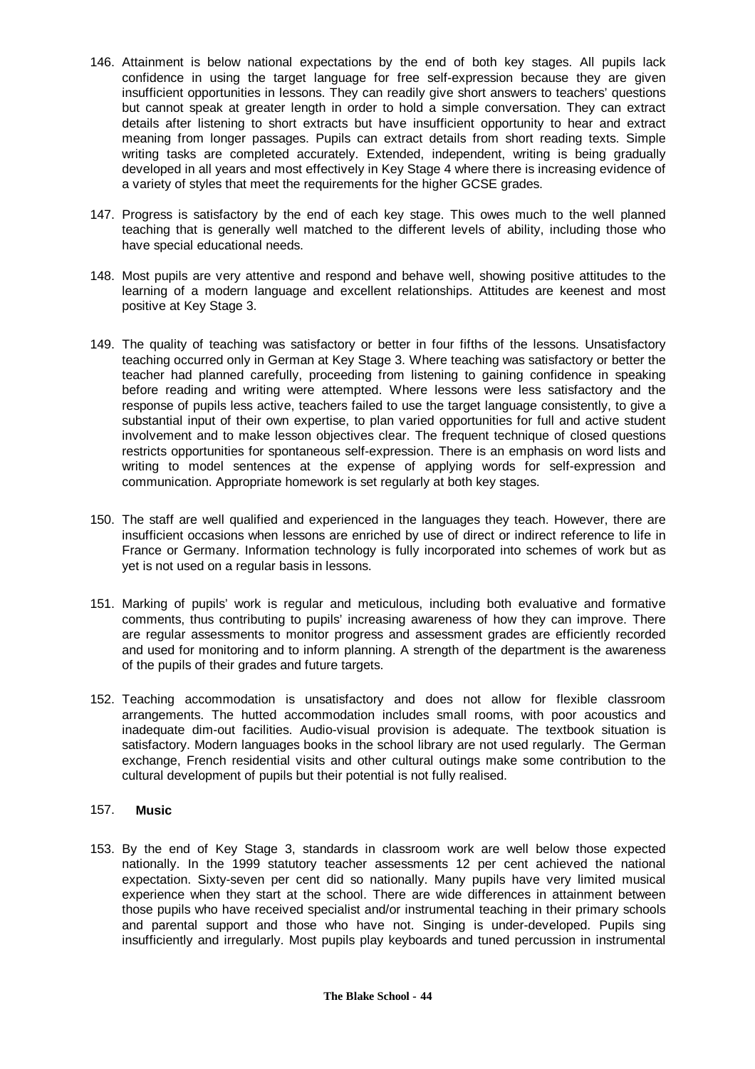- 146. Attainment is below national expectations by the end of both key stages. All pupils lack confidence in using the target language for free self-expression because they are given insufficient opportunities in lessons. They can readily give short answers to teachers' questions but cannot speak at greater length in order to hold a simple conversation. They can extract details after listening to short extracts but have insufficient opportunity to hear and extract meaning from longer passages. Pupils can extract details from short reading texts. Simple writing tasks are completed accurately. Extended, independent, writing is being gradually developed in all years and most effectively in Key Stage 4 where there is increasing evidence of a variety of styles that meet the requirements for the higher GCSE grades.
- 147. Progress is satisfactory by the end of each key stage. This owes much to the well planned teaching that is generally well matched to the different levels of ability, including those who have special educational needs.
- 148. Most pupils are very attentive and respond and behave well, showing positive attitudes to the learning of a modern language and excellent relationships. Attitudes are keenest and most positive at Key Stage 3.
- 149. The quality of teaching was satisfactory or better in four fifths of the lessons. Unsatisfactory teaching occurred only in German at Key Stage 3. Where teaching was satisfactory or better the teacher had planned carefully, proceeding from listening to gaining confidence in speaking before reading and writing were attempted. Where lessons were less satisfactory and the response of pupils less active, teachers failed to use the target language consistently, to give a substantial input of their own expertise, to plan varied opportunities for full and active student involvement and to make lesson objectives clear. The frequent technique of closed questions restricts opportunities for spontaneous self-expression. There is an emphasis on word lists and writing to model sentences at the expense of applying words for self-expression and communication. Appropriate homework is set regularly at both key stages.
- 150. The staff are well qualified and experienced in the languages they teach. However, there are insufficient occasions when lessons are enriched by use of direct or indirect reference to life in France or Germany. Information technology is fully incorporated into schemes of work but as yet is not used on a regular basis in lessons.
- 151. Marking of pupils' work is regular and meticulous, including both evaluative and formative comments, thus contributing to pupils' increasing awareness of how they can improve. There are regular assessments to monitor progress and assessment grades are efficiently recorded and used for monitoring and to inform planning. A strength of the department is the awareness of the pupils of their grades and future targets.
- 152. Teaching accommodation is unsatisfactory and does not allow for flexible classroom arrangements. The hutted accommodation includes small rooms, with poor acoustics and inadequate dim-out facilities. Audio-visual provision is adequate. The textbook situation is satisfactory. Modern languages books in the school library are not used regularly. The German exchange, French residential visits and other cultural outings make some contribution to the cultural development of pupils but their potential is not fully realised.

#### 157. **Music**

153. By the end of Key Stage 3, standards in classroom work are well below those expected nationally. In the 1999 statutory teacher assessments 12 per cent achieved the national expectation. Sixty-seven per cent did so nationally. Many pupils have very limited musical experience when they start at the school. There are wide differences in attainment between those pupils who have received specialist and/or instrumental teaching in their primary schools and parental support and those who have not. Singing is under-developed. Pupils sing insufficiently and irregularly. Most pupils play keyboards and tuned percussion in instrumental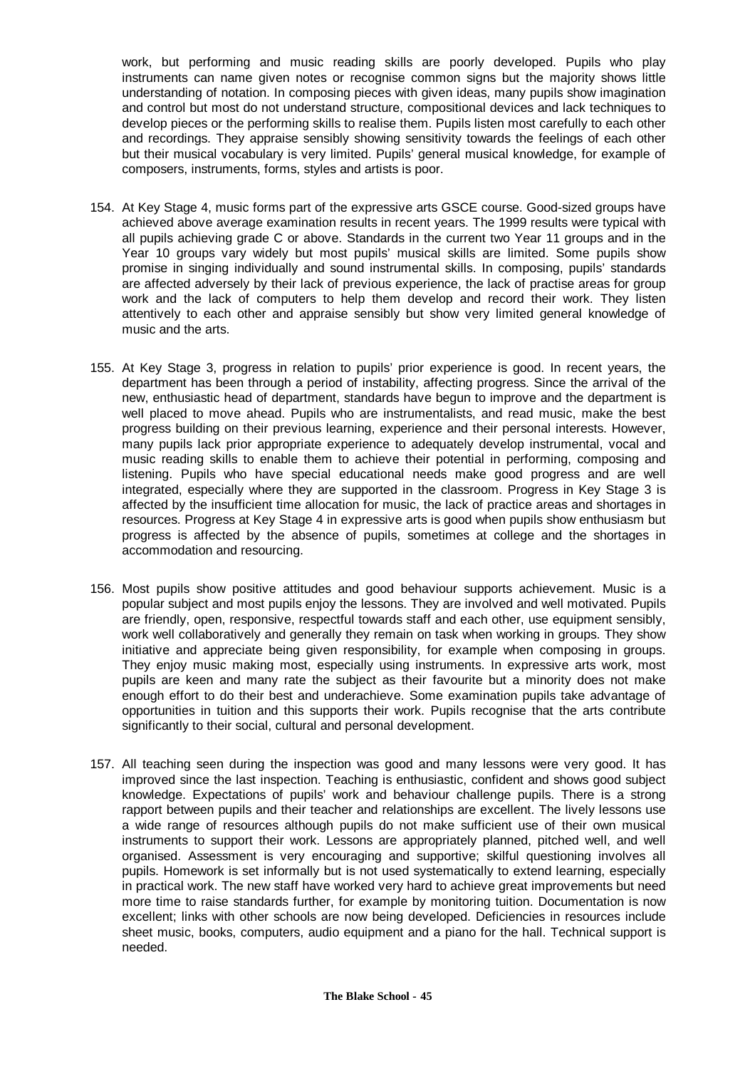work, but performing and music reading skills are poorly developed. Pupils who play instruments can name given notes or recognise common signs but the majority shows little understanding of notation. In composing pieces with given ideas, many pupils show imagination and control but most do not understand structure, compositional devices and lack techniques to develop pieces or the performing skills to realise them. Pupils listen most carefully to each other and recordings. They appraise sensibly showing sensitivity towards the feelings of each other but their musical vocabulary is very limited. Pupils' general musical knowledge, for example of composers, instruments, forms, styles and artists is poor.

- 154. At Key Stage 4, music forms part of the expressive arts GSCE course. Good-sized groups have achieved above average examination results in recent years. The 1999 results were typical with all pupils achieving grade C or above. Standards in the current two Year 11 groups and in the Year 10 groups vary widely but most pupils' musical skills are limited. Some pupils show promise in singing individually and sound instrumental skills. In composing, pupils' standards are affected adversely by their lack of previous experience, the lack of practise areas for group work and the lack of computers to help them develop and record their work. They listen attentively to each other and appraise sensibly but show very limited general knowledge of music and the arts.
- 155. At Key Stage 3, progress in relation to pupils' prior experience is good. In recent years, the department has been through a period of instability, affecting progress. Since the arrival of the new, enthusiastic head of department, standards have begun to improve and the department is well placed to move ahead. Pupils who are instrumentalists, and read music, make the best progress building on their previous learning, experience and their personal interests. However, many pupils lack prior appropriate experience to adequately develop instrumental, vocal and music reading skills to enable them to achieve their potential in performing, composing and listening. Pupils who have special educational needs make good progress and are well integrated, especially where they are supported in the classroom. Progress in Key Stage 3 is affected by the insufficient time allocation for music, the lack of practice areas and shortages in resources. Progress at Key Stage 4 in expressive arts is good when pupils show enthusiasm but progress is affected by the absence of pupils, sometimes at college and the shortages in accommodation and resourcing.
- 156. Most pupils show positive attitudes and good behaviour supports achievement. Music is a popular subject and most pupils enjoy the lessons. They are involved and well motivated. Pupils are friendly, open, responsive, respectful towards staff and each other, use equipment sensibly, work well collaboratively and generally they remain on task when working in groups. They show initiative and appreciate being given responsibility, for example when composing in groups. They enjoy music making most, especially using instruments. In expressive arts work, most pupils are keen and many rate the subject as their favourite but a minority does not make enough effort to do their best and underachieve. Some examination pupils take advantage of opportunities in tuition and this supports their work. Pupils recognise that the arts contribute significantly to their social, cultural and personal development.
- 157. All teaching seen during the inspection was good and many lessons were very good. It has improved since the last inspection. Teaching is enthusiastic, confident and shows good subject knowledge. Expectations of pupils' work and behaviour challenge pupils. There is a strong rapport between pupils and their teacher and relationships are excellent. The lively lessons use a wide range of resources although pupils do not make sufficient use of their own musical instruments to support their work. Lessons are appropriately planned, pitched well, and well organised. Assessment is very encouraging and supportive; skilful questioning involves all pupils. Homework is set informally but is not used systematically to extend learning, especially in practical work. The new staff have worked very hard to achieve great improvements but need more time to raise standards further, for example by monitoring tuition. Documentation is now excellent; links with other schools are now being developed. Deficiencies in resources include sheet music, books, computers, audio equipment and a piano for the hall. Technical support is needed.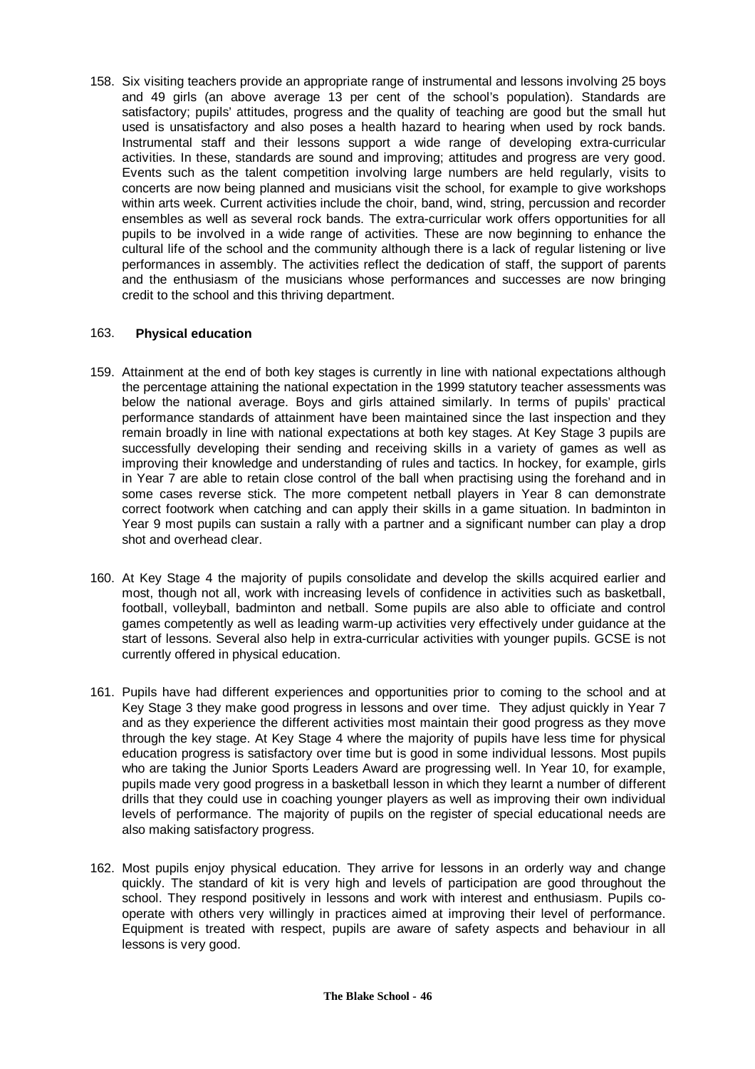158. Six visiting teachers provide an appropriate range of instrumental and lessons involving 25 boys and 49 girls (an above average 13 per cent of the school's population). Standards are satisfactory; pupils' attitudes, progress and the quality of teaching are good but the small hut used is unsatisfactory and also poses a health hazard to hearing when used by rock bands. Instrumental staff and their lessons support a wide range of developing extra-curricular activities. In these, standards are sound and improving; attitudes and progress are very good. Events such as the talent competition involving large numbers are held regularly, visits to concerts are now being planned and musicians visit the school, for example to give workshops within arts week. Current activities include the choir, band, wind, string, percussion and recorder ensembles as well as several rock bands. The extra-curricular work offers opportunities for all pupils to be involved in a wide range of activities. These are now beginning to enhance the cultural life of the school and the community although there is a lack of regular listening or live performances in assembly. The activities reflect the dedication of staff, the support of parents and the enthusiasm of the musicians whose performances and successes are now bringing credit to the school and this thriving department.

#### 163. **Physical education**

- 159. Attainment at the end of both key stages is currently in line with national expectations although the percentage attaining the national expectation in the 1999 statutory teacher assessments was below the national average. Boys and girls attained similarly. In terms of pupils' practical performance standards of attainment have been maintained since the last inspection and they remain broadly in line with national expectations at both key stages. At Key Stage 3 pupils are successfully developing their sending and receiving skills in a variety of games as well as improving their knowledge and understanding of rules and tactics. In hockey, for example, girls in Year 7 are able to retain close control of the ball when practising using the forehand and in some cases reverse stick. The more competent netball players in Year 8 can demonstrate correct footwork when catching and can apply their skills in a game situation. In badminton in Year 9 most pupils can sustain a rally with a partner and a significant number can play a drop shot and overhead clear.
- 160. At Key Stage 4 the majority of pupils consolidate and develop the skills acquired earlier and most, though not all, work with increasing levels of confidence in activities such as basketball, football, volleyball, badminton and netball. Some pupils are also able to officiate and control games competently as well as leading warm-up activities very effectively under guidance at the start of lessons. Several also help in extra-curricular activities with younger pupils. GCSE is not currently offered in physical education.
- 161. Pupils have had different experiences and opportunities prior to coming to the school and at Key Stage 3 they make good progress in lessons and over time. They adjust quickly in Year 7 and as they experience the different activities most maintain their good progress as they move through the key stage. At Key Stage 4 where the majority of pupils have less time for physical education progress is satisfactory over time but is good in some individual lessons. Most pupils who are taking the Junior Sports Leaders Award are progressing well. In Year 10, for example, pupils made very good progress in a basketball lesson in which they learnt a number of different drills that they could use in coaching younger players as well as improving their own individual levels of performance. The majority of pupils on the register of special educational needs are also making satisfactory progress.
- 162. Most pupils enjoy physical education. They arrive for lessons in an orderly way and change quickly. The standard of kit is very high and levels of participation are good throughout the school. They respond positively in lessons and work with interest and enthusiasm. Pupils cooperate with others very willingly in practices aimed at improving their level of performance. Equipment is treated with respect, pupils are aware of safety aspects and behaviour in all lessons is very good.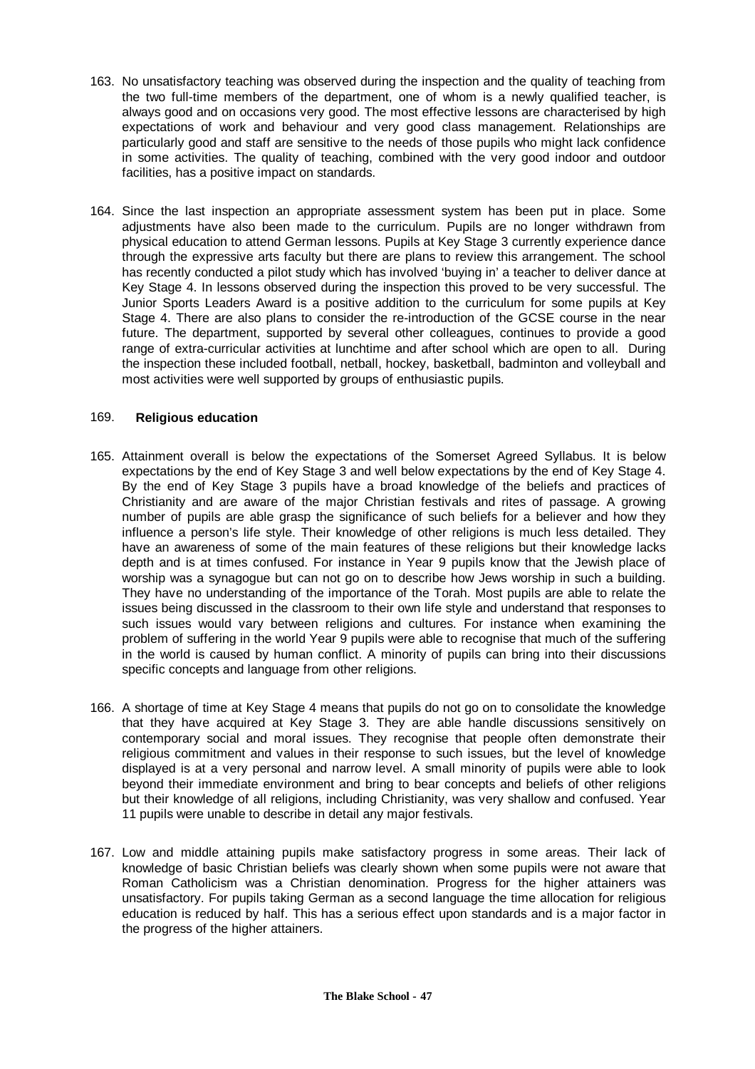- 163. No unsatisfactory teaching was observed during the inspection and the quality of teaching from the two full-time members of the department, one of whom is a newly qualified teacher, is always good and on occasions very good. The most effective lessons are characterised by high expectations of work and behaviour and very good class management. Relationships are particularly good and staff are sensitive to the needs of those pupils who might lack confidence in some activities. The quality of teaching, combined with the very good indoor and outdoor facilities, has a positive impact on standards.
- 164. Since the last inspection an appropriate assessment system has been put in place. Some adjustments have also been made to the curriculum. Pupils are no longer withdrawn from physical education to attend German lessons. Pupils at Key Stage 3 currently experience dance through the expressive arts faculty but there are plans to review this arrangement. The school has recently conducted a pilot study which has involved 'buying in' a teacher to deliver dance at Key Stage 4. In lessons observed during the inspection this proved to be very successful. The Junior Sports Leaders Award is a positive addition to the curriculum for some pupils at Key Stage 4. There are also plans to consider the re-introduction of the GCSE course in the near future. The department, supported by several other colleagues, continues to provide a good range of extra-curricular activities at lunchtime and after school which are open to all. During the inspection these included football, netball, hockey, basketball, badminton and volleyball and most activities were well supported by groups of enthusiastic pupils.

#### 169. **Religious education**

- 165. Attainment overall is below the expectations of the Somerset Agreed Syllabus. It is below expectations by the end of Key Stage 3 and well below expectations by the end of Key Stage 4. By the end of Key Stage 3 pupils have a broad knowledge of the beliefs and practices of Christianity and are aware of the major Christian festivals and rites of passage. A growing number of pupils are able grasp the significance of such beliefs for a believer and how they influence a person's life style. Their knowledge of other religions is much less detailed. They have an awareness of some of the main features of these religions but their knowledge lacks depth and is at times confused. For instance in Year 9 pupils know that the Jewish place of worship was a synagogue but can not go on to describe how Jews worship in such a building. They have no understanding of the importance of the Torah. Most pupils are able to relate the issues being discussed in the classroom to their own life style and understand that responses to such issues would vary between religions and cultures. For instance when examining the problem of suffering in the world Year 9 pupils were able to recognise that much of the suffering in the world is caused by human conflict. A minority of pupils can bring into their discussions specific concepts and language from other religions.
- 166. A shortage of time at Key Stage 4 means that pupils do not go on to consolidate the knowledge that they have acquired at Key Stage 3. They are able handle discussions sensitively on contemporary social and moral issues. They recognise that people often demonstrate their religious commitment and values in their response to such issues, but the level of knowledge displayed is at a very personal and narrow level. A small minority of pupils were able to look beyond their immediate environment and bring to bear concepts and beliefs of other religions but their knowledge of all religions, including Christianity, was very shallow and confused. Year 11 pupils were unable to describe in detail any major festivals.
- 167. Low and middle attaining pupils make satisfactory progress in some areas. Their lack of knowledge of basic Christian beliefs was clearly shown when some pupils were not aware that Roman Catholicism was a Christian denomination. Progress for the higher attainers was unsatisfactory. For pupils taking German as a second language the time allocation for religious education is reduced by half. This has a serious effect upon standards and is a major factor in the progress of the higher attainers.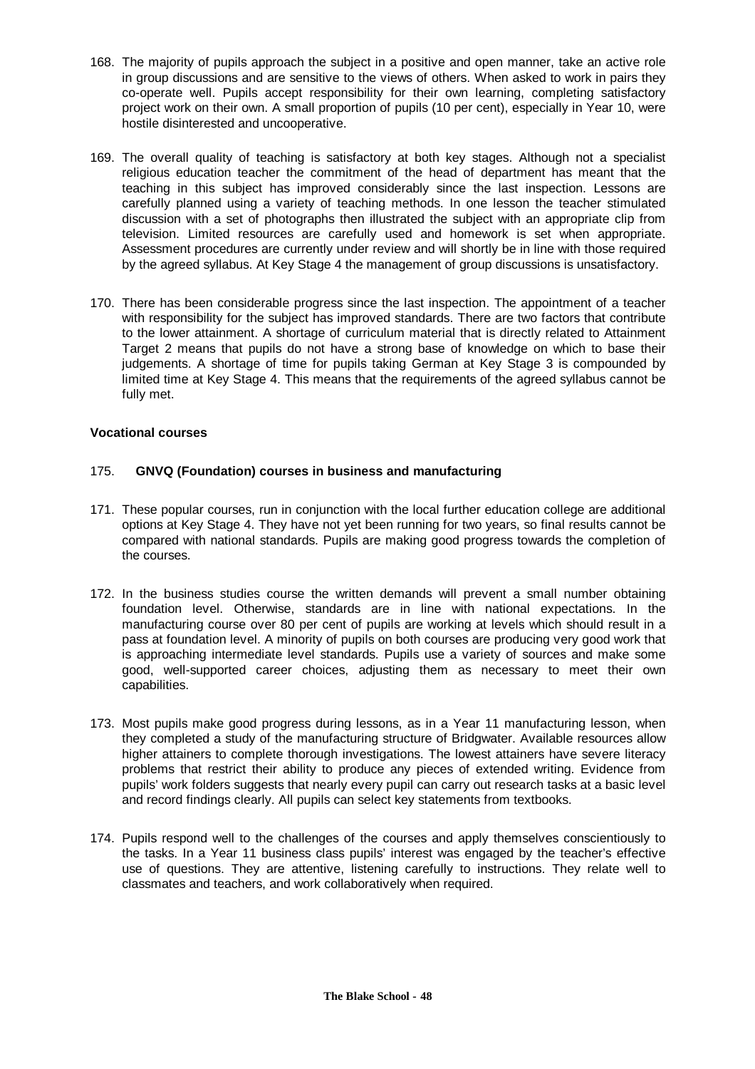- 168. The majority of pupils approach the subject in a positive and open manner, take an active role in group discussions and are sensitive to the views of others. When asked to work in pairs they co-operate well. Pupils accept responsibility for their own learning, completing satisfactory project work on their own. A small proportion of pupils (10 per cent), especially in Year 10, were hostile disinterested and uncooperative.
- 169. The overall quality of teaching is satisfactory at both key stages. Although not a specialist religious education teacher the commitment of the head of department has meant that the teaching in this subject has improved considerably since the last inspection. Lessons are carefully planned using a variety of teaching methods. In one lesson the teacher stimulated discussion with a set of photographs then illustrated the subject with an appropriate clip from television. Limited resources are carefully used and homework is set when appropriate. Assessment procedures are currently under review and will shortly be in line with those required by the agreed syllabus. At Key Stage 4 the management of group discussions is unsatisfactory.
- 170. There has been considerable progress since the last inspection. The appointment of a teacher with responsibility for the subject has improved standards. There are two factors that contribute to the lower attainment. A shortage of curriculum material that is directly related to Attainment Target 2 means that pupils do not have a strong base of knowledge on which to base their judgements. A shortage of time for pupils taking German at Key Stage 3 is compounded by limited time at Key Stage 4. This means that the requirements of the agreed syllabus cannot be fully met.

#### **Vocational courses**

#### 175. **GNVQ (Foundation) courses in business and manufacturing**

- 171. These popular courses, run in conjunction with the local further education college are additional options at Key Stage 4. They have not yet been running for two years, so final results cannot be compared with national standards. Pupils are making good progress towards the completion of the courses.
- 172. In the business studies course the written demands will prevent a small number obtaining foundation level. Otherwise, standards are in line with national expectations. In the manufacturing course over 80 per cent of pupils are working at levels which should result in a pass at foundation level. A minority of pupils on both courses are producing very good work that is approaching intermediate level standards. Pupils use a variety of sources and make some good, well-supported career choices, adjusting them as necessary to meet their own capabilities.
- 173. Most pupils make good progress during lessons, as in a Year 11 manufacturing lesson, when they completed a study of the manufacturing structure of Bridgwater. Available resources allow higher attainers to complete thorough investigations. The lowest attainers have severe literacy problems that restrict their ability to produce any pieces of extended writing. Evidence from pupils' work folders suggests that nearly every pupil can carry out research tasks at a basic level and record findings clearly. All pupils can select key statements from textbooks.
- 174. Pupils respond well to the challenges of the courses and apply themselves conscientiously to the tasks. In a Year 11 business class pupils' interest was engaged by the teacher's effective use of questions. They are attentive, listening carefully to instructions. They relate well to classmates and teachers, and work collaboratively when required.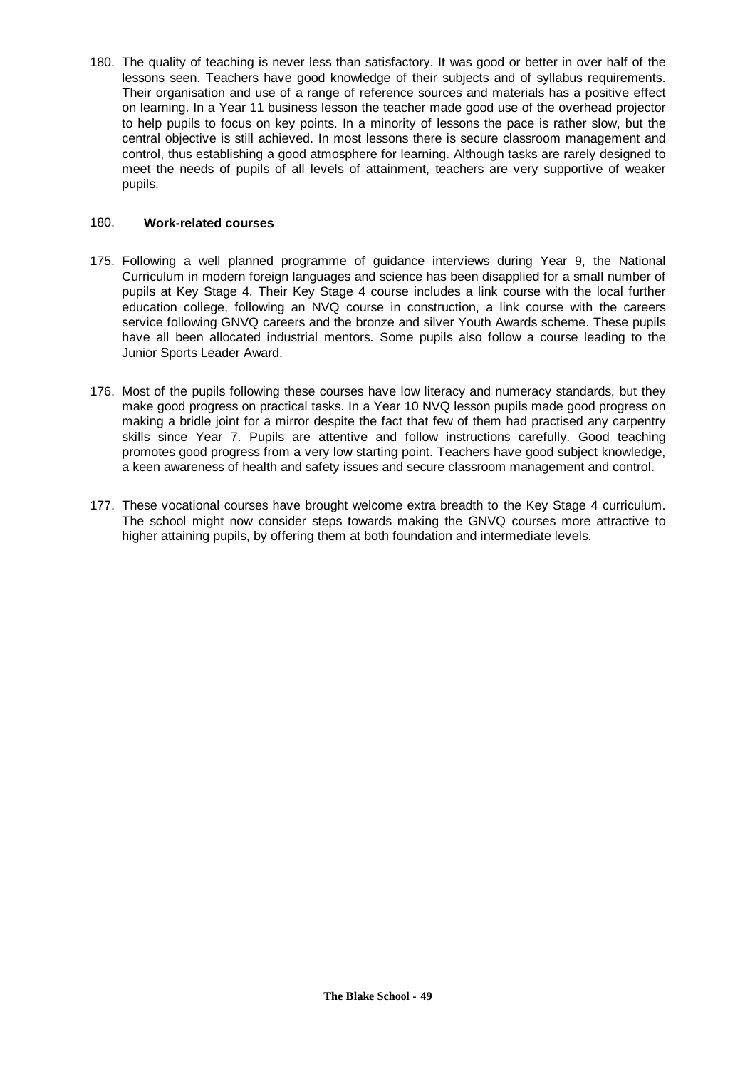180. The quality of teaching is never less than satisfactory. It was good or better in over half of the lessons seen. Teachers have good knowledge of their subjects and of syllabus requirements. Their organisation and use of a range of reference sources and materials has a positive effect on learning. In a Year 11 business lesson the teacher made good use of the overhead projector to help pupils to focus on key points. In a minority of lessons the pace is rather slow, but the central objective is still achieved. In most lessons there is secure classroom management and control, thus establishing a good atmosphere for learning. Although tasks are rarely designed to meet the needs of pupils of all levels of attainment, teachers are very supportive of weaker pupils.

#### 180. **Work-related courses**

- 175. Following a well planned programme of guidance interviews during Year 9, the National Curriculum in modern foreign languages and science has been disapplied for a small number of pupils at Key Stage 4. Their Key Stage 4 course includes a link course with the local further education college, following an NVQ course in construction, a link course with the careers service following GNVQ careers and the bronze and silver Youth Awards scheme. These pupils have all been allocated industrial mentors. Some pupils also follow a course leading to the Junior Sports Leader Award.
- 176. Most of the pupils following these courses have low literacy and numeracy standards, but they make good progress on practical tasks. In a Year 10 NVQ lesson pupils made good progress on making a bridle joint for a mirror despite the fact that few of them had practised any carpentry skills since Year 7. Pupils are attentive and follow instructions carefully. Good teaching promotes good progress from a very low starting point. Teachers have good subject knowledge, a keen awareness of health and safety issues and secure classroom management and control.
- 177. These vocational courses have brought welcome extra breadth to the Key Stage 4 curriculum. The school might now consider steps towards making the GNVQ courses more attractive to higher attaining pupils, by offering them at both foundation and intermediate levels.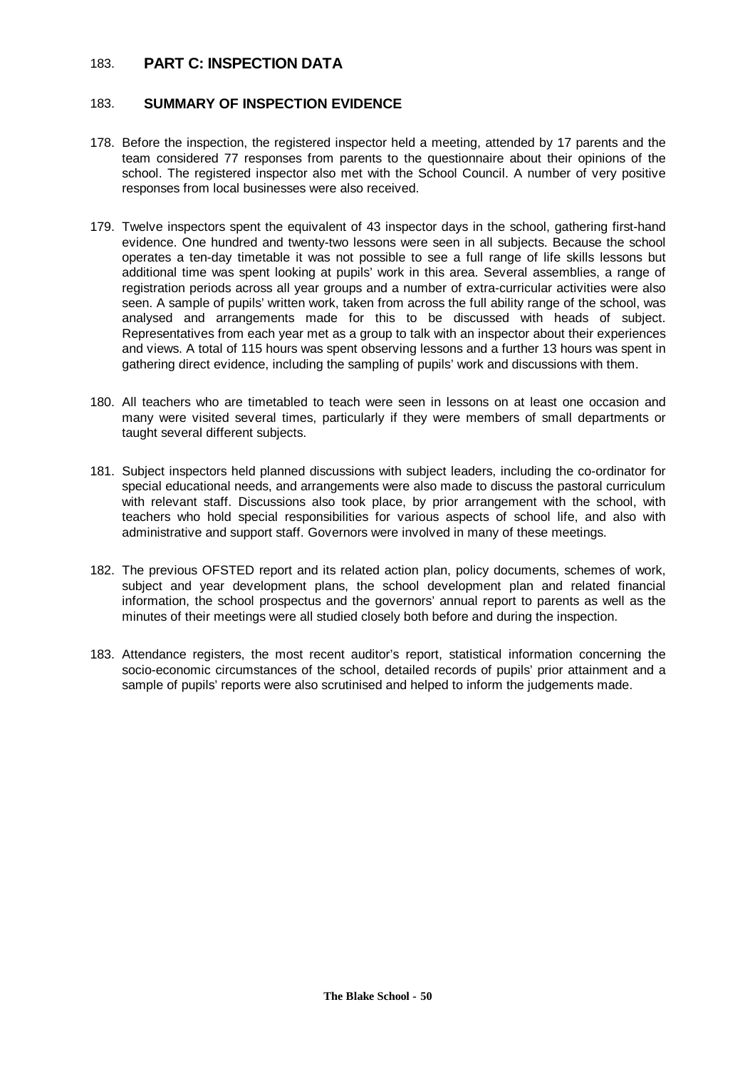# 183. **PART C: INSPECTION DATA**

### 183. **SUMMARY OF INSPECTION EVIDENCE**

- 178. Before the inspection, the registered inspector held a meeting, attended by 17 parents and the team considered 77 responses from parents to the questionnaire about their opinions of the school. The registered inspector also met with the School Council. A number of very positive responses from local businesses were also received.
- 179. Twelve inspectors spent the equivalent of 43 inspector days in the school, gathering first-hand evidence. One hundred and twenty-two lessons were seen in all subjects. Because the school operates a ten-day timetable it was not possible to see a full range of life skills lessons but additional time was spent looking at pupils' work in this area. Several assemblies, a range of registration periods across all year groups and a number of extra-curricular activities were also seen. A sample of pupils' written work, taken from across the full ability range of the school, was analysed and arrangements made for this to be discussed with heads of subject. Representatives from each year met as a group to talk with an inspector about their experiences and views. A total of 115 hours was spent observing lessons and a further 13 hours was spent in gathering direct evidence, including the sampling of pupils' work and discussions with them.
- 180. All teachers who are timetabled to teach were seen in lessons on at least one occasion and many were visited several times, particularly if they were members of small departments or taught several different subjects.
- 181. Subject inspectors held planned discussions with subject leaders, including the co-ordinator for special educational needs, and arrangements were also made to discuss the pastoral curriculum with relevant staff. Discussions also took place, by prior arrangement with the school, with teachers who hold special responsibilities for various aspects of school life, and also with administrative and support staff. Governors were involved in many of these meetings.
- 182. The previous OFSTED report and its related action plan, policy documents, schemes of work, subject and year development plans, the school development plan and related financial information, the school prospectus and the governors' annual report to parents as well as the minutes of their meetings were all studied closely both before and during the inspection.
- 183. Attendance registers, the most recent auditor's report, statistical information concerning the socio-economic circumstances of the school, detailed records of pupils' prior attainment and a sample of pupils' reports were also scrutinised and helped to inform the judgements made.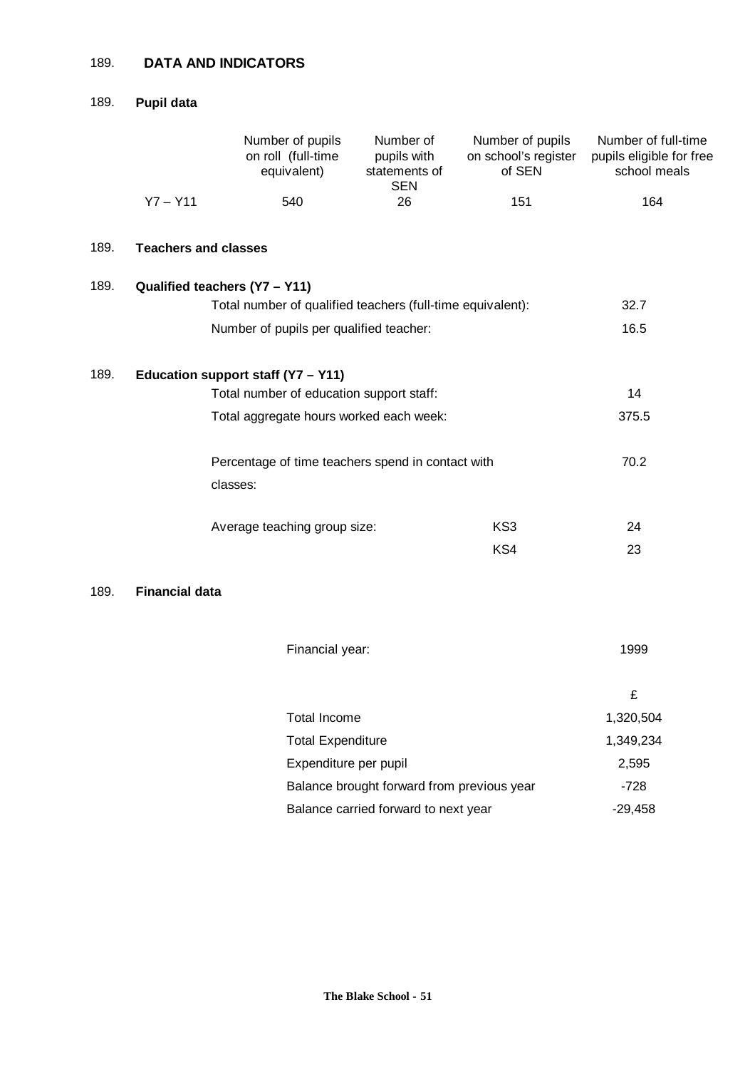# 189. **DATA AND INDICATORS**

# 189. **Pupil data**

|      |                             | Number of pupils<br>on roll (full-time<br>equivalent)                                       | Number of<br>pupils with<br>statements of<br><b>SEN</b> | Number of pupils<br>on school's register<br>of SEN | Number of full-time<br>pupils eligible for free<br>school meals |  |  |
|------|-----------------------------|---------------------------------------------------------------------------------------------|---------------------------------------------------------|----------------------------------------------------|-----------------------------------------------------------------|--|--|
|      | $Y7 - Y11$                  | 540                                                                                         | 26                                                      | 151                                                | 164                                                             |  |  |
| 189. | <b>Teachers and classes</b> |                                                                                             |                                                         |                                                    |                                                                 |  |  |
| 189. |                             | Qualified teachers (Y7 - Y11)<br>Total number of qualified teachers (full-time equivalent): |                                                         |                                                    | 32.7                                                            |  |  |
|      |                             | Number of pupils per qualified teacher:                                                     |                                                         |                                                    | 16.5                                                            |  |  |
| 189. |                             | Education support staff (Y7 - Y11)                                                          |                                                         |                                                    | 14                                                              |  |  |
|      |                             | Total number of education support staff:<br>Total aggregate hours worked each week:         |                                                         |                                                    |                                                                 |  |  |
|      |                             | Percentage of time teachers spend in contact with<br>classes:                               |                                                         |                                                    |                                                                 |  |  |
|      |                             | Average teaching group size:                                                                |                                                         | KS3                                                | 24                                                              |  |  |
|      |                             |                                                                                             |                                                         | KS4                                                | 23                                                              |  |  |
| 189. | <b>Financial data</b>       |                                                                                             |                                                         |                                                    |                                                                 |  |  |
|      |                             | Financial year:                                                                             |                                                         |                                                    | 1999                                                            |  |  |
|      |                             |                                                                                             |                                                         |                                                    | £                                                               |  |  |
|      |                             | <b>Total Income</b>                                                                         |                                                         |                                                    | 1,320,504                                                       |  |  |
|      |                             | <b>Total Expenditure</b>                                                                    |                                                         |                                                    | 1,349,234                                                       |  |  |
|      |                             | Expenditure per pupil                                                                       |                                                         |                                                    | 2,595                                                           |  |  |
|      |                             |                                                                                             | Balance brought forward from previous year              |                                                    | $-728$                                                          |  |  |
|      |                             |                                                                                             | Balance carried forward to next year                    |                                                    | $-29,458$                                                       |  |  |